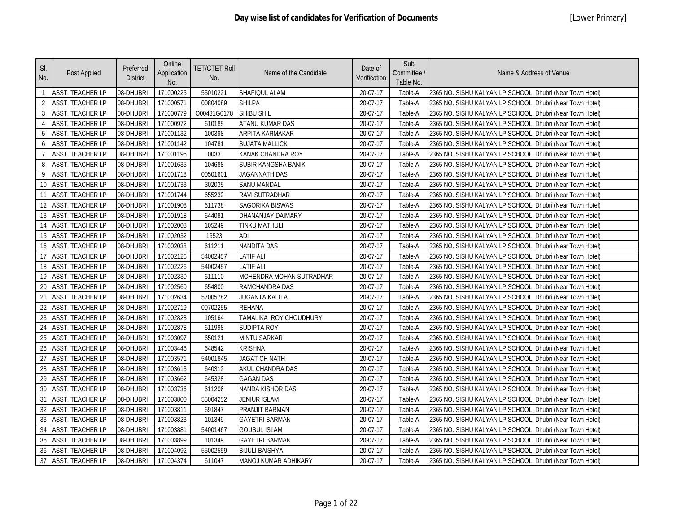| SI.<br>No.     | Post Applied            | Preferred<br><b>District</b> | Online<br>Application<br>No. | <b>TET/CTET Roll</b><br>No. | Name of the Candidate    | Date of<br>Verification | Sub<br>Committee /<br>Table No. | Name & Address of Venue                                   |
|----------------|-------------------------|------------------------------|------------------------------|-----------------------------|--------------------------|-------------------------|---------------------------------|-----------------------------------------------------------|
| $\mathbf{1}$   | <b>ASST. TEACHER LP</b> | 08-DHUBRI                    | 171000225                    | 55010221                    | SHAFIQUL ALAM            | 20-07-17                | Table-A                         | 2365 NO. SISHU KALYAN LP SCHOOL, Dhubri (Near Town Hotel) |
| $\overline{2}$ | <b>ASST. TEACHER LP</b> | 08-DHUBRI                    | 171000571                    | 00804089                    | <b>SHILPA</b>            | 20-07-17                | Table-A                         | 2365 NO. SISHU KALYAN LP SCHOOL, Dhubri (Near Town Hotel) |
| 3              | <b>ASST. TEACHER LP</b> | 08-DHUBRI                    | 171000779                    | O00481G0178                 | <b>SHIBU SHIL</b>        | 20-07-17                | Table-A                         | 2365 NO. SISHU KALYAN LP SCHOOL, Dhubri (Near Town Hotel) |
| $\overline{4}$ | <b>ASST. TEACHER LP</b> | 08-DHUBRI                    | 171000972                    | 610185                      | ATANU KUMAR DAS          | 20-07-17                | Table-A                         | 2365 NO. SISHU KALYAN LP SCHOOL, Dhubri (Near Town Hotel) |
| 5              | <b>ASST. TEACHER LP</b> | 08-DHUBRI                    | 171001132                    | 100398                      | ARPITA KARMAKAR          | 20-07-17                | Table-A                         | 2365 NO. SISHU KALYAN LP SCHOOL, Dhubri (Near Town Hotel) |
| 6              | <b>ASST. TEACHER LP</b> | 08-DHUBRI                    | 171001142                    | 104781                      | <b>SUJATA MALLICK</b>    | 20-07-17                | Table-A                         | 2365 NO. SISHU KALYAN LP SCHOOL, Dhubri (Near Town Hotel) |
| $\overline{7}$ | <b>ASST. TEACHER LP</b> | 08-DHUBRI                    | 171001196                    | 0033                        | KANAK CHANDRA ROY        | 20-07-17                | Table-A                         | 2365 NO. SISHU KALYAN LP SCHOOL, Dhubri (Near Town Hotel) |
| 8              | <b>ASST. TEACHER LP</b> | 08-DHUBRI                    | 171001635                    | 104688                      | SUBIR KANGSHA BANIK      | 20-07-17                | Table-A                         | 2365 NO. SISHU KALYAN LP SCHOOL, Dhubri (Near Town Hotel) |
| 9              | <b>ASST. TEACHER LP</b> | 08-DHUBRI                    | 171001718                    | 00501601                    | <b>JAGANNATH DAS</b>     | 20-07-17                | Table-A                         | 2365 NO. SISHU KALYAN LP SCHOOL, Dhubri (Near Town Hotel) |
| 10             | <b>ASST. TEACHER LP</b> | 08-DHUBRI                    | 171001733                    | 302035                      | <b>SANU MANDAL</b>       | 20-07-17                | Table-A                         | 2365 NO. SISHU KALYAN LP SCHOOL, Dhubri (Near Town Hotel) |
| 11             | <b>ASST. TEACHER LP</b> | 08-DHUBRI                    | 171001744                    | 655232                      | RAVI SUTRADHAR           | 20-07-17                | Table-A                         | 2365 NO. SISHU KALYAN LP SCHOOL, Dhubri (Near Town Hotel) |
| 12             | <b>ASST. TEACHER LP</b> | 08-DHUBRI                    | 171001908                    | 611738                      | SAGORIKA BISWAS          | 20-07-17                | Table-A                         | 2365 NO. SISHU KALYAN LP SCHOOL, Dhubri (Near Town Hotel) |
| 13             | <b>ASST. TEACHER LP</b> | 08-DHUBRI                    | 171001918                    | 644081                      | DHANANJAY DAIMARY        | 20-07-17                | Table-A                         | 2365 NO. SISHU KALYAN LP SCHOOL, Dhubri (Near Town Hotel) |
| 14             | <b>ASST. TEACHER LP</b> | 08-DHUBRI                    | 171002008                    | 105249                      | <b>TINKU MATHULI</b>     | 20-07-17                | Table-A                         | 2365 NO. SISHU KALYAN LP SCHOOL, Dhubri (Near Town Hotel) |
| 15             | <b>ASST. TEACHER LP</b> | 08-DHUBRI                    | 171002032                    | 16523                       | <b>ADI</b>               | 20-07-17                | Table-A                         | 2365 NO. SISHU KALYAN LP SCHOOL, Dhubri (Near Town Hotel) |
| 16             | <b>ASST. TEACHER LP</b> | 08-DHUBRI                    | 171002038                    | 611211                      | <b>NANDITA DAS</b>       | 20-07-17                | Table-A                         | 2365 NO. SISHU KALYAN LP SCHOOL, Dhubri (Near Town Hotel) |
| 17             | <b>ASST. TEACHER LP</b> | 08-DHUBRI                    | 171002126                    | 54002457                    | LATIF ALI                | 20-07-17                | Table-A                         | 2365 NO. SISHU KALYAN LP SCHOOL, Dhubri (Near Town Hotel) |
| 18             | <b>ASST. TEACHER LP</b> | 08-DHUBRI                    | 171002226                    | 54002457                    | LATIF ALI                | 20-07-17                | Table-A                         | 2365 NO. SISHU KALYAN LP SCHOOL, Dhubri (Near Town Hotel) |
| 19             | <b>ASST. TEACHER LP</b> | 08-DHUBRI                    | 171002330                    | 611110                      | MOHENDRA MOHAN SUTRADHAR | 20-07-17                | Table-A                         | 2365 NO. SISHU KALYAN LP SCHOOL, Dhubri (Near Town Hotel) |
| 20             | <b>ASST. TEACHER LP</b> | 08-DHUBRI                    | 171002560                    | 654800                      | RAMCHANDRA DAS           | 20-07-17                | Table-A                         | 2365 NO. SISHU KALYAN LP SCHOOL, Dhubri (Near Town Hotel) |
| 21             | <b>ASST. TEACHER LP</b> | 08-DHUBRI                    | 171002634                    | 57005782                    | <b>JUGANTA KALITA</b>    | 20-07-17                | Table-A                         | 2365 NO. SISHU KALYAN LP SCHOOL, Dhubri (Near Town Hotel) |
| 22             | <b>ASST. TEACHER LP</b> | 08-DHUBRI                    | 171002719                    | 00702255                    | <b>REHANA</b>            | 20-07-17                | Table-A                         | 2365 NO. SISHU KALYAN LP SCHOOL, Dhubri (Near Town Hotel) |
| 23             | <b>ASST. TEACHER LP</b> | 08-DHUBRI                    | 171002828                    | 105164                      | TAMALIKA ROY CHOUDHURY   | 20-07-17                | Table-A                         | 2365 NO. SISHU KALYAN LP SCHOOL, Dhubri (Near Town Hotel) |
| 24             | <b>ASST. TEACHER LP</b> | 08-DHUBRI                    | 171002878                    | 611998                      | <b>SUDIPTA ROY</b>       | 20-07-17                | Table-A                         | 2365 NO. SISHU KALYAN LP SCHOOL, Dhubri (Near Town Hotel) |
| 25             | <b>ASST. TEACHER LP</b> | 08-DHUBRI                    | 171003097                    | 650121                      | <b>MINTU SARKAR</b>      | 20-07-17                | Table-A                         | 2365 NO. SISHU KALYAN LP SCHOOL, Dhubri (Near Town Hotel) |
| 26             | <b>ASST. TEACHER LP</b> | 08-DHUBRI                    | 171003446                    | 648542                      | <b>KRISHNA</b>           | 20-07-17                | Table-A                         | 2365 NO. SISHU KALYAN LP SCHOOL, Dhubri (Near Town Hotel) |
| 27             | <b>ASST. TEACHER LP</b> | 08-DHUBRI                    | 171003571                    | 54001845                    | <b>JAGAT CH NATH</b>     | 20-07-17                | Table-A                         | 2365 NO. SISHU KALYAN LP SCHOOL, Dhubri (Near Town Hotel) |
| 28             | <b>ASST. TEACHER LP</b> | 08-DHUBRI                    | 171003613                    | 640312                      | AKUL CHANDRA DAS         | 20-07-17                | Table-A                         | 2365 NO. SISHU KALYAN LP SCHOOL, Dhubri (Near Town Hotel) |
| 29             | <b>ASST. TEACHER LP</b> | 08-DHUBRI                    | 171003662                    | 645328                      | <b>GAGAN DAS</b>         | 20-07-17                | Table-A                         | 2365 NO. SISHU KALYAN LP SCHOOL, Dhubri (Near Town Hotel) |
| 30             | <b>ASST. TEACHER LP</b> | 08-DHUBRI                    | 171003736                    | 611206                      | NANDA KISHOR DAS         | 20-07-17                | Table-A                         | 2365 NO. SISHU KALYAN LP SCHOOL, Dhubri (Near Town Hotel) |
| 31             | <b>ASST. TEACHER LP</b> | 08-DHUBRI                    | 171003800                    | 55004252                    | <b>JENIUR ISLAM</b>      | 20-07-17                | Table-A                         | 2365 NO. SISHU KALYAN LP SCHOOL, Dhubri (Near Town Hotel) |
| 32             | <b>ASST. TEACHER LP</b> | 08-DHUBRI                    | 171003811                    | 691847                      | PRANJIT BARMAN           | 20-07-17                | Table-A                         | 2365 NO. SISHU KALYAN LP SCHOOL, Dhubri (Near Town Hotel) |
| 33             | <b>ASST. TEACHER LP</b> | 08-DHUBRI                    | 171003823                    | 101349                      | GAYETRI BARMAN           | 20-07-17                | Table-A                         | 2365 NO. SISHU KALYAN LP SCHOOL, Dhubri (Near Town Hotel) |
| 34             | <b>ASST. TEACHER LP</b> | 08-DHUBRI                    | 171003881                    | 54001467                    | <b>GOUSUL ISLAM</b>      | 20-07-17                | Table-A                         | 2365 NO. SISHU KALYAN LP SCHOOL, Dhubri (Near Town Hotel) |
| 35             | <b>ASST. TEACHER LP</b> | 08-DHUBRI                    | 171003899                    | 101349                      | <b>GAYETRI BARMAN</b>    | 20-07-17                | Table-A                         | 2365 NO. SISHU KALYAN LP SCHOOL, Dhubri (Near Town Hotel) |
| 36             | <b>ASST. TEACHER LP</b> | 08-DHUBRI                    | 171004092                    | 55002559                    | <b>BIJULI BAISHYA</b>    | 20-07-17                | Table-A                         | 2365 NO. SISHU KALYAN LP SCHOOL, Dhubri (Near Town Hotel) |
| 37             | <b>ASST. TEACHER LP</b> | 08-DHUBRI                    | 171004374                    | 611047                      | MANOJ KUMAR ADHIKARY     | 20-07-17                | Table-A                         | 2365 NO. SISHU KALYAN LP SCHOOL, Dhubri (Near Town Hotel) |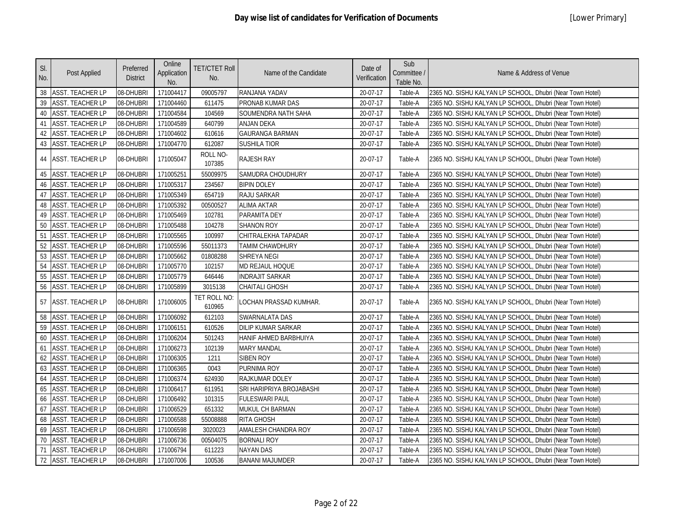| SI.<br>No. | Post Applied            | Preferred<br><b>District</b> | Online<br>Application<br>No. | <b>TET/CTET Roll</b><br>No. | Name of the Candidate     | Date of<br>Verification | Sub<br>Committee /<br>Table No. | Name & Address of Venue                                   |
|------------|-------------------------|------------------------------|------------------------------|-----------------------------|---------------------------|-------------------------|---------------------------------|-----------------------------------------------------------|
|            | 38 ASST. TEACHER LP     | 08-DHUBRI                    | 171004417                    | 09005797                    | RANJANA YADAV             | 20-07-17                | Table-A                         | 2365 NO. SISHU KALYAN LP SCHOOL, Dhubri (Near Town Hotel) |
| 39         | <b>ASST. TEACHER LP</b> | 08-DHUBRI                    | 171004460                    | 611475                      | PRONAB KUMAR DAS          | 20-07-17                | Table-A                         | 2365 NO. SISHU KALYAN LP SCHOOL, Dhubri (Near Town Hotel) |
| 40         | <b>ASST. TEACHER LP</b> | 08-DHUBRI                    | 171004584                    | 104569                      | SOUMENDRA NATH SAHA       | 20-07-17                | Table-A                         | 2365 NO. SISHU KALYAN LP SCHOOL, Dhubri (Near Town Hotel) |
| 41         | <b>ASST. TEACHER LP</b> | 08-DHUBRI                    | 171004589                    | 640799                      | <b>ANJAN DEKA</b>         | 20-07-17                | Table-A                         | 2365 NO. SISHU KALYAN LP SCHOOL, Dhubri (Near Town Hotel) |
| 42         | <b>ASST. TEACHER LP</b> | 08-DHUBRI                    | 171004602                    | 610616                      | <b>GAURANGA BARMAN</b>    | 20-07-17                | Table-A                         | 2365 NO. SISHU KALYAN LP SCHOOL, Dhubri (Near Town Hotel) |
| 43         | ASST. TEACHER LP        | 08-DHUBRI                    | 171004770                    | 612087                      | <b>SUSHILA TIOR</b>       | 20-07-17                | Table-A                         | 2365 NO. SISHU KALYAN LP SCHOOL, Dhubri (Near Town Hotel) |
| 44         | <b>ASST. TEACHER LP</b> | 08-DHUBRI                    | 171005047                    | ROLL NO-<br>107385          | <b>RAJESH RAY</b>         | 20-07-17                | Table-A                         | 2365 NO. SISHU KALYAN LP SCHOOL, Dhubri (Near Town Hotel) |
| 45         | <b>ASST. TEACHER LP</b> | 08-DHUBRI                    | 171005251                    | 55009975                    | <b>SAMUDRA CHOUDHURY</b>  | 20-07-17                | Table-A                         | 2365 NO. SISHU KALYAN LP SCHOOL, Dhubri (Near Town Hotel) |
| 46         | ASST. TEACHER LP        | 08-DHUBRI                    | 171005317                    | 234567                      | <b>BIPIN DOLEY</b>        | 20-07-17                | Table-A                         | 2365 NO. SISHU KALYAN LP SCHOOL, Dhubri (Near Town Hotel) |
| 47         | <b>ASST. TEACHER LP</b> | 08-DHUBRI                    | 171005349                    | 654719                      | RAJU SARKAR               | 20-07-17                | Table-A                         | 2365 NO. SISHU KALYAN LP SCHOOL, Dhubri (Near Town Hotel) |
| 48         | <b>ASST. TEACHER LP</b> | 08-DHUBRI                    | 171005392                    | 00500527                    | <b>ALIMA AKTAR</b>        | 20-07-17                | Table-A                         | 2365 NO. SISHU KALYAN LP SCHOOL, Dhubri (Near Town Hotel) |
| 49         | <b>ASST. TEACHER LP</b> | 08-DHUBRI                    | 171005469                    | 102781                      | PARAMITA DEY              | 20-07-17                | Table-A                         | 2365 NO. SISHU KALYAN LP SCHOOL, Dhubri (Near Town Hotel) |
| 50         | <b>ASST. TEACHER LP</b> | 08-DHUBRI                    | 171005488                    | 104278                      | <b>SHANON ROY</b>         | 20-07-17                | Table-A                         | 2365 NO. SISHU KALYAN LP SCHOOL, Dhubri (Near Town Hotel) |
| 51         | <b>ASST. TEACHER LP</b> | 08-DHUBRI                    | 171005565                    | 100997                      | CHITRALEKHA TAPADAR       | 20-07-17                | Table-A                         | 2365 NO. SISHU KALYAN LP SCHOOL, Dhubri (Near Town Hotel) |
| 52         | <b>ASST. TEACHER LP</b> | 08-DHUBRI                    | 171005596                    | 55011373                    | <b>TAMIM CHAWDHURY</b>    | 20-07-17                | Table-A                         | 2365 NO. SISHU KALYAN LP SCHOOL, Dhubri (Near Town Hotel) |
| 53         | ASST. TEACHER LP        | 08-DHUBRI                    | 171005662                    | 01808288                    | <b>SHREYA NEGI</b>        | 20-07-17                | Table-A                         | 2365 NO. SISHU KALYAN LP SCHOOL, Dhubri (Near Town Hotel) |
| 54         | <b>ASST. TEACHER LP</b> | 08-DHUBRI                    | 171005770                    | 102157                      | MD REJAUL HOQUE           | 20-07-17                | Table-A                         | 2365 NO. SISHU KALYAN LP SCHOOL, Dhubri (Near Town Hotel) |
| 55         | ASST. TEACHER LP        | 08-DHUBRI                    | 171005779                    | 646446                      | <b>INDRAJIT SARKAR</b>    | 20-07-17                | Table-A                         | 2365 NO. SISHU KALYAN LP SCHOOL, Dhubri (Near Town Hotel) |
| 56         | ASST. TEACHER LP        | 08-DHUBRI                    | 171005899                    | 3015138                     | <b>CHAITALI GHOSH</b>     | 20-07-17                | Table-A                         | 2365 NO. SISHU KALYAN LP SCHOOL, Dhubri (Near Town Hotel) |
|            | 57 ASST. TEACHER LP     | 08-DHUBRI                    | 171006005                    | TET ROLL NO:<br>610965      | LOCHAN PRASSAD KUMHAR.    | 20-07-17                | Table-A                         | 2365 NO. SISHU KALYAN LP SCHOOL, Dhubri (Near Town Hotel) |
| 58         | <b>ASST. TEACHER LP</b> | 08-DHUBRI                    | 171006092                    | 612103                      | SWARNALATA DAS            | 20-07-17                | Table-A                         | 2365 NO. SISHU KALYAN LP SCHOOL, Dhubri (Near Town Hotel) |
| 59         | <b>ASST. TEACHER LP</b> | 08-DHUBRI                    | 171006151                    | 610526                      | <b>DILIP KUMAR SARKAR</b> | 20-07-17                | Table-A                         | 2365 NO. SISHU KALYAN LP SCHOOL, Dhubri (Near Town Hotel) |
| 60         | <b>ASST. TEACHER LP</b> | 08-DHUBRI                    | 171006204                    | 501243                      | HANIF AHMED BARBHUIYA     | 20-07-17                | Table-A                         | 2365 NO. SISHU KALYAN LP SCHOOL, Dhubri (Near Town Hotel) |
| 61         | ASST. TEACHER LP        | 08-DHUBRI                    | 171006273                    | 102139                      | <b>MARY MANDAL</b>        | 20-07-17                | Table-A                         | 2365 NO. SISHU KALYAN LP SCHOOL, Dhubri (Near Town Hotel) |
| 62         | <b>ASST. TEACHER LP</b> | 08-DHUBRI                    | 171006305                    | 1211                        | <b>SIBEN ROY</b>          | 20-07-17                | Table-A                         | 2365 NO. SISHU KALYAN LP SCHOOL, Dhubri (Near Town Hotel) |
| 63         | <b>ASST. TEACHER LP</b> | 08-DHUBRI                    | 171006365                    | 0043                        | PURNIMA ROY               | 20-07-17                | Table-A                         | 2365 NO. SISHU KALYAN LP SCHOOL, Dhubri (Near Town Hotel) |
| 64         | <b>ASST. TEACHER LP</b> | 08-DHUBRI                    | 171006374                    | 624930                      | RAJKUMAR DOLEY            | 20-07-17                | Table-A                         | 2365 NO. SISHU KALYAN LP SCHOOL, Dhubri (Near Town Hotel) |
| 65         | <b>ASST. TEACHER LP</b> | 08-DHUBRI                    | 171006417                    | 611951                      | SRI HARIPRIYA BROJABASHI  | 20-07-17                | Table-A                         | 2365 NO. SISHU KALYAN LP SCHOOL, Dhubri (Near Town Hotel) |
| 66         | <b>ASST. TEACHER LP</b> | 08-DHUBRI                    | 171006492                    | 101315                      | <b>FULESWARI PAUL</b>     | 20-07-17                | Table-A                         | 2365 NO. SISHU KALYAN LP SCHOOL, Dhubri (Near Town Hotel) |
| 67         | <b>ASST. TEACHER LP</b> | 08-DHUBRI                    | 171006529                    | 651332                      | MUKUL CH BARMAN           | 20-07-17                | Table-A                         | 2365 NO. SISHU KALYAN LP SCHOOL, Dhubri (Near Town Hotel) |
| 68         | ASST. TEACHER LP        | 08-DHUBRI                    | 171006588                    | 55008888                    | <b>RITA GHOSH</b>         | 20-07-17                | Table-A                         | 2365 NO. SISHU KALYAN LP SCHOOL, Dhubri (Near Town Hotel) |
| 69         | <b>ASST. TEACHER LP</b> | 08-DHUBRI                    | 171006598                    | 3020023                     | AMALESH CHANDRA ROY       | 20-07-17                | Table-A                         | 2365 NO. SISHU KALYAN LP SCHOOL, Dhubri (Near Town Hotel) |
| 70         | <b>ASST. TEACHER LP</b> | 08-DHUBRI                    | 171006736                    | 00504075                    | <b>BORNALI ROY</b>        | 20-07-17                | Table-A                         | 2365 NO. SISHU KALYAN LP SCHOOL, Dhubri (Near Town Hotel) |
| 71         | <b>ASST. TEACHER LP</b> | 08-DHUBRI                    | 171006794                    | 611223                      | <b>NAYAN DAS</b>          | 20-07-17                | Table-A                         | 2365 NO. SISHU KALYAN LP SCHOOL, Dhubri (Near Town Hotel) |
|            | 72 ASST. TEACHER LP     | 08-DHUBRI                    | 171007006                    | 100536                      | <b>BANANI MAJUMDER</b>    | 20-07-17                | Table-A                         | 2365 NO. SISHU KALYAN LP SCHOOL, Dhubri (Near Town Hotel) |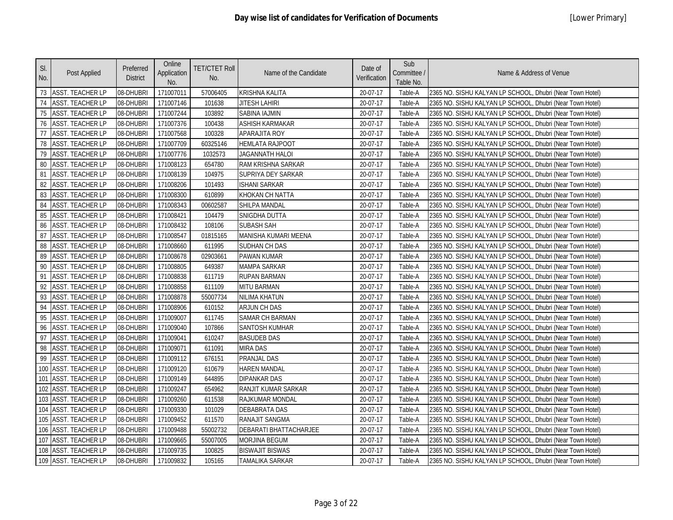| SI.<br>No. | Post Applied            | Preferred<br><b>District</b> | Online<br>Application<br>No. | <b>TET/CTET Roll</b><br>No. | Name of the Candidate  | Date of<br>Verification | Sub<br>Committee /<br>Table No. | Name & Address of Venue                                   |
|------------|-------------------------|------------------------------|------------------------------|-----------------------------|------------------------|-------------------------|---------------------------------|-----------------------------------------------------------|
|            | 73 ASST. TEACHER LP     | 08-DHUBRI                    | 171007011                    | 57006405                    | <b>KRISHNA KALITA</b>  | 20-07-17                | Table-A                         | 2365 NO. SISHU KALYAN LP SCHOOL, Dhubri (Near Town Hotel) |
| 74         | <b>ASST. TEACHER LP</b> | 08-DHUBRI                    | 171007146                    | 101638                      | <b>JITESH LAHIRI</b>   | 20-07-17                | Table-A                         | 2365 NO. SISHU KALYAN LP SCHOOL, Dhubri (Near Town Hotel) |
| 75         | <b>ASST. TEACHER LP</b> | 08-DHUBRI                    | 171007244                    | 103892                      | SABINA IAJMIN          | 20-07-17                | Table-A                         | 2365 NO. SISHU KALYAN LP SCHOOL, Dhubri (Near Town Hotel) |
| 76         | <b>ASST. TEACHER LP</b> | 08-DHUBRI                    | 171007376                    | 100438                      | <b>ASHISH KARMAKAR</b> | 20-07-17                | Table-A                         | 2365 NO. SISHU KALYAN LP SCHOOL, Dhubri (Near Town Hotel) |
| 77         | <b>ASST. TEACHER LP</b> | 08-DHUBRI                    | 171007568                    | 100328                      | APARAJITA ROY          | 20-07-17                | Table-A                         | 2365 NO. SISHU KALYAN LP SCHOOL, Dhubri (Near Town Hotel) |
| 78         | <b>ASST. TEACHER LP</b> | 08-DHUBRI                    | 171007709                    | 60325146                    | HEMLATA RAJPOOT        | 20-07-17                | Table-A                         | 2365 NO. SISHU KALYAN LP SCHOOL, Dhubri (Near Town Hotel) |
| 79         | <b>ASST. TEACHER LP</b> | 08-DHUBRI                    | 171007776                    | 1032573                     | JAGANNATH HALOI        | 20-07-17                | Table-A                         | 2365 NO. SISHU KALYAN LP SCHOOL, Dhubri (Near Town Hotel) |
| 80         | <b>ASST. TEACHER LP</b> | 08-DHUBRI                    | 171008123                    | 654780                      | RAM KRISHNA SARKAR     | 20-07-17                | Table-A                         | 2365 NO. SISHU KALYAN LP SCHOOL, Dhubri (Near Town Hotel) |
| 81         | <b>ASST. TEACHER LP</b> | 08-DHUBRI                    | 171008139                    | 104975                      | SUPRIYA DEY SARKAR     | 20-07-17                | Table-A                         | 2365 NO. SISHU KALYAN LP SCHOOL, Dhubri (Near Town Hotel) |
| 82         | <b>ASST. TEACHER LP</b> | 08-DHUBRI                    | 171008206                    | 101493                      | <b>ISHANI SARKAR</b>   | 20-07-17                | Table-A                         | 2365 NO. SISHU KALYAN LP SCHOOL, Dhubri (Near Town Hotel) |
| 83         | <b>ASST. TEACHER LP</b> | 08-DHUBRI                    | 171008300                    | 610899                      | KHOKAN CH NATTA        | 20-07-17                | Table-A                         | 2365 NO. SISHU KALYAN LP SCHOOL, Dhubri (Near Town Hotel) |
| 84         | <b>ASST. TEACHER LP</b> | 08-DHUBRI                    | 171008343                    | 00602587                    | SHILPA MANDAL          | 20-07-17                | Table-A                         | 2365 NO. SISHU KALYAN LP SCHOOL, Dhubri (Near Town Hotel) |
| 85         | <b>ASST. TEACHER LP</b> | 08-DHUBRI                    | 171008421                    | 104479                      | SNIGDHA DUTTA          | 20-07-17                | Table-A                         | 2365 NO. SISHU KALYAN LP SCHOOL, Dhubri (Near Town Hotel) |
| 86         | <b>ASST. TEACHER LP</b> | 08-DHUBRI                    | 171008432                    | 108106                      | <b>SUBASH SAH</b>      | 20-07-17                | Table-A                         | 2365 NO. SISHU KALYAN LP SCHOOL, Dhubri (Near Town Hotel) |
| 87         | <b>ASST. TEACHER LP</b> | 08-DHUBRI                    | 171008547                    | 01815165                    | MANISHA KUMARI MEENA   | 20-07-17                | Table-A                         | 2365 NO. SISHU KALYAN LP SCHOOL, Dhubri (Near Town Hotel) |
| 88         | <b>ASST. TEACHER LP</b> | 08-DHUBRI                    | 171008660                    | 611995                      | SUDHAN CH DAS          | 20-07-17                | Table-A                         | 2365 NO. SISHU KALYAN LP SCHOOL, Dhubri (Near Town Hotel) |
| 89         | <b>ASST. TEACHER LP</b> | 08-DHUBRI                    | 171008678                    | 02903661                    | <b>PAWAN KUMAR</b>     | 20-07-17                | Table-A                         | 2365 NO. SISHU KALYAN LP SCHOOL, Dhubri (Near Town Hotel) |
| 90         | <b>ASST. TEACHER LP</b> | 08-DHUBRI                    | 171008805                    | 649387                      | <b>MAMPA SARKAR</b>    | 20-07-17                | Table-A                         | 2365 NO. SISHU KALYAN LP SCHOOL, Dhubri (Near Town Hotel) |
| 91         | <b>ASST. TEACHER LP</b> | 08-DHUBRI                    | 171008838                    | 611719                      | <b>RUPAN BARMAN</b>    | 20-07-17                | Table-A                         | 2365 NO. SISHU KALYAN LP SCHOOL, Dhubri (Near Town Hotel) |
| 92         | <b>ASST. TEACHER LP</b> | 08-DHUBRI                    | 171008858                    | 611109                      | <b>MITU BARMAN</b>     | 20-07-17                | Table-A                         | 2365 NO. SISHU KALYAN LP SCHOOL, Dhubri (Near Town Hotel) |
| 93         | <b>ASST. TEACHER LP</b> | 08-DHUBRI                    | 171008878                    | 55007734                    | NILIMA KHATUN          | 20-07-17                | Table-A                         | 2365 NO. SISHU KALYAN LP SCHOOL, Dhubri (Near Town Hotel) |
| 94         | <b>ASST. TEACHER LP</b> | 08-DHUBRI                    | 171008906                    | 610152                      | <b>ARJUN CH DAS</b>    | 20-07-17                | Table-A                         | 2365 NO. SISHU KALYAN LP SCHOOL, Dhubri (Near Town Hotel) |
| 95         | <b>ASST. TEACHER LP</b> | 08-DHUBRI                    | 171009007                    | 611745                      | <b>SAMAR CH BARMAN</b> | 20-07-17                | Table-A                         | 2365 NO. SISHU KALYAN LP SCHOOL, Dhubri (Near Town Hotel) |
| 96         | <b>ASST. TEACHER LP</b> | 08-DHUBRI                    | 171009040                    | 107866                      | SANTOSH KUMHAR         | 20-07-17                | Table-A                         | 2365 NO. SISHU KALYAN LP SCHOOL, Dhubri (Near Town Hotel) |
| 97         | <b>ASST. TEACHER LP</b> | 08-DHUBRI                    | 171009041                    | 610247                      | <b>BASUDEB DAS</b>     | 20-07-17                | Table-A                         | 2365 NO. SISHU KALYAN LP SCHOOL, Dhubri (Near Town Hotel) |
| 98         | <b>ASST. TEACHER LP</b> | 08-DHUBRI                    | 171009071                    | 611091                      | <b>MIRA DAS</b>        | 20-07-17                | Table-A                         | 2365 NO. SISHU KALYAN LP SCHOOL, Dhubri (Near Town Hotel) |
| 99         | <b>ASST. TEACHER LP</b> | 08-DHUBRI                    | 171009112                    | 676151                      | PRANJAL DAS            | 20-07-17                | Table-A                         | 2365 NO. SISHU KALYAN LP SCHOOL, Dhubri (Near Town Hotel) |
|            | 100 ASST. TEACHER LP    | 08-DHUBRI                    | 171009120                    | 610679                      | <b>HAREN MANDAL</b>    | 20-07-17                | Table-A                         | 2365 NO. SISHU KALYAN LP SCHOOL, Dhubri (Near Town Hotel) |
|            | 101 ASST. TEACHER LP    | 08-DHUBRI                    | 171009149                    | 644895                      | <b>DIPANKAR DAS</b>    | 20-07-17                | Table-A                         | 2365 NO. SISHU KALYAN LP SCHOOL, Dhubri (Near Town Hotel) |
| 102        | <b>ASST. TEACHER LP</b> | 08-DHUBRI                    | 171009247                    | 654962                      | RANJIT KUMAR SARKAR    | 20-07-17                | Table-A                         | 2365 NO. SISHU KALYAN LP SCHOOL, Dhubri (Near Town Hotel) |
| 103        | <b>ASST. TEACHER LP</b> | 08-DHUBRI                    | 171009260                    | 611538                      | RAJKUMAR MONDAL        | 20-07-17                | Table-A                         | 2365 NO. SISHU KALYAN LP SCHOOL, Dhubri (Near Town Hotel) |
| 104        | <b>ASST. TEACHER LP</b> | 08-DHUBRI                    | 171009330                    | 101029                      | <b>DEBABRATA DAS</b>   | 20-07-17                | Table-A                         | 2365 NO. SISHU KALYAN LP SCHOOL, Dhubri (Near Town Hotel) |
|            | 105 ASST. TEACHER LP    | 08-DHUBRI                    | 171009452                    | 611570                      | RANAJIT SANGMA         | 20-07-17                | Table-A                         | 2365 NO. SISHU KALYAN LP SCHOOL, Dhubri (Near Town Hotel) |
|            | 106 ASST. TEACHER LP    | 08-DHUBRI                    | 171009488                    | 55002732                    | DEBARATI BHATTACHARJEE | 20-07-17                | Table-A                         | 2365 NO. SISHU KALYAN LP SCHOOL, Dhubri (Near Town Hotel) |
|            | 107 ASST. TEACHER LP    | 08-DHUBRI                    | 171009665                    | 55007005                    | MORJINA BEGUM          | 20-07-17                | Table-A                         | 2365 NO. SISHU KALYAN LP SCHOOL, Dhubri (Near Town Hotel) |
|            | 108 ASST. TEACHER LP    | 08-DHUBRI                    | 171009735                    | 100825                      | <b>BISWAJIT BISWAS</b> | 20-07-17                | Table-A                         | 2365 NO. SISHU KALYAN LP SCHOOL, Dhubri (Near Town Hotel) |
|            | 109 ASST. TEACHER LP    | 08-DHUBRI                    | 171009832                    | 105165                      | <b>TAMALIKA SARKAR</b> | 20-07-17                | Table-A                         | 2365 NO. SISHU KALYAN LP SCHOOL, Dhubri (Near Town Hotel) |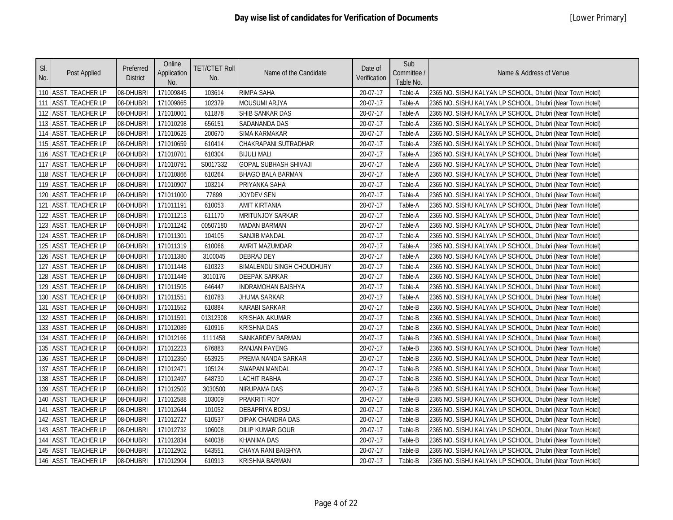| SI.<br>No. | Post Applied            | Preferred<br><b>District</b> | Online<br>Application<br>No. | <b>TET/CTET Roll</b><br>No. | Name of the Candidate            | Date of<br>Verification | Sub<br>Committee /<br>Table No. | Name & Address of Venue                                   |
|------------|-------------------------|------------------------------|------------------------------|-----------------------------|----------------------------------|-------------------------|---------------------------------|-----------------------------------------------------------|
|            | 110 ASST. TEACHER LP    | 08-DHUBRI                    | 171009845                    | 103614                      | <b>RIMPA SAHA</b>                | 20-07-17                | Table-A                         | 2365 NO. SISHU KALYAN LP SCHOOL, Dhubri (Near Town Hotel) |
| 111        | <b>ASST. TEACHER LP</b> | 08-DHUBRI                    | 171009865                    | 102379                      | <b>MOUSUMI ARJYA</b>             | 20-07-17                | Table-A                         | 2365 NO. SISHU KALYAN LP SCHOOL, Dhubri (Near Town Hotel) |
| 112        | ASST. TEACHER LP        | 08-DHUBRI                    | 171010001                    | 611878                      | SHIB SANKAR DAS                  | 20-07-17                | Table-A                         | 2365 NO. SISHU KALYAN LP SCHOOL, Dhubri (Near Town Hotel) |
| 113        | <b>ASST. TEACHER LP</b> | 08-DHUBRI                    | 171010298                    | 656151                      | SADANANDA DAS                    | 20-07-17                | Table-A                         | 2365 NO. SISHU KALYAN LP SCHOOL, Dhubri (Near Town Hotel) |
| 114        | ASST. TEACHER LP        | 08-DHUBRI                    | 171010625                    | 200670                      | SIMA KARMAKAR                    | 20-07-17                | Table-A                         | 2365 NO. SISHU KALYAN LP SCHOOL, Dhubri (Near Town Hotel) |
|            | 115 ASST. TEACHER LP    | 08-DHUBRI                    | 171010659                    | 610414                      | CHAKRAPANI SUTRADHAR             | 20-07-17                | Table-A                         | 2365 NO. SISHU KALYAN LP SCHOOL, Dhubri (Near Town Hotel) |
|            | 116 ASST. TEACHER LP    | 08-DHUBRI                    | 171010701                    | 610304                      | <b>BIJULI MALI</b>               | 20-07-17                | Table-A                         | 2365 NO. SISHU KALYAN LP SCHOOL, Dhubri (Near Town Hotel) |
|            | 117 ASST. TEACHER LP    | 08-DHUBRI                    | 171010791                    | S0017332                    | <b>GOPAL SUBHASH SHIVAJI</b>     | 20-07-17                | Table-A                         | 2365 NO. SISHU KALYAN LP SCHOOL, Dhubri (Near Town Hotel) |
|            | 118 ASST. TEACHER LP    | 08-DHUBRI                    | 171010866                    | 610264                      | <b>BHAGO BALA BARMAN</b>         | 20-07-17                | Table-A                         | 2365 NO. SISHU KALYAN LP SCHOOL, Dhubri (Near Town Hotel) |
| 119        | <b>ASST. TEACHER LP</b> | 08-DHUBRI                    | 171010907                    | 103214                      | PRIYANKA SAHA                    | 20-07-17                | Table-A                         | 2365 NO. SISHU KALYAN LP SCHOOL, Dhubri (Near Town Hotel) |
| 120        | <b>ASST. TEACHER LP</b> | 08-DHUBRI                    | 171011000                    | 77899                       | JOYDEV SEN                       | 20-07-17                | Table-A                         | 2365 NO. SISHU KALYAN LP SCHOOL, Dhubri (Near Town Hotel) |
| 121        | <b>ASST. TEACHER LP</b> | 08-DHUBRI                    | 171011191                    | 610053                      | AMIT KIRTANIA                    | 20-07-17                | Table-A                         | 2365 NO. SISHU KALYAN LP SCHOOL, Dhubri (Near Town Hotel) |
|            | 122 ASST. TEACHER LP    | 08-DHUBRI                    | 171011213                    | 611170                      | MRITUNJOY SARKAR                 | 20-07-17                | Table-A                         | 2365 NO. SISHU KALYAN LP SCHOOL, Dhubri (Near Town Hotel) |
|            | 123 ASST. TEACHER LP    | 08-DHUBRI                    | 171011242                    | 00507180                    | <b>MADAN BARMAN</b>              | 20-07-17                | Table-A                         | 2365 NO. SISHU KALYAN LP SCHOOL, Dhubri (Near Town Hotel) |
|            | 124 ASST. TEACHER LP    | 08-DHUBRI                    | 171011301                    | 104105                      | <b>SANJIB MANDAL</b>             | 20-07-17                | Table-A                         | 2365 NO. SISHU KALYAN LP SCHOOL, Dhubri (Near Town Hotel) |
|            | 125 ASST. TEACHER LP    | 08-DHUBRI                    | 171011319                    | 610066                      | AMRIT MAZUMDAR                   | 20-07-17                | Table-A                         | 2365 NO. SISHU KALYAN LP SCHOOL, Dhubri (Near Town Hotel) |
| 126        | <b>ASST. TEACHER LP</b> | 08-DHUBRI                    | 171011380                    | 3100045                     | <b>DEBRAJ DEY</b>                | 20-07-17                | Table-A                         | 2365 NO. SISHU KALYAN LP SCHOOL, Dhubri (Near Town Hotel) |
| 127        | <b>ASST. TEACHER LP</b> | 08-DHUBRI                    | 171011448                    | 610323                      | <b>BIMALENDU SINGH CHOUDHURY</b> | 20-07-17                | Table-A                         | 2365 NO. SISHU KALYAN LP SCHOOL, Dhubri (Near Town Hotel) |
|            | 128 ASST. TEACHER LP    | 08-DHUBRI                    | 171011449                    | 3010176                     | DEEPAK SARKAR                    | 20-07-17                | Table-A                         | 2365 NO. SISHU KALYAN LP SCHOOL, Dhubri (Near Town Hotel) |
|            | 129 ASST. TEACHER LP    | 08-DHUBRI                    | 171011505                    | 646447                      | <b>INDRAMOHAN BAISHYA</b>        | 20-07-17                | Table-A                         | 2365 NO. SISHU KALYAN LP SCHOOL, Dhubri (Near Town Hotel) |
|            | 130 ASST. TEACHER LP    | 08-DHUBRI                    | 171011551                    | 610783                      | JHUMA SARKAR                     | 20-07-17                | Table-A                         | 2365 NO. SISHU KALYAN LP SCHOOL, Dhubri (Near Town Hotel) |
|            | 131 ASST. TEACHER LP    | 08-DHUBRI                    | 171011552                    | 610884                      | KARABI SARKAR                    | 20-07-17                | Table-B                         | 2365 NO. SISHU KALYAN LP SCHOOL, Dhubri (Near Town Hotel) |
|            | 132 ASST. TEACHER LP    | 08-DHUBRI                    | 171011591                    | 01312308                    | <b>KRISHAN AKUMAR</b>            | 20-07-17                | Table-B                         | 2365 NO. SISHU KALYAN LP SCHOOL, Dhubri (Near Town Hotel) |
|            | 133 ASST. TEACHER LP    | 08-DHUBRI                    | 171012089                    | 610916                      | <b>KRISHNA DAS</b>               | 20-07-17                | Table-B                         | 2365 NO. SISHU KALYAN LP SCHOOL, Dhubri (Near Town Hotel) |
| 134        | <b>ASST. TEACHER LP</b> | 08-DHUBRI                    | 171012166                    | 1111458                     | SANKARDEV BARMAN                 | 20-07-17                | Table-B                         | 2365 NO. SISHU KALYAN LP SCHOOL, Dhubri (Near Town Hotel) |
|            | 135 ASST. TEACHER LP    | 08-DHUBRI                    | 171012223                    | 676883                      | <b>RANJAN PAYENG</b>             | 20-07-17                | Table-B                         | 2365 NO. SISHU KALYAN LP SCHOOL, Dhubri (Near Town Hotel) |
|            | 136 ASST. TEACHER LP    | 08-DHUBRI                    | 171012350                    | 653925                      | PREMA NANDA SARKAR               | 20-07-17                | Table-B                         | 2365 NO. SISHU KALYAN LP SCHOOL, Dhubri (Near Town Hotel) |
|            | 137 ASST. TEACHER LP    | 08-DHUBRI                    | 171012471                    | 105124                      | <b>SWAPAN MANDAL</b>             | 20-07-17                | Table-B                         | 2365 NO. SISHU KALYAN LP SCHOOL, Dhubri (Near Town Hotel) |
|            | 138 ASST. TEACHER LP    | 08-DHUBRI                    | 171012497                    | 648730                      | <b>LACHIT RABHA</b>              | 20-07-17                | Table-B                         | 2365 NO. SISHU KALYAN LP SCHOOL, Dhubri (Near Town Hotel) |
| 139        | <b>ASST. TEACHER LP</b> | 08-DHUBRI                    | 171012502                    | 3030500                     | NIRUPAMA DAS                     | 20-07-17                | Table-B                         | 2365 NO. SISHU KALYAN LP SCHOOL, Dhubri (Near Town Hotel) |
| 140        | <b>ASST. TEACHER LP</b> | 08-DHUBRI                    | 171012588                    | 103009                      | PRAKRITI ROY                     | 20-07-17                | Table-B                         | 2365 NO. SISHU KALYAN LP SCHOOL, Dhubri (Near Town Hotel) |
| 141        | <b>ASST. TEACHER LP</b> | 08-DHUBRI                    | 171012644                    | 101052                      | <b>DEBAPRIYA BOSU</b>            | 20-07-17                | Table-B                         | 2365 NO. SISHU KALYAN LP SCHOOL, Dhubri (Near Town Hotel) |
|            | 142 ASST. TEACHER LP    | 08-DHUBRI                    | 171012727                    | 610537                      | DIPAK CHANDRA DAS                | 20-07-17                | Table-B                         | 2365 NO. SISHU KALYAN LP SCHOOL, Dhubri (Near Town Hotel) |
|            | 143 ASST. TEACHER LP    | 08-DHUBRI                    | 171012732                    | 106008                      | <b>DILIP KUMAR GOUR</b>          | 20-07-17                | Table-B                         | 2365 NO. SISHU KALYAN LP SCHOOL, Dhubri (Near Town Hotel) |
|            | 144 ASST. TEACHER LP    | 08-DHUBRI                    | 171012834                    | 640038                      | <b>KHANIMA DAS</b>               | 20-07-17                | Table-B                         | 2365 NO. SISHU KALYAN LP SCHOOL, Dhubri (Near Town Hotel) |
|            | 145 ASST. TEACHER LP    | 08-DHUBRI                    | 171012902                    | 643551                      | CHAYA RANI BAISHYA               | 20-07-17                | Table-B                         | 2365 NO. SISHU KALYAN LP SCHOOL, Dhubri (Near Town Hotel) |
|            | 146 ASST. TEACHER LP    | 08-DHUBRI                    | 171012904                    | 610913                      | <b>KRISHNA BARMAN</b>            | 20-07-17                | Table-B                         | 2365 NO. SISHU KALYAN LP SCHOOL, Dhubri (Near Town Hotel) |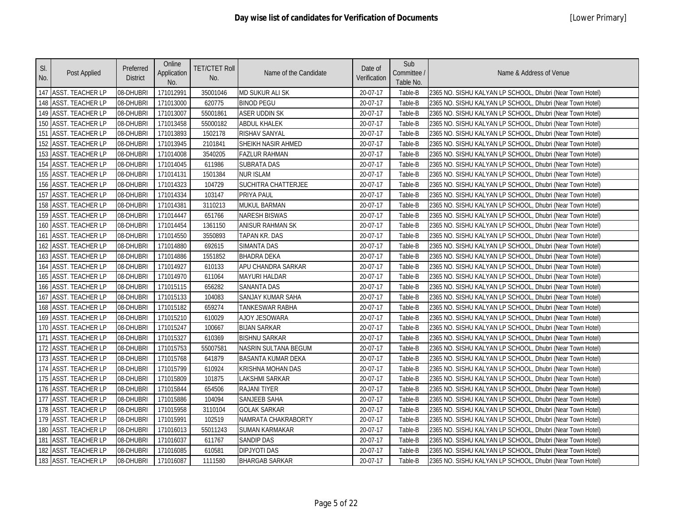| SI.<br>No. | Post Applied            | Preferred<br><b>District</b> | Online<br>Application<br>No. | <b>TET/CTET Roll</b><br>No. | Name of the Candidate      | Date of<br>Verification | Sub<br>Committee /<br>Table No. | Name & Address of Venue                                   |
|------------|-------------------------|------------------------------|------------------------------|-----------------------------|----------------------------|-------------------------|---------------------------------|-----------------------------------------------------------|
|            | 147 ASST. TEACHER LP    | 08-DHUBRI                    | 171012991                    | 35001046                    | <b>MD SUKUR ALI SK</b>     | 20-07-17                | Table-B                         | 2365 NO. SISHU KALYAN LP SCHOOL, Dhubri (Near Town Hotel) |
|            | 148 ASST. TEACHER LP    | 08-DHUBRI                    | 171013000                    | 620775                      | <b>BINOD PEGU</b>          | 20-07-17                | Table-B                         | 2365 NO. SISHU KALYAN LP SCHOOL, Dhubri (Near Town Hotel) |
| 149        | <b>ASST. TEACHER LP</b> | 08-DHUBRI                    | 171013007                    | 55001861                    | <b>ASER UDDIN SK</b>       | 20-07-17                | Table-B                         | 2365 NO. SISHU KALYAN LP SCHOOL, Dhubri (Near Town Hotel) |
| 150        | <b>ASST. TEACHER LP</b> | 08-DHUBRI                    | 171013458                    | 55000182                    | <b>ABDUL KHALEK</b>        | 20-07-17                | Table-B                         | 2365 NO. SISHU KALYAN LP SCHOOL, Dhubri (Near Town Hotel) |
| 151        | ASST. TEACHER LP        | 08-DHUBRI                    | 171013893                    | 1502178                     | RISHAV SANYAL              | 20-07-17                | Table-B                         | 2365 NO. SISHU KALYAN LP SCHOOL, Dhubri (Near Town Hotel) |
|            | 152 ASST. TEACHER LP    | 08-DHUBRI                    | 171013945                    | 2101841                     | SHEIKH NASIR AHMED         | 20-07-17                | Table-B                         | 2365 NO. SISHU KALYAN LP SCHOOL, Dhubri (Near Town Hotel) |
|            | 153 ASST. TEACHER LP    | 08-DHUBRI                    | 171014008                    | 3540205                     | <b>FAZLUR RAHMAN</b>       | 20-07-17                | Table-B                         | 2365 NO. SISHU KALYAN LP SCHOOL, Dhubri (Near Town Hotel) |
|            | 154 ASST. TEACHER LP    | 08-DHUBRI                    | 171014045                    | 611986                      | <b>SUBRATA DAS</b>         | 20-07-17                | Table-B                         | 2365 NO. SISHU KALYAN LP SCHOOL, Dhubri (Near Town Hotel) |
|            | 155 ASST. TEACHER LP    | 08-DHUBRI                    | 171014131                    | 1501384                     | <b>NUR ISLAM</b>           | 20-07-17                | Table-B                         | 2365 NO. SISHU KALYAN LP SCHOOL, Dhubri (Near Town Hotel) |
|            | 156 ASST. TEACHER LP    | 08-DHUBRI                    | 171014323                    | 104729                      | <b>SUCHITRA CHATTERJEE</b> | 20-07-17                | Table-B                         | 2365 NO. SISHU KALYAN LP SCHOOL, Dhubri (Near Town Hotel) |
| 157        | ASST. TEACHER LP        | 08-DHUBRI                    | 171014334                    | 103147                      | PRIYA PAUL                 | 20-07-17                | Table-B                         | 2365 NO. SISHU KALYAN LP SCHOOL, Dhubri (Near Town Hotel) |
|            | 158 ASST. TEACHER LP    | 08-DHUBRI                    | 171014381                    | 3110213                     | <b>MUKUL BARMAN</b>        | 20-07-17                | Table-B                         | 2365 NO. SISHU KALYAN LP SCHOOL, Dhubri (Near Town Hotel) |
|            | 159 ASST. TEACHER LP    | 08-DHUBRI                    | 171014447                    | 651766                      | <b>NARESH BISWAS</b>       | 20-07-17                | Table-B                         | 2365 NO. SISHU KALYAN LP SCHOOL, Dhubri (Near Town Hotel) |
|            | 160 ASST. TEACHER LP    | 08-DHUBRI                    | 171014454                    | 1361150                     | ANISUR RAHMAN SK           | 20-07-17                | Table-B                         | 2365 NO. SISHU KALYAN LP SCHOOL, Dhubri (Near Town Hotel) |
| 161        | <b>ASST. TEACHER LP</b> | 08-DHUBRI                    | 171014550                    | 3550893                     | <b>TAPAN KR. DAS</b>       | 20-07-17                | Table-B                         | 2365 NO. SISHU KALYAN LP SCHOOL, Dhubri (Near Town Hotel) |
|            | 162 ASST. TEACHER LP    | 08-DHUBRI                    | 171014880                    | 692615                      | <b>SIMANTA DAS</b>         | 20-07-17                | Table-B                         | 2365 NO. SISHU KALYAN LP SCHOOL, Dhubri (Near Town Hotel) |
| 163        | <b>ASST. TEACHER LP</b> | 08-DHUBRI                    | 171014886                    | 1551852                     | <b>BHADRA DEKA</b>         | 20-07-17                | Table-B                         | 2365 NO. SISHU KALYAN LP SCHOOL, Dhubri (Near Town Hotel) |
| 164        | ASST. TEACHER LP        | 08-DHUBRI                    | 171014927                    | 610133                      | APU CHANDRA SARKAR         | 20-07-17                | Table-B                         | 2365 NO. SISHU KALYAN LP SCHOOL, Dhubri (Near Town Hotel) |
| 165        | <b>ASST. TEACHER LP</b> | 08-DHUBRI                    | 171014970                    | 611064                      | <b>MAYURI HALDAR</b>       | 20-07-17                | Table-B                         | 2365 NO. SISHU KALYAN LP SCHOOL, Dhubri (Near Town Hotel) |
|            | 166 ASST. TEACHER LP    | 08-DHUBRI                    | 171015115                    | 656282                      | <b>SANANTA DAS</b>         | 20-07-17                | Table-B                         | 2365 NO. SISHU KALYAN LP SCHOOL, Dhubri (Near Town Hotel) |
|            | 167 ASST. TEACHER LP    | 08-DHUBRI                    | 171015133                    | 104083                      | SANJAY KUMAR SAHA          | 20-07-17                | Table-B                         | 2365 NO. SISHU KALYAN LP SCHOOL, Dhubri (Near Town Hotel) |
|            | 168 ASST. TEACHER LP    | 08-DHUBRI                    | 171015182                    | 659274                      | <b>TANKESWAR RABHA</b>     | 20-07-17                | Table-B                         | 2365 NO. SISHU KALYAN LP SCHOOL, Dhubri (Near Town Hotel) |
|            | 169 ASST. TEACHER LP    | 08-DHUBRI                    | 171015210                    | 610029                      | <b>AJOY JESOWARA</b>       | 20-07-17                | Table-B                         | 2365 NO. SISHU KALYAN LP SCHOOL, Dhubri (Near Town Hotel) |
| 170        | <b>ASST. TEACHER LP</b> | 08-DHUBRI                    | 171015247                    | 100667                      | <b>BIJAN SARKAR</b>        | 20-07-17                | Table-B                         | 2365 NO. SISHU KALYAN LP SCHOOL, Dhubri (Near Town Hotel) |
| 171        | <b>ASST. TEACHER LP</b> | 08-DHUBRI                    | 171015327                    | 610369                      | <b>BISHNU SARKAR</b>       | 20-07-17                | Table-B                         | 2365 NO. SISHU KALYAN LP SCHOOL, Dhubri (Near Town Hotel) |
| 172        | <b>ASST. TEACHER LP</b> | 08-DHUBRI                    | 171015753                    | 55007581                    | NASRIN SULTANA BEGUM       | 20-07-17                | Table-B                         | 2365 NO. SISHU KALYAN LP SCHOOL, Dhubri (Near Town Hotel) |
|            | 173 ASST. TEACHER LP    | 08-DHUBRI                    | 171015768                    | 641879                      | <b>BASANTA KUMAR DEKA</b>  | 20-07-17                | Table-B                         | 2365 NO. SISHU KALYAN LP SCHOOL, Dhubri (Near Town Hotel) |
| 174        | <b>ASST. TEACHER LP</b> | 08-DHUBRI                    | 171015799                    | 610924                      | <b>KRISHNA MOHAN DAS</b>   | 20-07-17                | Table-B                         | 2365 NO. SISHU KALYAN LP SCHOOL, Dhubri (Near Town Hotel) |
|            | 175 ASST. TEACHER LP    | 08-DHUBRI                    | 171015809                    | 101875                      | <b>LAKSHMI SARKAR</b>      | 20-07-17                | Table-B                         | 2365 NO. SISHU KALYAN LP SCHOOL, Dhubri (Near Town Hotel) |
|            | 176 ASST. TEACHER LP    | 08-DHUBRI                    | 171015844                    | 654506                      | <b>RAJANI TIYER</b>        | 20-07-17                | Table-B                         | 2365 NO. SISHU KALYAN LP SCHOOL, Dhubri (Near Town Hotel) |
| 177        | <b>ASST. TEACHER LP</b> | 08-DHUBRI                    | 171015886                    | 104094                      | SANJEEB SAHA               | 20-07-17                | Table-B                         | 2365 NO. SISHU KALYAN LP SCHOOL, Dhubri (Near Town Hotel) |
|            | 178 ASST. TEACHER LP    | 08-DHUBRI                    | 171015958                    | 3110104                     | <b>GOLAK SARKAR</b>        | 20-07-17                | Table-B                         | 2365 NO. SISHU KALYAN LP SCHOOL, Dhubri (Near Town Hotel) |
|            | 179 ASST. TEACHER LP    | 08-DHUBRI                    | 171015991                    | 102519                      | NAMRATA CHAKRABORTY        | 20-07-17                | Table-B                         | 2365 NO. SISHU KALYAN LP SCHOOL, Dhubri (Near Town Hotel) |
| 180        | <b>ASST. TEACHER LP</b> | 08-DHUBRI                    | 171016013                    | 55011243                    | SUMAN KARMAKAR             | 20-07-17                | Table-B                         | 2365 NO. SISHU KALYAN LP SCHOOL, Dhubri (Near Town Hotel) |
|            | 181 ASST. TEACHER LP    | 08-DHUBRI                    | 171016037                    | 611767                      | <b>SANDIP DAS</b>          | 20-07-17                | Table-B                         | 2365 NO. SISHU KALYAN LP SCHOOL, Dhubri (Near Town Hotel) |
|            | 182 ASST. TEACHER LP    | 08-DHUBRI                    | 171016085                    | 610581                      | <b>DIPJYOTI DAS</b>        | 20-07-17                | Table-B                         | 2365 NO. SISHU KALYAN LP SCHOOL, Dhubri (Near Town Hotel) |
|            | 183 ASST. TEACHER LP    | 08-DHUBRI                    | 171016087                    | 1111580                     | <b>BHARGAB SARKAR</b>      | 20-07-17                | Table-B                         | 2365 NO. SISHU KALYAN LP SCHOOL, Dhubri (Near Town Hotel) |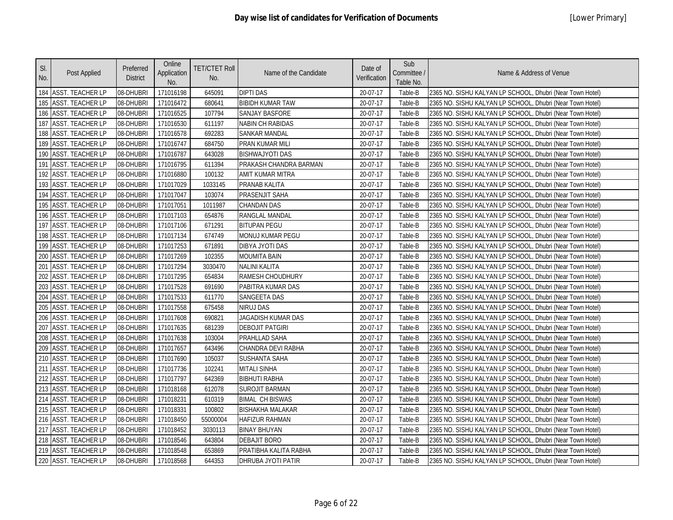| SI.<br>No.      | Post Applied            | Preferred<br><b>District</b> | Online<br>Application<br>No. | <b>TET/CTET Roll</b><br>No. | Name of the Candidate     | Date of<br>Verification | Sub<br>Committee /<br>Table No. | Name & Address of Venue                                   |
|-----------------|-------------------------|------------------------------|------------------------------|-----------------------------|---------------------------|-------------------------|---------------------------------|-----------------------------------------------------------|
|                 | 184 ASST. TEACHER LP    | 08-DHUBRI                    | 171016198                    | 645091                      | <b>DIPTI DAS</b>          | 20-07-17                | Table-B                         | 2365 NO. SISHU KALYAN LP SCHOOL, Dhubri (Near Town Hotel) |
|                 | 185 ASST. TEACHER LP    | 08-DHUBRI                    | 171016472                    | 680641                      | <b>BIBIDH KUMAR TAW</b>   | 20-07-17                | Table-B                         | 2365 NO. SISHU KALYAN LP SCHOOL, Dhubri (Near Town Hotel) |
|                 | 186 ASST. TEACHER LP    | 08-DHUBRI                    | 171016525                    | 107794                      | <b>SANJAY BASFORE</b>     | 20-07-17                | Table-B                         | 2365 NO. SISHU KALYAN LP SCHOOL, Dhubri (Near Town Hotel) |
| 187             | <b>ASST. TEACHER LP</b> | 08-DHUBRI                    | 171016530                    | 611197                      | <b>NABIN CH RABIDAS</b>   | 20-07-17                | Table-B                         | 2365 NO. SISHU KALYAN LP SCHOOL, Dhubri (Near Town Hotel) |
| 188             | <b>ASST. TEACHER LP</b> | 08-DHUBRI                    | 171016578                    | 692283                      | SANKAR MANDAL             | 20-07-17                | Table-B                         | 2365 NO. SISHU KALYAN LP SCHOOL, Dhubri (Near Town Hotel) |
| 189             | <b>ASST. TEACHER LP</b> | 08-DHUBRI                    | 171016747                    | 684750                      | PRAN KUMAR MILI           | 20-07-17                | Table-B                         | 2365 NO. SISHU KALYAN LP SCHOOL, Dhubri (Near Town Hotel) |
|                 | 190 ASST. TEACHER LP    | 08-DHUBRI                    | 171016787                    | 643028                      | <b>BISHWAJYOTI DAS</b>    | 20-07-17                | Table-B                         | 2365 NO. SISHU KALYAN LP SCHOOL, Dhubri (Near Town Hotel) |
|                 | 191 ASST. TEACHER LP    | 08-DHUBRI                    | 171016795                    | 611394                      | PRAKASH CHANDRA BARMAN    | 20-07-17                | Table-B                         | 2365 NO. SISHU KALYAN LP SCHOOL, Dhubri (Near Town Hotel) |
|                 | 192 ASST. TEACHER LP    | 08-DHUBRI                    | 171016880                    | 100132                      | AMIT KUMAR MITRA          | 20-07-17                | Table-B                         | 2365 NO. SISHU KALYAN LP SCHOOL, Dhubri (Near Town Hotel) |
| 193             | <b>ASST. TEACHER LP</b> | 08-DHUBRI                    | 171017029                    | 1033145                     | PRANAB KALITA             | 20-07-17                | Table-B                         | 2365 NO. SISHU KALYAN LP SCHOOL, Dhubri (Near Town Hotel) |
| 194             | ASST. TEACHER LP        | 08-DHUBRI                    | 171017047                    | 103074                      | PRASENJIT SAHA            | 20-07-17                | Table-B                         | 2365 NO. SISHU KALYAN LP SCHOOL, Dhubri (Near Town Hotel) |
|                 | 195 ASST. TEACHER LP    | 08-DHUBRI                    | 171017051                    | 1011987                     | <b>CHANDAN DAS</b>        | 20-07-17                | Table-B                         | 2365 NO. SISHU KALYAN LP SCHOOL, Dhubri (Near Town Hotel) |
|                 | 196 ASST. TEACHER LP    | 08-DHUBRI                    | 171017103                    | 654876                      | RANGLAL MANDAL            | 20-07-17                | Table-B                         | 2365 NO. SISHU KALYAN LP SCHOOL, Dhubri (Near Town Hotel) |
| 197             | <b>ASST. TEACHER LP</b> | 08-DHUBRI                    | 171017106                    | 671291                      | <b>BITUPAN PEGU</b>       | 20-07-17                | Table-B                         | 2365 NO. SISHU KALYAN LP SCHOOL, Dhubri (Near Town Hotel) |
|                 | 198 ASST. TEACHER LP    | 08-DHUBRI                    | 171017134                    | 674749                      | MONUJ KUMAR PEGU          | 20-07-17                | Table-B                         | 2365 NO. SISHU KALYAN LP SCHOOL, Dhubri (Near Town Hotel) |
|                 | 199 ASST. TEACHER LP    | 08-DHUBRI                    | 171017253                    | 671891                      | DIBYA JYOTI DAS           | 20-07-17                | Table-B                         | 2365 NO. SISHU KALYAN LP SCHOOL, Dhubri (Near Town Hotel) |
| 200             | <b>ASST. TEACHER LP</b> | 08-DHUBRI                    | 171017269                    | 102355                      | <b>MOUMITA BAIN</b>       | 20-07-17                | Table-B                         | 2365 NO. SISHU KALYAN LP SCHOOL, Dhubri (Near Town Hotel) |
| 20 <sup>2</sup> | <b>ASST. TEACHER LP</b> | 08-DHUBRI                    | 171017294                    | 3030470                     | <b>NALINI KALITA</b>      | 20-07-17                | Table-B                         | 2365 NO. SISHU KALYAN LP SCHOOL, Dhubri (Near Town Hotel) |
| 202             | <b>ASST. TEACHER LP</b> | 08-DHUBRI                    | 171017295                    | 654834                      | RAMESH CHOUDHURY          | 20-07-17                | Table-B                         | 2365 NO. SISHU KALYAN LP SCHOOL, Dhubri (Near Town Hotel) |
| 203             | <b>ASST. TEACHER LP</b> | 08-DHUBRI                    | 171017528                    | 691690                      | PABITRA KUMAR DAS         | 20-07-17                | Table-B                         | 2365 NO. SISHU KALYAN LP SCHOOL, Dhubri (Near Town Hotel) |
| 204             | <b>ASST. TEACHER LP</b> | 08-DHUBRI                    | 171017533                    | 611770                      | SANGEETA DAS              | 20-07-17                | Table-B                         | 2365 NO. SISHU KALYAN LP SCHOOL, Dhubri (Near Town Hotel) |
|                 | 205 ASST. TEACHER LP    | 08-DHUBRI                    | 171017558                    | 675458                      | <b>NIRUJ DAS</b>          | 20-07-17                | Table-B                         | 2365 NO. SISHU KALYAN LP SCHOOL, Dhubri (Near Town Hotel) |
| 206             | <b>ASST. TEACHER LP</b> | 08-DHUBRI                    | 171017608                    | 690821                      | JAGADISH KUMAR DAS        | 20-07-17                | Table-B                         | 2365 NO. SISHU KALYAN LP SCHOOL, Dhubri (Near Town Hotel) |
| 207             | <b>ASST. TEACHER LP</b> | 08-DHUBRI                    | 171017635                    | 681239                      | <b>DEBOJIT PATGIRI</b>    | 20-07-17                | Table-B                         | 2365 NO. SISHU KALYAN LP SCHOOL, Dhubri (Near Town Hotel) |
| 208             | <b>ASST. TEACHER LP</b> | 08-DHUBRI                    | 171017638                    | 103004                      | PRAHLLAD SAHA             | 20-07-17                | Table-B                         | 2365 NO. SISHU KALYAN LP SCHOOL, Dhubri (Near Town Hotel) |
| 209             | ASST. TEACHER LP        | 08-DHUBRI                    | 171017657                    | 643496                      | CHANDRA DEVI RABHA        | 20-07-17                | Table-B                         | 2365 NO. SISHU KALYAN LP SCHOOL, Dhubri (Near Town Hotel) |
| 210             | <b>ASST. TEACHER LP</b> | 08-DHUBRI                    | 171017690                    | 105037                      | SUSHANTA SAHA             | 20-07-17                | Table-B                         | 2365 NO. SISHU KALYAN LP SCHOOL, Dhubri (Near Town Hotel) |
| 211             | <b>ASST. TEACHER LP</b> | 08-DHUBRI                    | 171017736                    | 102241                      | <b>MITALI SINHA</b>       | 20-07-17                | Table-B                         | 2365 NO. SISHU KALYAN LP SCHOOL, Dhubri (Near Town Hotel) |
|                 | 212 ASST. TEACHER LP    | 08-DHUBRI                    | 171017797                    | 642369                      | <b>BIBHUTI RABHA</b>      | 20-07-17                | Table-B                         | 2365 NO. SISHU KALYAN LP SCHOOL, Dhubri (Near Town Hotel) |
| 213             | <b>ASST. TEACHER LP</b> | 08-DHUBRI                    | 171018168                    | 612078                      | <b>SUROJIT BARMAN</b>     | 20-07-17                | Table-B                         | 2365 NO. SISHU KALYAN LP SCHOOL, Dhubri (Near Town Hotel) |
| 214             | <b>ASST. TEACHER LP</b> | 08-DHUBRI                    | 171018231                    | 610319                      | <b>BIMAL CH BISWAS</b>    | 20-07-17                | Table-B                         | 2365 NO. SISHU KALYAN LP SCHOOL, Dhubri (Near Town Hotel) |
|                 | 215 ASST. TEACHER LP    | 08-DHUBRI                    | 171018331                    | 100802                      | <b>BISHAKHA MALAKAR</b>   | 20-07-17                | Table-B                         | 2365 NO. SISHU KALYAN LP SCHOOL, Dhubri (Near Town Hotel) |
| 216             | <b>ASST. TEACHER LP</b> | 08-DHUBRI                    | 171018450                    | 55000004                    | <b>HAFIZUR RAHMAN</b>     | 20-07-17                | Table-B                         | 2365 NO. SISHU KALYAN LP SCHOOL, Dhubri (Near Town Hotel) |
| 217             | <b>ASST. TEACHER LP</b> | 08-DHUBRI                    | 171018452                    | 3030113                     | <b>BINAY BHUYAN</b>       | 20-07-17                | Table-B                         | 2365 NO. SISHU KALYAN LP SCHOOL, Dhubri (Near Town Hotel) |
|                 | 218 ASST. TEACHER LP    | 08-DHUBRI                    | 171018546                    | 643804                      | <b>DEBAJIT BORO</b>       | 20-07-17                | Table-B                         | 2365 NO. SISHU KALYAN LP SCHOOL, Dhubri (Near Town Hotel) |
|                 | 219 ASST. TEACHER LP    | 08-DHUBRI                    | 171018548                    | 653869                      | PRATIBHA KALITA RABHA     | 20-07-17                | Table-B                         | 2365 NO. SISHU KALYAN LP SCHOOL, Dhubri (Near Town Hotel) |
|                 | 220 ASST. TEACHER LP    | 08-DHUBRI                    | 171018568                    | 644353                      | <b>DHRUBA JYOTI PATIR</b> | 20-07-17                | Table-B                         | 2365 NO. SISHU KALYAN LP SCHOOL, Dhubri (Near Town Hotel) |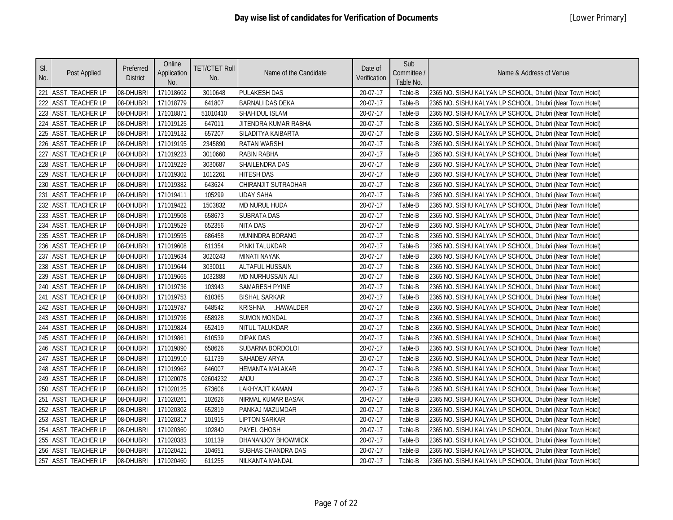| SI.<br>No.      | Post Applied            | Preferred<br><b>District</b> | Online<br>Application<br>No. | <b>TET/CTET Roll</b><br>No. | Name of the Candidate       | Date of<br>Verification | Sub<br>Committee /<br>Table No. | Name & Address of Venue                                   |
|-----------------|-------------------------|------------------------------|------------------------------|-----------------------------|-----------------------------|-------------------------|---------------------------------|-----------------------------------------------------------|
|                 | 221 ASST. TEACHER LP    | 08-DHUBRI                    | 171018602                    | 3010648                     | <b>PULAKESH DAS</b>         | 20-07-17                | Table-B                         | 2365 NO. SISHU KALYAN LP SCHOOL, Dhubri (Near Town Hotel) |
| 222             | <b>ASST. TEACHER LP</b> | 08-DHUBRI                    | 171018779                    | 641807                      | <b>BARNALI DAS DEKA</b>     | 20-07-17                | Table-B                         | 2365 NO. SISHU KALYAN LP SCHOOL, Dhubri (Near Town Hotel) |
| 223             | <b>ASST. TEACHER LP</b> | 08-DHUBRI                    | 171018871                    | 51010410                    | SHAHIDUL ISLAM              | 20-07-17                | Table-B                         | 2365 NO. SISHU KALYAN LP SCHOOL, Dhubri (Near Town Hotel) |
| 224             | <b>ASST. TEACHER LP</b> | 08-DHUBRI                    | 171019125                    | 647011                      | JITENDRA KUMAR RABHA        | 20-07-17                | Table-B                         | 2365 NO. SISHU KALYAN LP SCHOOL, Dhubri (Near Town Hotel) |
| 225             | <b>ASST. TEACHER LP</b> | 08-DHUBRI                    | 171019132                    | 657207                      | SILADITYA KAIBARTA          | 20-07-17                | Table-B                         | 2365 NO. SISHU KALYAN LP SCHOOL, Dhubri (Near Town Hotel) |
| 226             | <b>ASST. TEACHER LP</b> | 08-DHUBRI                    | 171019195                    | 2345890                     | <b>RATAN WARSHI</b>         | 20-07-17                | Table-B                         | 2365 NO. SISHU KALYAN LP SCHOOL, Dhubri (Near Town Hotel) |
| 227             | <b>ASST. TEACHER LP</b> | 08-DHUBRI                    | 171019223                    | 3010660                     | RABIN RABHA                 | 20-07-17                | Table-B                         | 2365 NO. SISHU KALYAN LP SCHOOL, Dhubri (Near Town Hotel) |
|                 | 228 ASST. TEACHER LP    | 08-DHUBRI                    | 171019229                    | 3030687                     | <b>SHAILENDRA DAS</b>       | 20-07-17                | Table-B                         | 2365 NO. SISHU KALYAN LP SCHOOL, Dhubri (Near Town Hotel) |
| 229             | <b>ASST. TEACHER LP</b> | 08-DHUBRI                    | 171019302                    | 1012261                     | <b>HITESH DAS</b>           | 20-07-17                | Table-B                         | 2365 NO. SISHU KALYAN LP SCHOOL, Dhubri (Near Town Hotel) |
| 230             | <b>ASST. TEACHER LP</b> | 08-DHUBRI                    | 171019382                    | 643624                      | CHIRANJIT SUTRADHAR         | 20-07-17                | Table-B                         | 2365 NO. SISHU KALYAN LP SCHOOL, Dhubri (Near Town Hotel) |
| 23 <sup>2</sup> | <b>ASST. TEACHER LP</b> | 08-DHUBRI                    | 171019411                    | 105299                      | <b>UDAY SAHA</b>            | 20-07-17                | Table-B                         | 2365 NO. SISHU KALYAN LP SCHOOL, Dhubri (Near Town Hotel) |
| 232             | <b>ASST. TEACHER LP</b> | 08-DHUBRI                    | 171019422                    | 1503832                     | <b>MD NURUL HUDA</b>        | 20-07-17                | Table-B                         | 2365 NO. SISHU KALYAN LP SCHOOL, Dhubri (Near Town Hotel) |
| 233             | <b>ASST. TEACHER LP</b> | 08-DHUBRI                    | 171019508                    | 658673                      | <b>SUBRATA DAS</b>          | 20-07-17                | Table-B                         | 2365 NO. SISHU KALYAN LP SCHOOL, Dhubri (Near Town Hotel) |
| 234             | <b>ASST. TEACHER LP</b> | 08-DHUBRI                    | 171019529                    | 652356                      | <b>NITA DAS</b>             | 20-07-17                | Table-B                         | 2365 NO. SISHU KALYAN LP SCHOOL, Dhubri (Near Town Hotel) |
|                 | 235 ASST. TEACHER LP    | 08-DHUBRI                    | 171019595                    | 686458                      | MUNINDRA BORANG             | 20-07-17                | Table-B                         | 2365 NO. SISHU KALYAN LP SCHOOL, Dhubri (Near Town Hotel) |
|                 | 236 ASST. TEACHER LP    | 08-DHUBRI                    | 171019608                    | 611354                      | PINKI TALUKDAR              | 20-07-17                | Table-B                         | 2365 NO. SISHU KALYAN LP SCHOOL, Dhubri (Near Town Hotel) |
| 237             | <b>ASST. TEACHER LP</b> | 08-DHUBRI                    | 171019634                    | 3020243                     | <b>MINATI NAYAK</b>         | 20-07-17                | Table-B                         | 2365 NO. SISHU KALYAN LP SCHOOL, Dhubri (Near Town Hotel) |
| 238             | <b>ASST. TEACHER LP</b> | 08-DHUBRI                    | 171019644                    | 3030011                     | <b>ALTAFUL HUSSAIN</b>      | 20-07-17                | Table-B                         | 2365 NO. SISHU KALYAN LP SCHOOL, Dhubri (Near Town Hotel) |
| 239             | <b>ASST. TEACHER LP</b> | 08-DHUBRI                    | 171019665                    | 1032888                     | MD NURHUSSAIN ALI           | 20-07-17                | Table-B                         | 2365 NO. SISHU KALYAN LP SCHOOL, Dhubri (Near Town Hotel) |
| 240             | <b>ASST. TEACHER LP</b> | 08-DHUBRI                    | 171019736                    | 103943                      | <b>SAMARESH PYINE</b>       | 20-07-17                | Table-B                         | 2365 NO. SISHU KALYAN LP SCHOOL, Dhubri (Near Town Hotel) |
| 241             | <b>ASST. TEACHER LP</b> | 08-DHUBRI                    | 171019753                    | 610365                      | <b>BISHAL SARKAR</b>        | 20-07-17                | Table-B                         | 2365 NO. SISHU KALYAN LP SCHOOL, Dhubri (Near Town Hotel) |
|                 | 242 ASST. TEACHER LP    | 08-DHUBRI                    | 171019787                    | 648542                      | <b>KRISHNA</b><br>.HAWALDER | 20-07-17                | Table-B                         | 2365 NO. SISHU KALYAN LP SCHOOL, Dhubri (Near Town Hotel) |
|                 | 243 ASST. TEACHER LP    | 08-DHUBRI                    | 171019796                    | 658928                      | <b>SUMON MONDAL</b>         | 20-07-17                | Table-B                         | 2365 NO. SISHU KALYAN LP SCHOOL, Dhubri (Near Town Hotel) |
| 244             | <b>ASST. TEACHER LP</b> | 08-DHUBRI                    | 171019824                    | 652419                      | NITUL TALUKDAR              | 20-07-17                | Table-B                         | 2365 NO. SISHU KALYAN LP SCHOOL, Dhubri (Near Town Hotel) |
|                 | 245 ASST. TEACHER LP    | 08-DHUBRI                    | 171019861                    | 610539                      | <b>DIPAK DAS</b>            | 20-07-17                | Table-B                         | 2365 NO. SISHU KALYAN LP SCHOOL, Dhubri (Near Town Hotel) |
| 246             | <b>ASST. TEACHER LP</b> | 08-DHUBRI                    | 171019890                    | 658626                      | SUBARNA BORDOLOI            | 20-07-17                | Table-B                         | 2365 NO. SISHU KALYAN LP SCHOOL, Dhubri (Near Town Hotel) |
| 247             | <b>ASST. TEACHER LP</b> | 08-DHUBRI                    | 171019910                    | 611739                      | SAHADEV ARYA                | 20-07-17                | Table-B                         | 2365 NO. SISHU KALYAN LP SCHOOL, Dhubri (Near Town Hotel) |
|                 | 248 ASST. TEACHER LP    | 08-DHUBRI                    | 171019962                    | 646007                      | <b>HEMANTA MALAKAR</b>      | 20-07-17                | Table-B                         | 2365 NO. SISHU KALYAN LP SCHOOL, Dhubri (Near Town Hotel) |
|                 | 249 ASST. TEACHER LP    | 08-DHUBRI                    | 171020078                    | 02604232                    | <b>ULIAA</b>                | 20-07-17                | Table-B                         | 2365 NO. SISHU KALYAN LP SCHOOL, Dhubri (Near Town Hotel) |
| 250             | <b>ASST. TEACHER LP</b> | 08-DHUBRI                    | 171020125                    | 673606                      | LAKHYAJIT KAMAN             | 20-07-17                | Table-B                         | 2365 NO. SISHU KALYAN LP SCHOOL, Dhubri (Near Town Hotel) |
| 25 <sup>2</sup> | <b>ASST. TEACHER LP</b> | 08-DHUBRI                    | 171020261                    | 102626                      | NIRMAL KUMAR BASAK          | 20-07-17                | Table-B                         | 2365 NO. SISHU KALYAN LP SCHOOL, Dhubri (Near Town Hotel) |
| 252             | <b>ASST. TEACHER LP</b> | 08-DHUBRI                    | 171020302                    | 652819                      | PANKAJ MAZUMDAR             | 20-07-17                | Table-B                         | 2365 NO. SISHU KALYAN LP SCHOOL, Dhubri (Near Town Hotel) |
| 253             | <b>ASST. TEACHER LP</b> | 08-DHUBRI                    | 171020317                    | 101915                      | <b>LIPTON SARKAR</b>        | 20-07-17                | Table-B                         | 2365 NO. SISHU KALYAN LP SCHOOL, Dhubri (Near Town Hotel) |
| 254             | <b>ASST. TEACHER LP</b> | 08-DHUBRI                    | 171020360                    | 102840                      | <b>PAYEL GHOSH</b>          | 20-07-17                | Table-B                         | 2365 NO. SISHU KALYAN LP SCHOOL, Dhubri (Near Town Hotel) |
|                 | 255 ASST. TEACHER LP    | 08-DHUBRI                    | 171020383                    | 101139                      | <b>DHANANJOY BHOWMICK</b>   | 20-07-17                | Table-B                         | 2365 NO. SISHU KALYAN LP SCHOOL, Dhubri (Near Town Hotel) |
|                 | 256 ASST. TEACHER LP    | 08-DHUBRI                    | 171020421                    | 104651                      | SUBHAS CHANDRA DAS          | 20-07-17                | Table-B                         | 2365 NO. SISHU KALYAN LP SCHOOL, Dhubri (Near Town Hotel) |
|                 | 257 ASST. TEACHER LP    | 08-DHUBRI                    | 171020460                    | 611255                      | NILKANTA MANDAL             | 20-07-17                | Table-B                         | 2365 NO. SISHU KALYAN LP SCHOOL, Dhubri (Near Town Hotel) |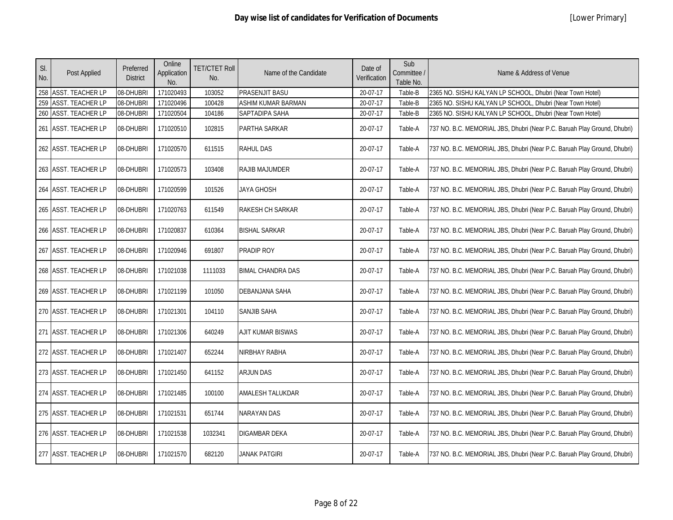|  | [Lower Primary] |
|--|-----------------|
|--|-----------------|

| SI.<br>No. | Post Applied         | Preferred<br><b>District</b> | Online<br>Application<br>No. | <b>TET/CTET Roll</b><br>No. | Name of the Candidate     | Date of<br>Verification | Sub<br>Committee /<br>Table No. | Name & Address of Venue                                                  |
|------------|----------------------|------------------------------|------------------------------|-----------------------------|---------------------------|-------------------------|---------------------------------|--------------------------------------------------------------------------|
|            | 258 ASST. TEACHER LP | 08-DHUBRI                    | 171020493                    | 103052                      | PRASENJIT BASU            | 20-07-17                | Table-B                         | 2365 NO. SISHU KALYAN LP SCHOOL, Dhubri (Near Town Hotel)                |
|            | 259 ASST. TEACHER LP | 08-DHUBRI                    | 171020496                    | 100428                      | <b>ASHIM KUMAR BARMAN</b> | 20-07-17                | Table-B                         | 2365 NO. SISHU KALYAN LP SCHOOL, Dhubri (Near Town Hotel)                |
|            | 260 ASST. TEACHER LP | 08-DHUBRI                    | 171020504                    | 104186                      | SAPTADIPA SAHA            | 20-07-17                | Table-B                         | 2365 NO. SISHU KALYAN LP SCHOOL, Dhubri (Near Town Hotel)                |
|            | 261 ASST. TEACHER LP | 08-DHUBRI                    | 171020510                    | 102815                      | PARTHA SARKAR             | 20-07-17                | Table-A                         | 737 NO. B.C. MEMORIAL JBS, Dhubri (Near P.C. Baruah Play Ground, Dhubri) |
|            | 262 ASST. TEACHER LP | 08-DHUBRI                    | 171020570                    | 611515                      | <b>RAHUL DAS</b>          | 20-07-17                | Table-A                         | 737 NO. B.C. MEMORIAL JBS, Dhubri (Near P.C. Baruah Play Ground, Dhubri) |
|            | 263 ASST. TEACHER LP | 08-DHUBRI                    | 171020573                    | 103408                      | <b>RAJIB MAJUMDER</b>     | 20-07-17                | Table-A                         | 737 NO. B.C. MEMORIAL JBS, Dhubri (Near P.C. Baruah Play Ground, Dhubri) |
|            | 264 ASST. TEACHER LP | 08-DHUBRI                    | 171020599                    | 101526                      | JAYA GHOSH                | 20-07-17                | Table-A                         | 737 NO. B.C. MEMORIAL JBS, Dhubri (Near P.C. Baruah Play Ground, Dhubri) |
|            | 265 ASST. TEACHER LP | 08-DHUBRI                    | 171020763                    | 611549                      | <b>RAKESH CH SARKAR</b>   | 20-07-17                | Table-A                         | 737 NO. B.C. MEMORIAL JBS, Dhubri (Near P.C. Baruah Play Ground, Dhubri) |
|            | 266 ASST. TEACHER LP | 08-DHUBRI                    | 171020837                    | 610364                      | <b>BISHAL SARKAR</b>      | 20-07-17                | Table-A                         | 737 NO. B.C. MEMORIAL JBS, Dhubri (Near P.C. Baruah Play Ground, Dhubri) |
|            | 267 ASST. TEACHER LP | 08-DHUBRI                    | 171020946                    | 691807                      | <b>PRADIP ROY</b>         | 20-07-17                | Table-A                         | 737 NO. B.C. MEMORIAL JBS, Dhubri (Near P.C. Baruah Play Ground, Dhubri) |
|            | 268 ASST. TEACHER LP | 08-DHUBRI                    | 171021038                    | 1111033                     | <b>BIMAL CHANDRA DAS</b>  | 20-07-17                | Table-A                         | 737 NO. B.C. MEMORIAL JBS, Dhubri (Near P.C. Baruah Play Ground, Dhubri) |
|            | 269 ASST. TEACHER LP | 08-DHUBRI                    | 171021199                    | 101050                      | <b>DEBANJANA SAHA</b>     | 20-07-17                | Table-A                         | 737 NO. B.C. MEMORIAL JBS, Dhubri (Near P.C. Baruah Play Ground, Dhubri) |
|            | 270 ASST. TEACHER LP | 08-DHUBRI                    | 171021301                    | 104110                      | <b>SANJIB SAHA</b>        | 20-07-17                | Table-A                         | 737 NO. B.C. MEMORIAL JBS, Dhubri (Near P.C. Baruah Play Ground, Dhubri) |
|            | 271 ASST. TEACHER LP | 08-DHUBRI                    | 171021306                    | 640249                      | AJIT KUMAR BISWAS         | 20-07-17                | Table-A                         | 737 NO. B.C. MEMORIAL JBS, Dhubri (Near P.C. Baruah Play Ground, Dhubri) |
|            | 272 ASST. TEACHER LP | 08-DHUBRI                    | 171021407                    | 652244                      | NIRBHAY RABHA             | 20-07-17                | Table-A                         | 737 NO. B.C. MEMORIAL JBS, Dhubri (Near P.C. Baruah Play Ground, Dhubri) |
|            | 273 ASST. TEACHER LP | 08-DHUBRI                    | 171021450                    | 641152                      | <b>ARJUN DAS</b>          | 20-07-17                | Table-A                         | 737 NO. B.C. MEMORIAL JBS, Dhubri (Near P.C. Baruah Play Ground, Dhubri) |
|            | 274 ASST. TEACHER LP | 08-DHUBRI                    | 171021485                    | 100100                      | <b>AMALESH TALUKDAR</b>   | 20-07-17                | Table-A                         | 737 NO. B.C. MEMORIAL JBS, Dhubri (Near P.C. Baruah Play Ground, Dhubri) |
|            | 275 ASST. TEACHER LP | 08-DHUBRI                    | 171021531                    | 651744                      | <b>NARAYAN DAS</b>        | 20-07-17                | Table-A                         | 737 NO. B.C. MEMORIAL JBS, Dhubri (Near P.C. Baruah Play Ground, Dhubri) |
|            | 276 ASST. TEACHER LP | 08-DHUBRI                    | 171021538                    | 1032341                     | <b>DIGAMBAR DEKA</b>      | 20-07-17                | Table-A                         | 737 NO. B.C. MEMORIAL JBS, Dhubri (Near P.C. Baruah Play Ground, Dhubri) |
|            | 277 ASST. TEACHER LP | 08-DHUBRI                    | 171021570                    | 682120                      | <b>JANAK PATGIRI</b>      | 20-07-17                | Table-A                         | 737 NO. B.C. MEMORIAL JBS, Dhubri (Near P.C. Baruah Play Ground, Dhubri) |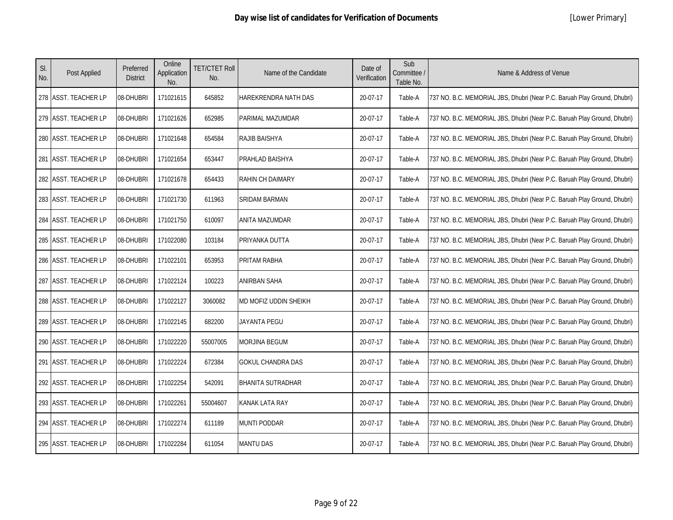| SI.<br>No. | Post Applied         | Preferred<br><b>District</b> | Online<br>Application<br>No. | <b>TET/CTET Roll</b><br>No. | Name of the Candidate    | Date of<br>Verification | Sub<br>Committee /<br>Table No. | Name & Address of Venue                                                  |
|------------|----------------------|------------------------------|------------------------------|-----------------------------|--------------------------|-------------------------|---------------------------------|--------------------------------------------------------------------------|
|            | 278 ASST. TEACHER LP | 08-DHUBRI                    | 171021615                    | 645852                      | HAREKRENDRA NATH DAS     | 20-07-17                | Table-A                         | 737 NO. B.C. MEMORIAL JBS, Dhubri (Near P.C. Baruah Play Ground, Dhubri) |
|            | 279 ASST. TEACHER LP | 08-DHUBRI                    | 171021626                    | 652985                      | PARIMAL MAZUMDAR         | 20-07-17                | Table-A                         | 737 NO. B.C. MEMORIAL JBS, Dhubri (Near P.C. Baruah Play Ground, Dhubri) |
|            | 280 ASST. TEACHER LP | 08-DHUBRI                    | 171021648                    | 654584                      | RAJIB BAISHYA            | 20-07-17                | Table-A                         | 737 NO. B.C. MEMORIAL JBS, Dhubri (Near P.C. Baruah Play Ground, Dhubri) |
|            | 281 ASST. TEACHER LP | 08-DHUBRI                    | 171021654                    | 653447                      | PRAHLAD BAISHYA          | 20-07-17                | Table-A                         | 737 NO. B.C. MEMORIAL JBS, Dhubri (Near P.C. Baruah Play Ground, Dhubri) |
|            | 282 ASST. TEACHER LP | 08-DHUBRI                    | 171021678                    | 654433                      | RAHIN CH DAIMARY         | 20-07-17                | Table-A                         | 737 NO. B.C. MEMORIAL JBS, Dhubri (Near P.C. Baruah Play Ground, Dhubri) |
|            | 283 ASST. TEACHER LP | 08-DHUBRI                    | 171021730                    | 611963                      | SRIDAM BARMAN            | 20-07-17                | Table-A                         | 737 NO. B.C. MEMORIAL JBS, Dhubri (Near P.C. Baruah Play Ground, Dhubri) |
|            | 284 ASST. TEACHER LP | 08-DHUBRI                    | 171021750                    | 610097                      | ANITA MAZUMDAR           | 20-07-17                | Table-A                         | 737 NO. B.C. MEMORIAL JBS, Dhubri (Near P.C. Baruah Play Ground, Dhubri) |
|            | 285 ASST. TEACHER LP | 08-DHUBRI                    | 171022080                    | 103184                      | PRIYANKA DUTTA           | 20-07-17                | Table-A                         | 737 NO. B.C. MEMORIAL JBS, Dhubri (Near P.C. Baruah Play Ground, Dhubri) |
|            | 286 ASST. TEACHER LP | 08-DHUBRI                    | 171022101                    | 653953                      | PRITAM RABHA             | 20-07-17                | Table-A                         | 737 NO. B.C. MEMORIAL JBS, Dhubri (Near P.C. Baruah Play Ground, Dhubri) |
|            | 287 ASST. TEACHER LP | 08-DHUBRI                    | 171022124                    | 100223                      | <b>ANIRBAN SAHA</b>      | 20-07-17                | Table-A                         | 737 NO. B.C. MEMORIAL JBS, Dhubri (Near P.C. Baruah Play Ground, Dhubri) |
|            | 288 ASST. TEACHER LP | 08-DHUBRI                    | 171022127                    | 3060082                     | MD MOFIZ UDDIN SHEIKH    | 20-07-17                | Table-A                         | 737 NO. B.C. MEMORIAL JBS, Dhubri (Near P.C. Baruah Play Ground, Dhubri) |
|            | 289 ASST. TEACHER LP | 08-DHUBRI                    | 171022145                    | 682200                      | <b>JAYANTA PEGU</b>      | 20-07-17                | Table-A                         | 737 NO. B.C. MEMORIAL JBS, Dhubri (Near P.C. Baruah Play Ground, Dhubri) |
|            | 290 ASST. TEACHER LP | 08-DHUBRI                    | 171022220                    | 55007005                    | MORJINA BEGUM            | 20-07-17                | Table-A                         | 737 NO. B.C. MEMORIAL JBS, Dhubri (Near P.C. Baruah Play Ground, Dhubri) |
|            | 291 ASST. TEACHER LP | 08-DHUBRI                    | 171022224                    | 672384                      | <b>GOKUL CHANDRA DAS</b> | 20-07-17                | Table-A                         | 737 NO. B.C. MEMORIAL JBS, Dhubri (Near P.C. Baruah Play Ground, Dhubri) |
|            | 292 ASST. TEACHER LP | 08-DHUBRI                    | 171022254                    | 542091                      | <b>BHANITA SUTRADHAR</b> | 20-07-17                | Table-A                         | 737 NO. B.C. MEMORIAL JBS, Dhubri (Near P.C. Baruah Play Ground, Dhubri) |
|            | 293 ASST. TEACHER LP | 08-DHUBRI                    | 171022261                    | 55004607                    | KANAK LATA RAY           | 20-07-17                | Table-A                         | 737 NO. B.C. MEMORIAL JBS, Dhubri (Near P.C. Baruah Play Ground, Dhubri) |
|            | 294 ASST. TEACHER LP | 08-DHUBRI                    | 171022274                    | 611189                      | <b>MUNTI PODDAR</b>      | 20-07-17                | Table-A                         | 737 NO. B.C. MEMORIAL JBS, Dhubri (Near P.C. Baruah Play Ground, Dhubri) |
|            | 295 ASST. TEACHER LP | 08-DHUBRI                    | 171022284                    | 611054                      | <b>MANTU DAS</b>         | 20-07-17                | Table-A                         | 737 NO. B.C. MEMORIAL JBS, Dhubri (Near P.C. Baruah Play Ground, Dhubri) |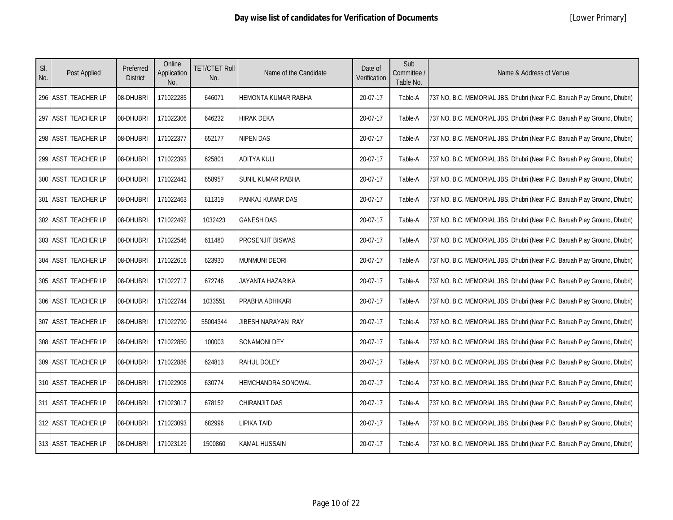| SI.<br>No. | Post Applied          | Preferred<br><b>District</b> | Online<br>Application<br>No. | <b>TET/CTET Roll</b><br>No. | Name of the Candidate | Date of<br>Verification | Sub<br>Committee /<br>Table No. | Name & Address of Venue                                                  |
|------------|-----------------------|------------------------------|------------------------------|-----------------------------|-----------------------|-------------------------|---------------------------------|--------------------------------------------------------------------------|
|            | 296 IASST. TEACHER LP | 08-DHUBRI                    | 171022285                    | 646071                      | HEMONTA KUMAR RABHA   | 20-07-17                | Table-A                         | 737 NO. B.C. MEMORIAL JBS, Dhubri (Near P.C. Baruah Play Ground, Dhubri) |
|            | 297 ASST. TEACHER LP  | 08-DHUBRI                    | 171022306                    | 646232                      | HIRAK DEKA            | 20-07-17                | Table-A                         | 737 NO. B.C. MEMORIAL JBS, Dhubri (Near P.C. Baruah Play Ground, Dhubri) |
|            | 298 ASST. TEACHER LP  | 08-DHUBRI                    | 171022377                    | 652177                      | NIPEN DAS             | 20-07-17                | Table-A                         | 737 NO. B.C. MEMORIAL JBS, Dhubri (Near P.C. Baruah Play Ground, Dhubri) |
|            | 299 ASST. TEACHER LP  | 08-DHUBRI                    | 171022393                    | 625801                      | ADITYA KULI           | 20-07-17                | Table-A                         | 737 NO. B.C. MEMORIAL JBS, Dhubri (Near P.C. Baruah Play Ground, Dhubri) |
|            | 300 ASST. TEACHER LP  | 08-DHUBRI                    | 171022442                    | 658957                      | SUNIL KUMAR RABHA     | 20-07-17                | Table-A                         | 737 NO. B.C. MEMORIAL JBS, Dhubri (Near P.C. Baruah Play Ground, Dhubri) |
|            | 301 ASST. TEACHER LP  | 08-DHUBRI                    | 171022463                    | 611319                      | PANKAJ KUMAR DAS      | 20-07-17                | Table-A                         | 737 NO. B.C. MEMORIAL JBS, Dhubri (Near P.C. Baruah Play Ground, Dhubri) |
|            | 302 ASST. TEACHER LP  | 08-DHUBRI                    | 171022492                    | 1032423                     | <b>GANESH DAS</b>     | 20-07-17                | Table-A                         | 737 NO. B.C. MEMORIAL JBS, Dhubri (Near P.C. Baruah Play Ground, Dhubri) |
|            | 303 ASST. TEACHER LP  | 08-DHUBRI                    | 171022546                    | 611480                      | PROSENJIT BISWAS      | 20-07-17                | Table-A                         | 737 NO. B.C. MEMORIAL JBS, Dhubri (Near P.C. Baruah Play Ground, Dhubri) |
|            | 304 ASST. TEACHER LP  | 08-DHUBRI                    | 171022616                    | 623930                      | <b>MUNMUNI DEORI</b>  | 20-07-17                | Table-A                         | 737 NO. B.C. MEMORIAL JBS, Dhubri (Near P.C. Baruah Play Ground, Dhubri) |
|            | 305 ASST. TEACHER LP  | 08-DHUBRI                    | 171022717                    | 672746                      | JAYANTA HAZARIKA      | 20-07-17                | Table-A                         | 737 NO. B.C. MEMORIAL JBS, Dhubri (Near P.C. Baruah Play Ground, Dhubri) |
|            | 306 ASST. TEACHER LP  | 08-DHUBRI                    | 171022744                    | 1033551                     | PRABHA ADHIKARI       | 20-07-17                | Table-A                         | 737 NO. B.C. MEMORIAL JBS, Dhubri (Near P.C. Baruah Play Ground, Dhubri) |
|            | 307 ASST. TEACHER LP  | 08-DHUBRI                    | 171022790                    | 55004344                    | JIBESH NARAYAN RAY    | 20-07-17                | Table-A                         | 737 NO. B.C. MEMORIAL JBS, Dhubri (Near P.C. Baruah Play Ground, Dhubri) |
|            | 308 ASST. TEACHER LP  | 08-DHUBRI                    | 171022850                    | 100003                      | SONAMONI DEY          | 20-07-17                | Table-A                         | 737 NO. B.C. MEMORIAL JBS, Dhubri (Near P.C. Baruah Play Ground, Dhubri) |
|            | 309 ASST. TEACHER LP  | 08-DHUBRI                    | 171022886                    | 624813                      | RAHUL DOLEY           | 20-07-17                | Table-A                         | 737 NO. B.C. MEMORIAL JBS, Dhubri (Near P.C. Baruah Play Ground, Dhubri) |
|            | 310 ASST. TEACHER LP  | 08-DHUBRI                    | 171022908                    | 630774                      | HEMCHANDRA SONOWAL    | 20-07-17                | Table-A                         | 737 NO. B.C. MEMORIAL JBS, Dhubri (Near P.C. Baruah Play Ground, Dhubri) |
|            | 311 ASST. TEACHER LP  | 08-DHUBRI                    | 171023017                    | 678152                      | CHIRANJIT DAS         | 20-07-17                | Table-A                         | 737 NO. B.C. MEMORIAL JBS, Dhubri (Near P.C. Baruah Play Ground, Dhubri) |
|            | 312 ASST. TEACHER LP  | 08-DHUBRI                    | 171023093                    | 682996                      | LIPIKA TAID           | 20-07-17                | Table-A                         | 737 NO. B.C. MEMORIAL JBS, Dhubri (Near P.C. Baruah Play Ground, Dhubri) |
|            | 313 ASST. TEACHER LP  | 08-DHUBRI                    | 171023129                    | 1500860                     | KAMAL HUSSAIN         | 20-07-17                | Table-A                         | 737 NO. B.C. MEMORIAL JBS, Dhubri (Near P.C. Baruah Play Ground, Dhubri) |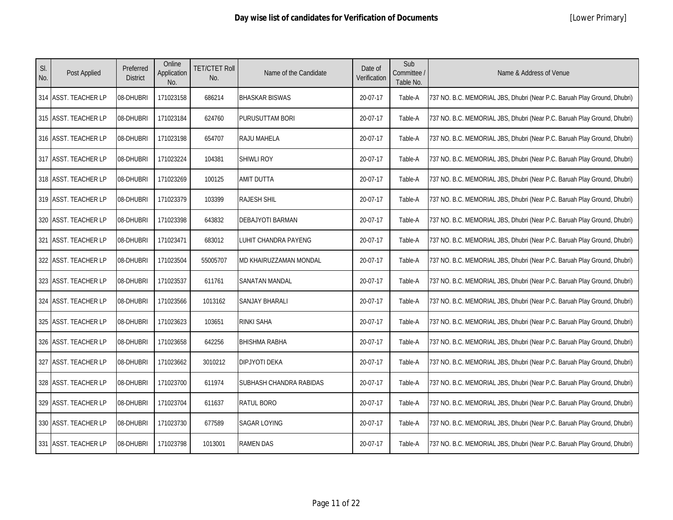| SI.<br>No. | Post Applied         | Preferred<br><b>District</b> | Online<br>Application<br>No. | <b>TET/CTET Roll</b><br>No. | Name of the Candidate   | Date of<br>Verification | Sub<br>Committee /<br>Table No. | Name & Address of Venue                                                  |
|------------|----------------------|------------------------------|------------------------------|-----------------------------|-------------------------|-------------------------|---------------------------------|--------------------------------------------------------------------------|
|            | 314 ASST. TEACHER LP | 08-DHUBRI                    | 171023158                    | 686214                      | <b>BHASKAR BISWAS</b>   | 20-07-17                | Table-A                         | 737 NO. B.C. MEMORIAL JBS, Dhubri (Near P.C. Baruah Play Ground, Dhubri) |
|            | 315 ASST. TEACHER LP | 08-DHUBRI                    | 171023184                    | 624760                      | PURUSUTTAM BORI         | 20-07-17                | Table-A                         | 737 NO. B.C. MEMORIAL JBS, Dhubri (Near P.C. Baruah Play Ground, Dhubri) |
|            | 316 ASST. TEACHER LP | 08-DHUBRI                    | 171023198                    | 654707                      | RAJU MAHELA             | 20-07-17                | Table-A                         | 737 NO. B.C. MEMORIAL JBS, Dhubri (Near P.C. Baruah Play Ground, Dhubri) |
|            | 317 ASST. TEACHER LP | 08-DHUBRI                    | 171023224                    | 104381                      | <b>SHIWLI ROY</b>       | 20-07-17                | Table-A                         | 737 NO. B.C. MEMORIAL JBS, Dhubri (Near P.C. Baruah Play Ground, Dhubri) |
|            | 318 ASST. TEACHER LP | 08-DHUBRI                    | 171023269                    | 100125                      | AMIT DUTTA              | 20-07-17                | Table-A                         | 737 NO. B.C. MEMORIAL JBS, Dhubri (Near P.C. Baruah Play Ground, Dhubri) |
|            | 319 ASST. TEACHER LP | 08-DHUBRI                    | 171023379                    | 103399                      | <b>RAJESH SHIL</b>      | 20-07-17                | Table-A                         | 737 NO. B.C. MEMORIAL JBS, Dhubri (Near P.C. Baruah Play Ground, Dhubri) |
|            | 320 ASST. TEACHER LP | 08-DHUBRI                    | 171023398                    | 643832                      | DEBAJYOTI BARMAN        | 20-07-17                | Table-A                         | 737 NO. B.C. MEMORIAL JBS, Dhubri (Near P.C. Baruah Play Ground, Dhubri) |
|            | 321 ASST. TEACHER LP | 08-DHUBRI                    | 171023471                    | 683012                      | LUHIT CHANDRA PAYENG    | 20-07-17                | Table-A                         | 737 NO. B.C. MEMORIAL JBS, Dhubri (Near P.C. Baruah Play Ground, Dhubri) |
|            | 322 ASST. TEACHER LP | 08-DHUBRI                    | 171023504                    | 55005707                    | MD KHAIRUZZAMAN MONDAL  | 20-07-17                | Table-A                         | 737 NO. B.C. MEMORIAL JBS, Dhubri (Near P.C. Baruah Play Ground, Dhubri) |
|            | 323 ASST. TEACHER LP | 08-DHUBRI                    | 171023537                    | 611761                      | SANATAN MANDAL          | 20-07-17                | Table-A                         | 737 NO. B.C. MEMORIAL JBS, Dhubri (Near P.C. Baruah Play Ground, Dhubri) |
|            | 324 ASST. TEACHER LP | 08-DHUBRI                    | 171023566                    | 1013162                     | <b>SANJAY BHARALI</b>   | 20-07-17                | Table-A                         | 737 NO. B.C. MEMORIAL JBS, Dhubri (Near P.C. Baruah Play Ground, Dhubri) |
|            | 325 ASST. TEACHER LP | 08-DHUBRI                    | 171023623                    | 103651                      | <b>RINKI SAHA</b>       | 20-07-17                | Table-A                         | 737 NO. B.C. MEMORIAL JBS, Dhubri (Near P.C. Baruah Play Ground, Dhubri) |
|            | 326 ASST. TEACHER LP | 08-DHUBRI                    | 171023658                    | 642256                      | <b>BHISHMA RABHA</b>    | 20-07-17                | Table-A                         | 737 NO. B.C. MEMORIAL JBS, Dhubri (Near P.C. Baruah Play Ground, Dhubri) |
|            | 327 ASST. TEACHER LP | 08-DHUBRI                    | 171023662                    | 3010212                     | <b>DIPJYOTI DEKA</b>    | 20-07-17                | Table-A                         | 737 NO. B.C. MEMORIAL JBS, Dhubri (Near P.C. Baruah Play Ground, Dhubri) |
|            | 328 ASST. TEACHER LP | 08-DHUBRI                    | 171023700                    | 611974                      | SUBHASH CHANDRA RABIDAS | 20-07-17                | Table-A                         | 737 NO. B.C. MEMORIAL JBS, Dhubri (Near P.C. Baruah Play Ground, Dhubri) |
|            | 329 ASST. TEACHER LP | 08-DHUBRI                    | 171023704                    | 611637                      | RATUL BORO              | 20-07-17                | Table-A                         | 737 NO. B.C. MEMORIAL JBS, Dhubri (Near P.C. Baruah Play Ground, Dhubri) |
|            | 330 ASST. TEACHER LP | 08-DHUBRI                    | 171023730                    | 677589                      | SAGAR LOYING            | 20-07-17                | Table-A                         | 737 NO. B.C. MEMORIAL JBS, Dhubri (Near P.C. Baruah Play Ground, Dhubri) |
|            | 331 ASST. TEACHER LP | 08-DHUBRI                    | 171023798                    | 1013001                     | <b>RAMEN DAS</b>        | 20-07-17                | Table-A                         | 737 NO. B.C. MEMORIAL JBS, Dhubri (Near P.C. Baruah Play Ground, Dhubri) |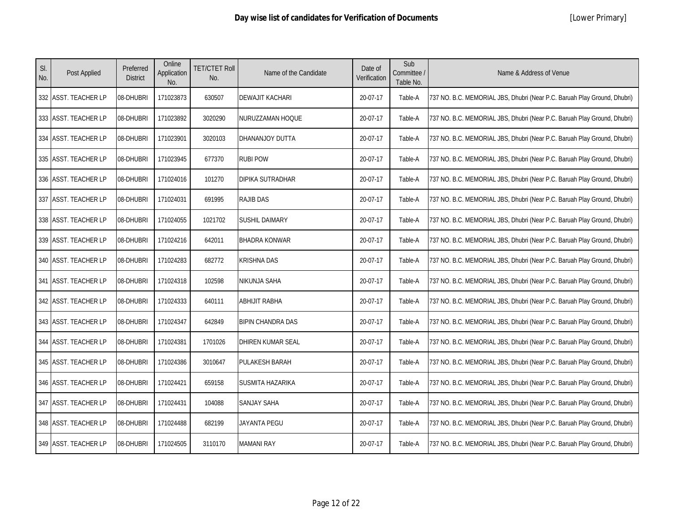| SI.<br>No. | Post Applied         | Preferred<br><b>District</b> | Online<br>Application<br>No. | <b>TET/CTET Roll</b><br>No. | Name of the Candidate    | Date of<br>Verification | Sub<br>Committee /<br>Table No. | Name & Address of Venue                                                  |
|------------|----------------------|------------------------------|------------------------------|-----------------------------|--------------------------|-------------------------|---------------------------------|--------------------------------------------------------------------------|
|            | 332 ASST. TEACHER LP | 08-DHUBRI                    | 171023873                    | 630507                      | DEWAJIT KACHARI          | 20-07-17                | Table-A                         | 737 NO. B.C. MEMORIAL JBS, Dhubri (Near P.C. Baruah Play Ground, Dhubri) |
|            | 333 ASST. TEACHER LP | 08-DHUBRI                    | 171023892                    | 3020290                     | NURUZZAMAN HOQUE         | 20-07-17                | Table-A                         | 737 NO. B.C. MEMORIAL JBS, Dhubri (Near P.C. Baruah Play Ground, Dhubri) |
|            | 334 ASST. TEACHER LP | 08-DHUBRI                    | 171023901                    | 3020103                     | DHANANJOY DUTTA          | 20-07-17                | Table-A                         | 737 NO. B.C. MEMORIAL JBS, Dhubri (Near P.C. Baruah Play Ground, Dhubri) |
|            | 335 ASST. TEACHER LP | 08-DHUBRI                    | 171023945                    | 677370                      | <b>RUBI POW</b>          | 20-07-17                | Table-A                         | 737 NO. B.C. MEMORIAL JBS, Dhubri (Near P.C. Baruah Play Ground, Dhubri) |
|            | 336 ASST. TEACHER LP | 08-DHUBRI                    | 171024016                    | 101270                      | DIPIKA SUTRADHAR         | 20-07-17                | Table-A                         | 737 NO. B.C. MEMORIAL JBS, Dhubri (Near P.C. Baruah Play Ground, Dhubri) |
|            | 337 ASST. TEACHER LP | 08-DHUBRI                    | 171024031                    | 691995                      | RAJIB DAS                | 20-07-17                | Table-A                         | 737 NO. B.C. MEMORIAL JBS, Dhubri (Near P.C. Baruah Play Ground, Dhubri) |
|            | 338 ASST. TEACHER LP | 08-DHUBRI                    | 171024055                    | 1021702                     | <b>SUSHIL DAIMARY</b>    | 20-07-17                | Table-A                         | 737 NO. B.C. MEMORIAL JBS, Dhubri (Near P.C. Baruah Play Ground, Dhubri) |
|            | 339 ASST. TEACHER LP | 08-DHUBRI                    | 171024216                    | 642011                      | <b>BHADRA KONWAR</b>     | 20-07-17                | Table-A                         | 737 NO. B.C. MEMORIAL JBS, Dhubri (Near P.C. Baruah Play Ground, Dhubri) |
|            | 340 ASST. TEACHER LP | 08-DHUBRI                    | 171024283                    | 682772                      | <b>KRISHNA DAS</b>       | 20-07-17                | Table-A                         | 737 NO. B.C. MEMORIAL JBS, Dhubri (Near P.C. Baruah Play Ground, Dhubri) |
|            | 341 ASST. TEACHER LP | 08-DHUBRI                    | 171024318                    | 102598                      | NIKUNJA SAHA             | 20-07-17                | Table-A                         | 737 NO. B.C. MEMORIAL JBS, Dhubri (Near P.C. Baruah Play Ground, Dhubri) |
|            | 342 ASST. TEACHER LP | 08-DHUBRI                    | 171024333                    | 640111                      | <b>ABHIJIT RABHA</b>     | 20-07-17                | Table-A                         | 737 NO. B.C. MEMORIAL JBS, Dhubri (Near P.C. Baruah Play Ground, Dhubri) |
|            | 343 ASST. TEACHER LP | 08-DHUBRI                    | 171024347                    | 642849                      | <b>BIPIN CHANDRA DAS</b> | 20-07-17                | Table-A                         | 737 NO. B.C. MEMORIAL JBS, Dhubri (Near P.C. Baruah Play Ground, Dhubri) |
|            | 344 ASST. TEACHER LP | 08-DHUBRI                    | 171024381                    | 1701026                     | DHIREN KUMAR SEAL        | 20-07-17                | Table-A                         | 737 NO. B.C. MEMORIAL JBS, Dhubri (Near P.C. Baruah Play Ground, Dhubri) |
|            | 345 ASST. TEACHER LP | 08-DHUBRI                    | 171024386                    | 3010647                     | PULAKESH BARAH           | 20-07-17                | Table-A                         | 737 NO. B.C. MEMORIAL JBS, Dhubri (Near P.C. Baruah Play Ground, Dhubri) |
|            | 346 ASST. TEACHER LP | 08-DHUBRI                    | 171024421                    | 659158                      | SUSMITA HAZARIKA         | 20-07-17                | Table-A                         | 737 NO. B.C. MEMORIAL JBS, Dhubri (Near P.C. Baruah Play Ground, Dhubri) |
|            | 347 ASST. TEACHER LP | 08-DHUBRI                    | 171024431                    | 104088                      | SANJAY SAHA              | 20-07-17                | Table-A                         | 737 NO. B.C. MEMORIAL JBS, Dhubri (Near P.C. Baruah Play Ground, Dhubri) |
|            | 348 ASST. TEACHER LP | 08-DHUBRI                    | 171024488                    | 682199                      | <b>JAYANTA PEGU</b>      | 20-07-17                | Table-A                         | 737 NO. B.C. MEMORIAL JBS, Dhubri (Near P.C. Baruah Play Ground, Dhubri) |
|            | 349 ASST. TEACHER LP | 08-DHUBRI                    | 171024505                    | 3110170                     | <b>MAMANI RAY</b>        | 20-07-17                | Table-A                         | 737 NO. B.C. MEMORIAL JBS, Dhubri (Near P.C. Baruah Play Ground, Dhubri) |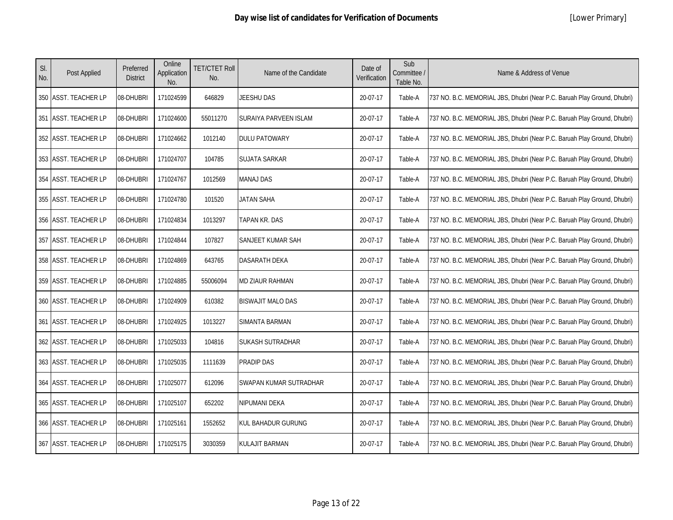| SI.<br>No. | Post Applied         | Preferred<br><b>District</b> | Online<br>Application<br>No. | <b>TET/CTET Roll</b><br>No. | Name of the Candidate    | Date of<br>Verification | Sub<br>Committee /<br>Table No. | Name & Address of Venue                                                  |
|------------|----------------------|------------------------------|------------------------------|-----------------------------|--------------------------|-------------------------|---------------------------------|--------------------------------------------------------------------------|
|            | 350 ASST. TEACHER LP | 08-DHUBRI                    | 171024599                    | 646829                      | JEESHU DAS               | 20-07-17                | Table-A                         | 737 NO. B.C. MEMORIAL JBS, Dhubri (Near P.C. Baruah Play Ground, Dhubri) |
|            | 351 ASST. TEACHER LP | 08-DHUBRI                    | 171024600                    | 55011270                    | SURAIYA PARVEEN ISLAM    | 20-07-17                | Table-A                         | 737 NO. B.C. MEMORIAL JBS, Dhubri (Near P.C. Baruah Play Ground, Dhubri) |
|            | 352 ASST. TEACHER LP | 08-DHUBRI                    | 171024662                    | 1012140                     | <b>DULU PATOWARY</b>     | 20-07-17                | Table-A                         | 737 NO. B.C. MEMORIAL JBS, Dhubri (Near P.C. Baruah Play Ground, Dhubri) |
|            | 353 ASST. TEACHER LP | 08-DHUBRI                    | 171024707                    | 104785                      | <b>SUJATA SARKAR</b>     | 20-07-17                | Table-A                         | 737 NO. B.C. MEMORIAL JBS, Dhubri (Near P.C. Baruah Play Ground, Dhubri) |
|            | 354 ASST. TEACHER LP | 08-DHUBRI                    | 171024767                    | 1012569                     | <b>MANAJ DAS</b>         | 20-07-17                | Table-A                         | 737 NO. B.C. MEMORIAL JBS, Dhubri (Near P.C. Baruah Play Ground, Dhubri) |
|            | 355 ASST. TEACHER LP | 08-DHUBRI                    | 171024780                    | 101520                      | JATAN SAHA               | 20-07-17                | Table-A                         | 737 NO. B.C. MEMORIAL JBS, Dhubri (Near P.C. Baruah Play Ground, Dhubri) |
|            | 356 ASST. TEACHER LP | 08-DHUBRI                    | 171024834                    | 1013297                     | TAPAN KR. DAS            | 20-07-17                | Table-A                         | 737 NO. B.C. MEMORIAL JBS, Dhubri (Near P.C. Baruah Play Ground, Dhubri) |
|            | 357 ASST. TEACHER LP | 08-DHUBRI                    | 171024844                    | 107827                      | SANJEET KUMAR SAH        | 20-07-17                | Table-A                         | 737 NO. B.C. MEMORIAL JBS, Dhubri (Near P.C. Baruah Play Ground, Dhubri) |
|            | 358 ASST. TEACHER LP | 08-DHUBRI                    | 171024869                    | 643765                      | <b>DASARATH DEKA</b>     | 20-07-17                | Table-A                         | 737 NO. B.C. MEMORIAL JBS, Dhubri (Near P.C. Baruah Play Ground, Dhubri) |
|            | 359 ASST. TEACHER LP | 08-DHUBRI                    | 171024885                    | 55006094                    | MD ZIAUR RAHMAN          | 20-07-17                | Table-A                         | 737 NO. B.C. MEMORIAL JBS, Dhubri (Near P.C. Baruah Play Ground, Dhubri) |
|            | 360 ASST. TEACHER LP | 08-DHUBRI                    | 171024909                    | 610382                      | <b>BISWAJIT MALO DAS</b> | 20-07-17                | Table-A                         | 737 NO. B.C. MEMORIAL JBS, Dhubri (Near P.C. Baruah Play Ground, Dhubri) |
|            | 361 ASST. TEACHER LP | 08-DHUBRI                    | 171024925                    | 1013227                     | SIMANTA BARMAN           | 20-07-17                | Table-A                         | 737 NO. B.C. MEMORIAL JBS, Dhubri (Near P.C. Baruah Play Ground, Dhubri) |
|            | 362 ASST. TEACHER LP | 08-DHUBRI                    | 171025033                    | 104816                      | <b>SUKASH SUTRADHAR</b>  | 20-07-17                | Table-A                         | 737 NO. B.C. MEMORIAL JBS, Dhubri (Near P.C. Baruah Play Ground, Dhubri) |
|            | 363 ASST. TEACHER LP | 08-DHUBRI                    | 171025035                    | 1111639                     | <b>PRADIP DAS</b>        | 20-07-17                | Table-A                         | 737 NO. B.C. MEMORIAL JBS, Dhubri (Near P.C. Baruah Play Ground, Dhubri) |
|            | 364 ASST. TEACHER LP | 08-DHUBRI                    | 171025077                    | 612096                      | SWAPAN KUMAR SUTRADHAR   | 20-07-17                | Table-A                         | 737 NO. B.C. MEMORIAL JBS, Dhubri (Near P.C. Baruah Play Ground, Dhubri) |
|            | 365 ASST. TEACHER LP | 08-DHUBRI                    | 171025107                    | 652202                      | NIPUMANI DEKA            | 20-07-17                | Table-A                         | 737 NO. B.C. MEMORIAL JBS, Dhubri (Near P.C. Baruah Play Ground, Dhubri) |
|            | 366 ASST. TEACHER LP | 08-DHUBRI                    | 171025161                    | 1552652                     | KUL BAHADUR GURUNG       | 20-07-17                | Table-A                         | 737 NO. B.C. MEMORIAL JBS, Dhubri (Near P.C. Baruah Play Ground, Dhubri) |
|            | 367 ASST. TEACHER LP | 08-DHUBRI                    | 171025175                    | 3030359                     | <b>KULAJIT BARMAN</b>    | 20-07-17                | Table-A                         | 737 NO. B.C. MEMORIAL JBS, Dhubri (Near P.C. Baruah Play Ground, Dhubri) |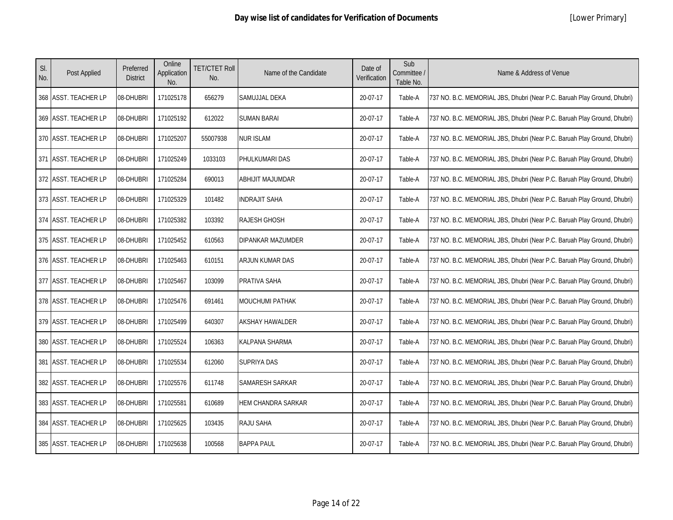| SI.<br>No. | Post Applied         | Preferred<br><b>District</b> | Online<br>Application<br>No. | <b>TET/CTET Roll</b><br>No. | Name of the Candidate  | Date of<br>Verification | Sub<br>Committee /<br>Table No. | Name & Address of Venue                                                  |
|------------|----------------------|------------------------------|------------------------------|-----------------------------|------------------------|-------------------------|---------------------------------|--------------------------------------------------------------------------|
|            | 368 ASST. TEACHER LP | 08-DHUBRI                    | 171025178                    | 656279                      | SAMUJJAL DEKA          | 20-07-17                | Table-A                         | 737 NO. B.C. MEMORIAL JBS, Dhubri (Near P.C. Baruah Play Ground, Dhubri) |
|            | 369 ASST. TEACHER LP | 08-DHUBRI                    | 171025192                    | 612022                      | <b>SUMAN BARAI</b>     | 20-07-17                | Table-A                         | 737 NO. B.C. MEMORIAL JBS, Dhubri (Near P.C. Baruah Play Ground, Dhubri) |
|            | 370 ASST. TEACHER LP | 08-DHUBRI                    | 171025207                    | 55007938                    | <b>NUR ISLAM</b>       | 20-07-17                | Table-A                         | 737 NO. B.C. MEMORIAL JBS, Dhubri (Near P.C. Baruah Play Ground, Dhubri) |
|            | 371 ASST. TEACHER LP | 08-DHUBRI                    | 171025249                    | 1033103                     | PHULKUMARI DAS         | 20-07-17                | Table-A                         | 737 NO. B.C. MEMORIAL JBS, Dhubri (Near P.C. Baruah Play Ground, Dhubri) |
|            | 372 ASST. TEACHER LP | 08-DHUBRI                    | 171025284                    | 690013                      | ABHIJIT MAJUMDAR       | 20-07-17                | Table-A                         | 737 NO. B.C. MEMORIAL JBS, Dhubri (Near P.C. Baruah Play Ground, Dhubri) |
|            | 373 ASST. TEACHER LP | 08-DHUBRI                    | 171025329                    | 101482                      | <b>INDRAJIT SAHA</b>   | 20-07-17                | Table-A                         | 737 NO. B.C. MEMORIAL JBS, Dhubri (Near P.C. Baruah Play Ground, Dhubri) |
|            | 374 ASST. TEACHER LP | 08-DHUBRI                    | 171025382                    | 103392                      | RAJESH GHOSH           | 20-07-17                | Table-A                         | 737 NO. B.C. MEMORIAL JBS, Dhubri (Near P.C. Baruah Play Ground, Dhubri) |
|            | 375 ASST. TEACHER LP | 08-DHUBRI                    | 171025452                    | 610563                      | DIPANKAR MAZUMDER      | 20-07-17                | Table-A                         | 737 NO. B.C. MEMORIAL JBS, Dhubri (Near P.C. Baruah Play Ground, Dhubri) |
|            | 376 ASST. TEACHER LP | 08-DHUBRI                    | 171025463                    | 610151                      | ARJUN KUMAR DAS        | 20-07-17                | Table-A                         | 737 NO. B.C. MEMORIAL JBS, Dhubri (Near P.C. Baruah Play Ground, Dhubri) |
|            | 377 ASST. TEACHER LP | 08-DHUBRI                    | 171025467                    | 103099                      | PRATIVA SAHA           | 20-07-17                | Table-A                         | 737 NO. B.C. MEMORIAL JBS, Dhubri (Near P.C. Baruah Play Ground, Dhubri) |
|            | 378 ASST. TEACHER LP | 08-DHUBRI                    | 171025476                    | 691461                      | MOUCHUMI PATHAK        | 20-07-17                | Table-A                         | 737 NO. B.C. MEMORIAL JBS, Dhubri (Near P.C. Baruah Play Ground, Dhubri) |
|            | 379 ASST. TEACHER LP | 08-DHUBRI                    | 171025499                    | 640307                      | <b>AKSHAY HAWALDER</b> | 20-07-17                | Table-A                         | 737 NO. B.C. MEMORIAL JBS, Dhubri (Near P.C. Baruah Play Ground, Dhubri) |
|            | 380 ASST. TEACHER LP | 08-DHUBRI                    | 171025524                    | 106363                      | KALPANA SHARMA         | 20-07-17                | Table-A                         | 737 NO. B.C. MEMORIAL JBS, Dhubri (Near P.C. Baruah Play Ground, Dhubri) |
|            | 381 ASST. TEACHER LP | 08-DHUBRI                    | 171025534                    | 612060                      | <b>SUPRIYA DAS</b>     | 20-07-17                | Table-A                         | 737 NO. B.C. MEMORIAL JBS, Dhubri (Near P.C. Baruah Play Ground, Dhubri) |
|            | 382 ASST. TEACHER LP | 08-DHUBRI                    | 171025576                    | 611748                      | SAMARESH SARKAR        | 20-07-17                | Table-A                         | 737 NO. B.C. MEMORIAL JBS, Dhubri (Near P.C. Baruah Play Ground, Dhubri) |
|            | 383 ASST. TEACHER LP | 08-DHUBRI                    | 171025581                    | 610689                      | HEM CHANDRA SARKAR     | 20-07-17                | Table-A                         | 737 NO. B.C. MEMORIAL JBS, Dhubri (Near P.C. Baruah Play Ground, Dhubri) |
|            | 384 ASST. TEACHER LP | 08-DHUBRI                    | 171025625                    | 103435                      | <b>RAJU SAHA</b>       | 20-07-17                | Table-A                         | 737 NO. B.C. MEMORIAL JBS, Dhubri (Near P.C. Baruah Play Ground, Dhubri) |
|            | 385 ASST. TEACHER LP | 08-DHUBRI                    | 171025638                    | 100568                      | <b>BAPPA PAUL</b>      | 20-07-17                | Table-A                         | 737 NO. B.C. MEMORIAL JBS, Dhubri (Near P.C. Baruah Play Ground, Dhubri) |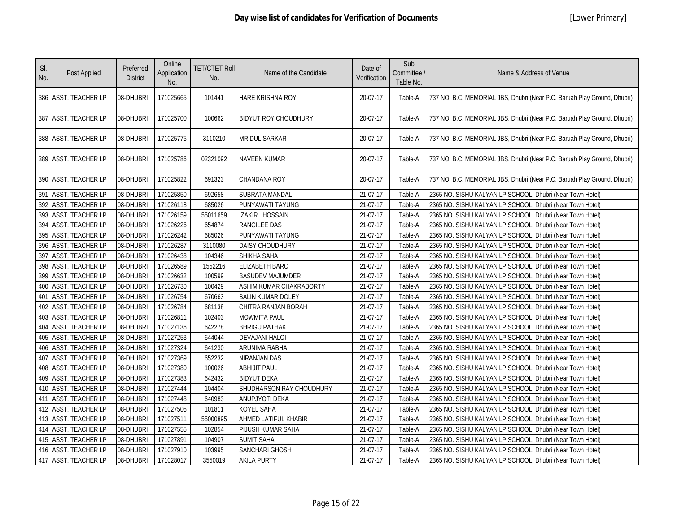| SI.<br>No. | Post Applied         | Preferred<br><b>District</b> | Online<br>Application<br>No. | <b>TET/CTET Roll</b><br>No. | Name of the Candidate       | Date of<br>Verification | Sub<br>Committee /<br>Table No. | Name & Address of Venue                                                  |
|------------|----------------------|------------------------------|------------------------------|-----------------------------|-----------------------------|-------------------------|---------------------------------|--------------------------------------------------------------------------|
|            | 386 ASST. TEACHER LP | 08-DHUBRI                    | 171025665                    | 101441                      | HARE KRISHNA ROY            | 20-07-17                | Table-A                         | 737 NO. B.C. MEMORIAL JBS, Dhubri (Near P.C. Baruah Play Ground, Dhubri) |
|            | 387 ASST. TEACHER LP | 08-DHUBRI                    | 171025700                    | 100662                      | <b>BIDYUT ROY CHOUDHURY</b> | 20-07-17                | Table-A                         | 737 NO. B.C. MEMORIAL JBS, Dhubri (Near P.C. Baruah Play Ground, Dhubri) |
|            | 388 ASST. TEACHER LP | 08-DHUBRI                    | 171025775                    | 3110210                     | <b>MRIDUL SARKAR</b>        | 20-07-17                | Table-A                         | 737 NO. B.C. MEMORIAL JBS, Dhubri (Near P.C. Baruah Play Ground, Dhubri) |
|            | 389 ASST. TEACHER LP | 08-DHUBRI                    | 171025786                    | 02321092                    | <b>NAVEEN KUMAR</b>         | 20-07-17                | Table-A                         | 737 NO. B.C. MEMORIAL JBS, Dhubri (Near P.C. Baruah Play Ground, Dhubri) |
|            | 390 ASST. TEACHER LP | 08-DHUBRI                    | 171025822                    | 691323                      | CHANDANA ROY                | 20-07-17                | Table-A                         | 737 NO. B.C. MEMORIAL JBS, Dhubri (Near P.C. Baruah Play Ground, Dhubri) |
|            | 391 ASST. TEACHER LP | 08-DHUBRI                    | 171025850                    | 692658                      | <b>SUBRATA MANDAL</b>       | 21-07-17                | Table-A                         | 2365 NO. SISHU KALYAN LP SCHOOL, Dhubri (Near Town Hotel)                |
|            | 392 ASST. TEACHER LP | 08-DHUBRI                    | 171026118                    | 685026                      | PUNYAWATI TAYUNG            | 21-07-17                | Table-A                         | 2365 NO. SISHU KALYAN LP SCHOOL, Dhubri (Near Town Hotel)                |
|            | 393 ASST. TEACHER LP | 08-DHUBRI                    | 171026159                    | 55011659                    | .ZAKIR. .HOSSAIN.           | 21-07-17                | Table-A                         | 2365 NO. SISHU KALYAN LP SCHOOL, Dhubri (Near Town Hotel)                |
|            | 394 ASST. TEACHER LP | 08-DHUBRI                    | 171026226                    | 654874                      | <b>RANGILEE DAS</b>         | 21-07-17                | Table-A                         | 2365 NO. SISHU KALYAN LP SCHOOL, Dhubri (Near Town Hotel)                |
|            | 395 ASST. TEACHER LP | 08-DHUBRI                    | 171026242                    | 685026                      | PUNYAWATI TAYUNG            | 21-07-17                | Table-A                         | 2365 NO. SISHU KALYAN LP SCHOOL, Dhubri (Near Town Hotel)                |
|            | 396 ASST. TEACHER LP | 08-DHUBRI                    | 171026287                    | 3110080                     | <b>DAISY CHOUDHURY</b>      | 21-07-17                | Table-A                         | 2365 NO. SISHU KALYAN LP SCHOOL, Dhubri (Near Town Hotel)                |
|            | 397 ASST. TEACHER LP | 08-DHUBRI                    | 171026438                    | 104346                      | SHIKHA SAHA                 | 21-07-17                | Table-A                         | 2365 NO. SISHU KALYAN LP SCHOOL, Dhubri (Near Town Hotel)                |
|            | 398 ASST. TEACHER LP | 08-DHUBRI                    | 171026589                    | 1552216                     | ELIZABETH BARO              | 21-07-17                | Table-A                         | 2365 NO. SISHU KALYAN LP SCHOOL, Dhubri (Near Town Hotel)                |
|            | 399 ASST. TEACHER LP | 08-DHUBRI                    | 171026632                    | 100599                      | <b>BASUDEV MAJUMDER</b>     | 21-07-17                | Table-A                         | 2365 NO. SISHU KALYAN LP SCHOOL, Dhubri (Near Town Hotel)                |
|            | 400 ASST. TEACHER LP | 08-DHUBRI                    | 171026730                    | 100429                      | ASHIM KUMAR CHAKRABORTY     | 21-07-17                | Table-A                         | 2365 NO. SISHU KALYAN LP SCHOOL, Dhubri (Near Town Hotel)                |
|            | 401 ASST. TEACHER LP | 08-DHUBRI                    | 171026754                    | 670663                      | <b>BALIN KUMAR DOLEY</b>    | 21-07-17                | Table-A                         | 2365 NO. SISHU KALYAN LP SCHOOL, Dhubri (Near Town Hotel)                |
|            | 402 ASST. TEACHER LP | 08-DHUBRI                    | 171026784                    | 681138                      | CHITRA RANJAN BORAH         | 21-07-17                | Table-A                         | 2365 NO. SISHU KALYAN LP SCHOOL, Dhubri (Near Town Hotel)                |
|            | 403 ASST. TEACHER LP | 08-DHUBRI                    | 171026811                    | 102403                      | <b>MOWMITA PAUL</b>         | 21-07-17                | Table-A                         | 2365 NO. SISHU KALYAN LP SCHOOL, Dhubri (Near Town Hotel)                |
|            | 404 ASST. TEACHER LP | 08-DHUBRI                    | 171027136                    | 642278                      | <b>BHRIGU PATHAK</b>        | 21-07-17                | Table-A                         | 2365 NO. SISHU KALYAN LP SCHOOL, Dhubri (Near Town Hotel)                |
|            | 405 ASST. TEACHER LP | 08-DHUBRI                    | 171027253                    | 644044                      | <b>DEVAJANI HALOI</b>       | 21-07-17                | Table-A                         | 2365 NO. SISHU KALYAN LP SCHOOL, Dhubri (Near Town Hotel)                |
|            | 406 ASST. TEACHER LP | 08-DHUBRI                    | 171027324                    | 641230                      | ARUNIMA RABHA               | 21-07-17                | Table-A                         | 2365 NO. SISHU KALYAN LP SCHOOL, Dhubri (Near Town Hotel)                |
|            | 407 ASST. TEACHER LP | 08-DHUBRI                    | 171027369                    | 652232                      | NIRANJAN DAS                | 21-07-17                | Table-A                         | 2365 NO. SISHU KALYAN LP SCHOOL, Dhubri (Near Town Hotel)                |
|            | 408 ASST. TEACHER LP | 08-DHUBRI                    | 171027380                    | 100026                      | <b>ABHIJIT PAUL</b>         | 21-07-17                | Table-A                         | 2365 NO. SISHU KALYAN LP SCHOOL, Dhubri (Near Town Hotel)                |
|            | 409 ASST. TEACHER LP | 08-DHUBRI                    | 171027383                    | 642432                      | <b>BIDYUT DEKA</b>          | 21-07-17                | Table-A                         | 2365 NO. SISHU KALYAN LP SCHOOL, Dhubri (Near Town Hotel)                |
|            | 410 ASST. TEACHER LP | 08-DHUBRI                    | 171027444                    | 104404                      | SHUDHARSON RAY CHOUDHURY    | 21-07-17                | Table-A                         | 2365 NO. SISHU KALYAN LP SCHOOL, Dhubri (Near Town Hotel)                |
|            | 411 ASST. TEACHER LP | 08-DHUBRI                    | 171027448                    | 640983                      | ANUPJYOTI DEKA              | 21-07-17                | Table-A                         | 2365 NO. SISHU KALYAN LP SCHOOL, Dhubri (Near Town Hotel)                |
|            | 412 ASST. TEACHER LP | 08-DHUBRI                    | 171027505                    | 101811                      | <b>KOYEL SAHA</b>           | 21-07-17                | Table-A                         | 2365 NO. SISHU KALYAN LP SCHOOL, Dhubri (Near Town Hotel)                |
|            | 413 ASST. TEACHER LP | 08-DHUBRI                    | 171027511                    | 55000895                    | AHMED LATIFUL KHABIR        | 21-07-17                | Table-A                         | 2365 NO. SISHU KALYAN LP SCHOOL, Dhubri (Near Town Hotel)                |
|            | 414 ASST. TEACHER LP | 08-DHUBRI                    | 171027555                    | 102854                      | PIJUSH KUMAR SAHA           | 21-07-17                | Table-A                         | 2365 NO. SISHU KALYAN LP SCHOOL, Dhubri (Near Town Hotel)                |
|            | 415 ASST. TEACHER LP | 08-DHUBRI                    | 171027891                    | 104907                      | <b>SUMIT SAHA</b>           | 21-07-17                | Table-A                         | 2365 NO. SISHU KALYAN LP SCHOOL, Dhubri (Near Town Hotel)                |
|            | 416 ASST. TEACHER LP | 08-DHUBRI                    | 171027910                    | 103995                      | SANCHARI GHOSH              | 21-07-17                | Table-A                         | 2365 NO. SISHU KALYAN LP SCHOOL, Dhubri (Near Town Hotel)                |
|            | 417 ASST. TEACHER LP | 08-DHUBRI                    | 171028017                    | 3550019                     | <b>AKILA PURTY</b>          | 21-07-17                | Table-A                         | 2365 NO. SISHU KALYAN LP SCHOOL, Dhubri (Near Town Hotel)                |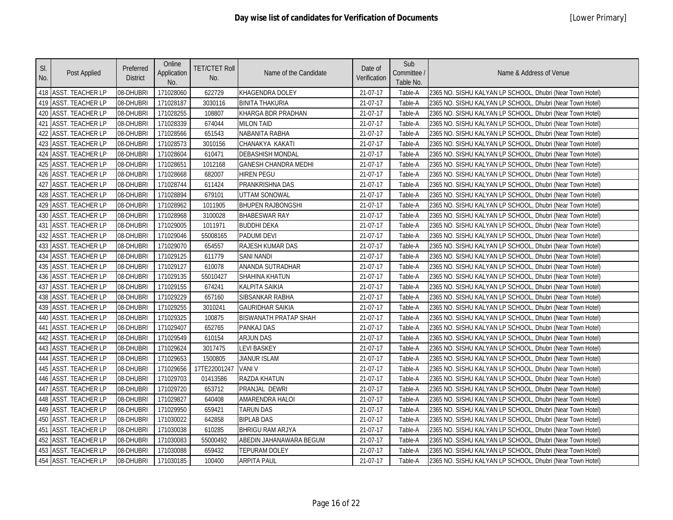| SI.<br>No. | Post Applied            | Preferred<br><b>District</b> | Online<br>Application<br>No. | <b>TET/CTET Roll</b><br>No. | Name of the Candidate        | Date of<br>Verification | Sub<br>Committee /<br>Table No. | Name & Address of Venue                                   |
|------------|-------------------------|------------------------------|------------------------------|-----------------------------|------------------------------|-------------------------|---------------------------------|-----------------------------------------------------------|
|            | 418 ASST. TEACHER LP    | 08-DHUBRI                    | 171028060                    | 622729                      | KHAGENDRA DOLEY              | 21-07-17                | Table-A                         | 2365 NO. SISHU KALYAN LP SCHOOL, Dhubri (Near Town Hotel) |
|            | 419 ASST. TEACHER LP    | 08-DHUBRI                    | 171028187                    | 3030116                     | <b>BINITA THAKURIA</b>       | 21-07-17                | Table-A                         | 2365 NO. SISHU KALYAN LP SCHOOL, Dhubri (Near Town Hotel) |
| 420        | <b>ASST. TEACHER LP</b> | 08-DHUBRI                    | 171028255                    | 108807                      | KHARGA BDR PRADHAN           | 21-07-17                | Table-A                         | 2365 NO. SISHU KALYAN LP SCHOOL, Dhubri (Near Town Hotel) |
| 421        | <b>ASST. TEACHER LP</b> | 08-DHUBRI                    | 171028339                    | 674044                      | <b>MILON TAID</b>            | 21-07-17                | Table-A                         | 2365 NO. SISHU KALYAN LP SCHOOL, Dhubri (Near Town Hotel) |
| 422        | <b>ASST. TEACHER LP</b> | 08-DHUBRI                    | 171028566                    | 651543                      | NABANITA RABHA               | 21-07-17                | Table-A                         | 2365 NO. SISHU KALYAN LP SCHOOL, Dhubri (Near Town Hotel) |
|            | 423 ASST. TEACHER LP    | 08-DHUBRI                    | 171028573                    | 3010156                     | CHANAKYA KAKATI              | 21-07-17                | Table-A                         | 2365 NO. SISHU KALYAN LP SCHOOL, Dhubri (Near Town Hotel) |
| 424        | <b>ASST. TEACHER LP</b> | 08-DHUBRI                    | 171028604                    | 610471                      | <b>DEBASHISH MONDAL</b>      | 21-07-17                | Table-A                         | 2365 NO. SISHU KALYAN LP SCHOOL, Dhubri (Near Town Hotel) |
|            | 425 ASST. TEACHER LP    | 08-DHUBRI                    | 171028651                    | 1012168                     | <b>GANESH CHANDRA MEDHI</b>  | 21-07-17                | Table-A                         | 2365 NO. SISHU KALYAN LP SCHOOL, Dhubri (Near Town Hotel) |
|            | 426 ASST. TEACHER LP    | 08-DHUBRI                    | 171028668                    | 682007                      | <b>HIREN PEGU</b>            | 21-07-17                | Table-A                         | 2365 NO. SISHU KALYAN LP SCHOOL, Dhubri (Near Town Hotel) |
| 427        | <b>ASST. TEACHER LP</b> | 08-DHUBRI                    | 171028744                    | 611424                      | PRANKRISHNA DAS              | 21-07-17                | Table-A                         | 2365 NO. SISHU KALYAN LP SCHOOL, Dhubri (Near Town Hotel) |
|            | 428 ASST. TEACHER LP    | 08-DHUBRI                    | 171028894                    | 679101                      | UTTAM SONOWAL                | 21-07-17                | Table-A                         | 2365 NO. SISHU KALYAN LP SCHOOL, Dhubri (Near Town Hotel) |
|            | 429 ASST. TEACHER LP    | 08-DHUBRI                    | 171028962                    | 1011905                     | <b>BHUPEN RAJBONGSHI</b>     | 21-07-17                | Table-A                         | 2365 NO. SISHU KALYAN LP SCHOOL, Dhubri (Near Town Hotel) |
|            | 430 ASST. TEACHER LP    | 08-DHUBRI                    | 171028968                    | 3100028                     | <b>BHABESWAR RAY</b>         | 21-07-17                | Table-A                         | 2365 NO. SISHU KALYAN LP SCHOOL, Dhubri (Near Town Hotel) |
| 431        | <b>ASST. TEACHER LP</b> | 08-DHUBRI                    | 171029005                    | 1011971                     | <b>BUDDHI DEKA</b>           | 21-07-17                | Table-A                         | 2365 NO. SISHU KALYAN LP SCHOOL, Dhubri (Near Town Hotel) |
|            | 432 ASST. TEACHER LP    | 08-DHUBRI                    | 171029046                    | 55008165                    | <b>PADUMI DEVI</b>           | 21-07-17                | Table-A                         | 2365 NO. SISHU KALYAN LP SCHOOL, Dhubri (Near Town Hotel) |
|            | 433 ASST. TEACHER LP    | 08-DHUBRI                    | 171029070                    | 654557                      | <b>RAJESH KUMAR DAS</b>      | 21-07-17                | Table-A                         | 2365 NO. SISHU KALYAN LP SCHOOL, Dhubri (Near Town Hotel) |
| 434        | <b>ASST. TEACHER LP</b> | 08-DHUBRI                    | 171029125                    | 611779                      | <b>SANI NANDI</b>            | 21-07-17                | Table-A                         | 2365 NO. SISHU KALYAN LP SCHOOL, Dhubri (Near Town Hotel) |
|            | 435 ASST. TEACHER LP    | 08-DHUBRI                    | 171029127                    | 610078                      | ANANDA SUTRADHAR             | 21-07-17                | Table-A                         | 2365 NO. SISHU KALYAN LP SCHOOL, Dhubri (Near Town Hotel) |
|            | 436 ASST. TEACHER LP    | 08-DHUBRI                    | 171029135                    | 55010427                    | SHAHINA KHATUN               | 21-07-17                | Table-A                         | 2365 NO. SISHU KALYAN LP SCHOOL, Dhubri (Near Town Hotel) |
| 437        | <b>ASST. TEACHER LP</b> | 08-DHUBRI                    | 171029155                    | 674241                      | KALPITA SAIKIA               | 21-07-17                | Table-A                         | 2365 NO. SISHU KALYAN LP SCHOOL, Dhubri (Near Town Hotel) |
|            | 438 ASST. TEACHER LP    | 08-DHUBRI                    | 171029229                    | 657160                      | SIBSANKAR RABHA              | 21-07-17                | Table-A                         | 2365 NO. SISHU KALYAN LP SCHOOL, Dhubri (Near Town Hotel) |
|            | 439 ASST. TEACHER LP    | 08-DHUBRI                    | 171029255                    | 3010241                     | <b>GAURIDHAR SAIKIA</b>      | 21-07-17                | Table-A                         | 2365 NO. SISHU KALYAN LP SCHOOL, Dhubri (Near Town Hotel) |
|            | 440 ASST. TEACHER LP    | 08-DHUBRI                    | 171029325                    | 100875                      | <b>BISWANATH PRATAP SHAH</b> | 21-07-17                | Table-A                         | 2365 NO. SISHU KALYAN LP SCHOOL, Dhubri (Near Town Hotel) |
| 441        | <b>ASST. TEACHER LP</b> | 08-DHUBRI                    | 171029407                    | 652765                      | <b>PANKAJ DAS</b>            | 21-07-17                | Table-A                         | 2365 NO. SISHU KALYAN LP SCHOOL, Dhubri (Near Town Hotel) |
| 442        | <b>ASST. TEACHER LP</b> | 08-DHUBRI                    | 171029549                    | 610154                      | <b>ARJUN DAS</b>             | 21-07-17                | Table-A                         | 2365 NO. SISHU KALYAN LP SCHOOL, Dhubri (Near Town Hotel) |
|            | 443 ASST. TEACHER LP    | 08-DHUBRI                    | 171029624                    | 3017475                     | <b>LEVI BASKEY</b>           | 21-07-17                | Table-A                         | 2365 NO. SISHU KALYAN LP SCHOOL, Dhubri (Near Town Hotel) |
| 444        | <b>ASST. TEACHER LP</b> | 08-DHUBRI                    | 171029653                    | 1500805                     | <b>JIANUR ISLAM</b>          | 21-07-17                | Table-A                         | 2365 NO. SISHU KALYAN LP SCHOOL, Dhubri (Near Town Hotel) |
|            | 445 ASST. TEACHER LP    | 08-DHUBRI                    | 171029656                    | 17TE22001247                | <b>VANI V</b>                | 21-07-17                | Table-A                         | 2365 NO. SISHU KALYAN LP SCHOOL, Dhubri (Near Town Hotel) |
|            | 446 ASST. TEACHER LP    | 08-DHUBRI                    | 171029703                    | 01413586                    | <b>RAZDA KHATUN</b>          | 21-07-17                | Table-A                         | 2365 NO. SISHU KALYAN LP SCHOOL, Dhubri (Near Town Hotel) |
| 447        | <b>ASST. TEACHER LP</b> | 08-DHUBRI                    | 171029720                    | 653712                      | PRANJAL DEWRI                | 21-07-17                | Table-A                         | 2365 NO. SISHU KALYAN LP SCHOOL, Dhubri (Near Town Hotel) |
| 448        | <b>ASST. TEACHER LP</b> | 08-DHUBRI                    | 171029827                    | 640408                      | AMARENDRA HALOI              | 21-07-17                | Table-A                         | 2365 NO. SISHU KALYAN LP SCHOOL, Dhubri (Near Town Hotel) |
| 449        | <b>ASST. TEACHER LP</b> | 08-DHUBRI                    | 171029950                    | 659421                      | <b>TARUN DAS</b>             | 21-07-17                | Table-A                         | 2365 NO. SISHU KALYAN LP SCHOOL, Dhubri (Near Town Hotel) |
| 450        | <b>ASST. TEACHER LP</b> | 08-DHUBRI                    | 171030022                    | 642858                      | <b>BIPLAB DAS</b>            | 21-07-17                | Table-A                         | 2365 NO. SISHU KALYAN LP SCHOOL, Dhubri (Near Town Hotel) |
| 451        | <b>ASST. TEACHER LP</b> | 08-DHUBRI                    | 171030038                    | 610285                      | <b>BHRIGU RAM ARJYA</b>      | 21-07-17                | Table-A                         | 2365 NO. SISHU KALYAN LP SCHOOL, Dhubri (Near Town Hotel) |
|            | 452 ASST. TEACHER LP    | 08-DHUBRI                    | 171030083                    | 55000492                    | ABEDIN JAHANAWARA BEGUM      | 21-07-17                | Table-A                         | 2365 NO. SISHU KALYAN LP SCHOOL, Dhubri (Near Town Hotel) |
|            | 453 ASST. TEACHER LP    | 08-DHUBRI                    | 171030088                    | 659432                      | <b>TEPURAM DOLEY</b>         | 21-07-17                | Table-A                         | 2365 NO. SISHU KALYAN LP SCHOOL, Dhubri (Near Town Hotel) |
|            | 454 ASST. TEACHER LP    | 08-DHUBRI                    | 171030185                    | 100400                      | <b>ARPITA PAUL</b>           | 21-07-17                | Table-A                         | 2365 NO. SISHU KALYAN LP SCHOOL, Dhubri (Near Town Hotel) |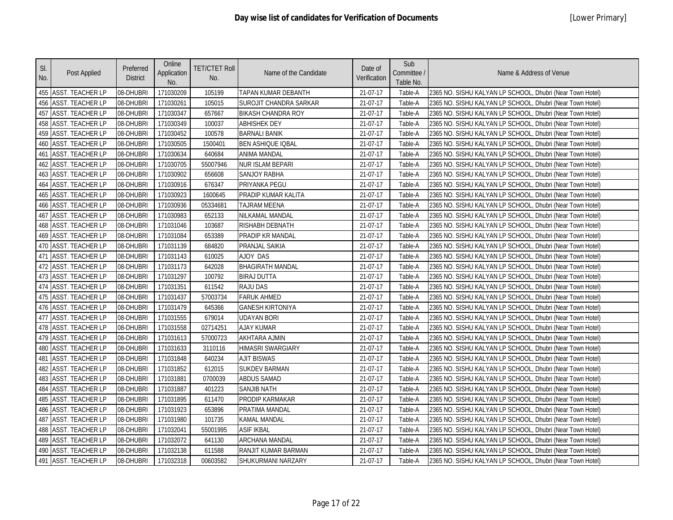| SI.<br>No. | Post Applied            | Preferred<br><b>District</b> | Online<br>Application<br>No. | <b>TET/CTET Roll</b><br>No. | Name of the Candidate     | Date of<br>Verification | Sub<br>Committee /<br>Table No. | Name & Address of Venue                                   |
|------------|-------------------------|------------------------------|------------------------------|-----------------------------|---------------------------|-------------------------|---------------------------------|-----------------------------------------------------------|
|            | 455 ASST. TEACHER LP    | 08-DHUBRI                    | 171030209                    | 105199                      | TAPAN KUMAR DEBANTH       | 21-07-17                | Table-A                         | 2365 NO. SISHU KALYAN LP SCHOOL, Dhubri (Near Town Hotel) |
|            | 456 ASST. TEACHER LP    | 08-DHUBRI                    | 171030261                    | 105015                      | SUROJIT CHANDRA SARKAR    | 21-07-17                | Table-A                         | 2365 NO. SISHU KALYAN LP SCHOOL, Dhubri (Near Town Hotel) |
| 457        | <b>ASST. TEACHER LP</b> | 08-DHUBRI                    | 171030347                    | 657667                      | <b>BIKASH CHANDRA ROY</b> | 21-07-17                | Table-A                         | 2365 NO. SISHU KALYAN LP SCHOOL, Dhubri (Near Town Hotel) |
| 458        | <b>ASST. TEACHER LP</b> | 08-DHUBRI                    | 171030349                    | 100037                      | <b>ABHISHEK DEY</b>       | 21-07-17                | Table-A                         | 2365 NO. SISHU KALYAN LP SCHOOL, Dhubri (Near Town Hotel) |
| 459        | <b>ASST. TEACHER LP</b> | 08-DHUBRI                    | 171030452                    | 100578                      | <b>BARNALI BANIK</b>      | 21-07-17                | Table-A                         | 2365 NO. SISHU KALYAN LP SCHOOL, Dhubri (Near Town Hotel) |
| 460        | <b>ASST. TEACHER LP</b> | 08-DHUBRI                    | 171030505                    | 1500401                     | <b>BEN ASHIQUE IQBAL</b>  | 21-07-17                | Table-A                         | 2365 NO. SISHU KALYAN LP SCHOOL, Dhubri (Near Town Hotel) |
|            | 461 ASST. TEACHER LP    | 08-DHUBRI                    | 171030634                    | 640684                      | ANIMA MANDAL              | 21-07-17                | Table-A                         | 2365 NO. SISHU KALYAN LP SCHOOL, Dhubri (Near Town Hotel) |
|            | 462 ASST. TEACHER LP    | 08-DHUBRI                    | 171030705                    | 55007946                    | <b>NUR ISLAM BEPARI</b>   | 21-07-17                | Table-A                         | 2365 NO. SISHU KALYAN LP SCHOOL, Dhubri (Near Town Hotel) |
|            | 463 ASST. TEACHER LP    | 08-DHUBRI                    | 171030902                    | 656608                      | SANJOY RABHA              | 21-07-17                | Table-A                         | 2365 NO. SISHU KALYAN LP SCHOOL, Dhubri (Near Town Hotel) |
| 464        | <b>ASST. TEACHER LP</b> | 08-DHUBRI                    | 171030916                    | 676347                      | PRIYANKA PEGU             | 21-07-17                | Table-A                         | 2365 NO. SISHU KALYAN LP SCHOOL, Dhubri (Near Town Hotel) |
| 465        | <b>ASST. TEACHER LP</b> | 08-DHUBRI                    | 171030923                    | 1600645                     | PRADIP KUMAR KALITA       | 21-07-17                | Table-A                         | 2365 NO. SISHU KALYAN LP SCHOOL, Dhubri (Near Town Hotel) |
|            | 466 ASST. TEACHER LP    | 08-DHUBRI                    | 171030936                    | 05334681                    | <b>TAJRAM MEENA</b>       | 21-07-17                | Table-A                         | 2365 NO. SISHU KALYAN LP SCHOOL, Dhubri (Near Town Hotel) |
| 467        | <b>ASST. TEACHER LP</b> | 08-DHUBRI                    | 171030983                    | 652133                      | NILKAMAL MANDAL           | 21-07-17                | Table-A                         | 2365 NO. SISHU KALYAN LP SCHOOL, Dhubri (Near Town Hotel) |
|            | 468 ASST. TEACHER LP    | 08-DHUBRI                    | 171031046                    | 103687                      | RISHABH DEBNATH           | 21-07-17                | Table-A                         | 2365 NO. SISHU KALYAN LP SCHOOL, Dhubri (Near Town Hotel) |
|            | 469 ASST. TEACHER LP    | 08-DHUBRI                    | 171031084                    | 653389                      | PRADIP KR MANDAL          | 21-07-17                | Table-A                         | 2365 NO. SISHU KALYAN LP SCHOOL, Dhubri (Near Town Hotel) |
| 470        | <b>ASST. TEACHER LP</b> | 08-DHUBRI                    | 171031139                    | 684820                      | PRANJAL SAIKIA            | 21-07-17                | Table-A                         | 2365 NO. SISHU KALYAN LP SCHOOL, Dhubri (Near Town Hotel) |
| 471        | <b>ASST. TEACHER LP</b> | 08-DHUBRI                    | 171031143                    | 610025                      | AJOY DAS                  | 21-07-17                | Table-A                         | 2365 NO. SISHU KALYAN LP SCHOOL, Dhubri (Near Town Hotel) |
| 472        | <b>ASST. TEACHER LP</b> | 08-DHUBRI                    | 171031173                    | 642028                      | <b>BHAGIRATH MANDAL</b>   | 21-07-17                | Table-A                         | 2365 NO. SISHU KALYAN LP SCHOOL, Dhubri (Near Town Hotel) |
|            | 473 ASST. TEACHER LP    | 08-DHUBRI                    | 171031297                    | 100792                      | <b>BIRAJ DUTTA</b>        | 21-07-17                | Table-A                         | 2365 NO. SISHU KALYAN LP SCHOOL, Dhubri (Near Town Hotel) |
| 474        | <b>ASST. TEACHER LP</b> | 08-DHUBRI                    | 171031351                    | 611542                      | RAJU DAS                  | 21-07-17                | Table-A                         | 2365 NO. SISHU KALYAN LP SCHOOL, Dhubri (Near Town Hotel) |
|            | 475 ASST. TEACHER LP    | 08-DHUBRI                    | 171031437                    | 57003734                    | <b>FARUK AHMED</b>        | 21-07-17                | Table-A                         | 2365 NO. SISHU KALYAN LP SCHOOL, Dhubri (Near Town Hotel) |
|            | 476 ASST. TEACHER LP    | 08-DHUBRI                    | 171031479                    | 645366                      | <b>GANESH KIRTONIYA</b>   | 21-07-17                | Table-A                         | 2365 NO. SISHU KALYAN LP SCHOOL, Dhubri (Near Town Hotel) |
| 477        | <b>ASST. TEACHER LP</b> | 08-DHUBRI                    | 171031555                    | 679014                      | <b>UDAYAN BORI</b>        | 21-07-17                | Table-A                         | 2365 NO. SISHU KALYAN LP SCHOOL, Dhubri (Near Town Hotel) |
| 478        | <b>ASST. TEACHER LP</b> | 08-DHUBRI                    | 171031558                    | 02714251                    | <b>AJAY KUMAR</b>         | 21-07-17                | Table-A                         | 2365 NO. SISHU KALYAN LP SCHOOL, Dhubri (Near Town Hotel) |
| 479        | <b>ASST. TEACHER LP</b> | 08-DHUBRI                    | 171031613                    | 57000723                    | <b>AKHTARA AJMIN</b>      | 21-07-17                | Table-A                         | 2365 NO. SISHU KALYAN LP SCHOOL, Dhubri (Near Town Hotel) |
| 480        | <b>ASST. TEACHER LP</b> | 08-DHUBRI                    | 171031633                    | 3110116                     | <b>HIMASRI SWARGIARY</b>  | 21-07-17                | Table-A                         | 2365 NO. SISHU KALYAN LP SCHOOL, Dhubri (Near Town Hotel) |
| 481        | <b>ASST. TEACHER LP</b> | 08-DHUBRI                    | 171031848                    | 640234                      | <b>AJIT BISWAS</b>        | 21-07-17                | Table-A                         | 2365 NO. SISHU KALYAN LP SCHOOL, Dhubri (Near Town Hotel) |
| 482        | <b>ASST. TEACHER LP</b> | 08-DHUBRI                    | 171031852                    | 612015                      | <b>SUKDEV BARMAN</b>      | 21-07-17                | Table-A                         | 2365 NO. SISHU KALYAN LP SCHOOL, Dhubri (Near Town Hotel) |
|            | 483 ASST. TEACHER LP    | 08-DHUBRI                    | 171031881                    | 0700039                     | <b>ABDUS SAMAD</b>        | 21-07-17                | Table-A                         | 2365 NO. SISHU KALYAN LP SCHOOL, Dhubri (Near Town Hotel) |
|            | 484 ASST. TEACHER LP    | 08-DHUBRI                    | 171031887                    | 401223                      | <b>SANJIB NATH</b>        | 21-07-17                | Table-A                         | 2365 NO. SISHU KALYAN LP SCHOOL, Dhubri (Near Town Hotel) |
| 485        | <b>ASST. TEACHER LP</b> | 08-DHUBRI                    | 171031895                    | 611470                      | PRODIP KARMAKAR           | 21-07-17                | Table-A                         | 2365 NO. SISHU KALYAN LP SCHOOL, Dhubri (Near Town Hotel) |
| 486        | <b>ASST. TEACHER LP</b> | 08-DHUBRI                    | 171031923                    | 653896                      | PRATIMA MANDAL            | 21-07-17                | Table-A                         | 2365 NO. SISHU KALYAN LP SCHOOL, Dhubri (Near Town Hotel) |
| 487        | <b>ASST. TEACHER LP</b> | 08-DHUBRI                    | 171031980                    | 101735                      | <b>KAMAL MANDAL</b>       | 21-07-17                | Table-A                         | 2365 NO. SISHU KALYAN LP SCHOOL, Dhubri (Near Town Hotel) |
|            | 488 ASST. TEACHER LP    | 08-DHUBRI                    | 171032041                    | 55001995                    | <b>ASIF IKBAL</b>         | 21-07-17                | Table-A                         | 2365 NO. SISHU KALYAN LP SCHOOL, Dhubri (Near Town Hotel) |
| 489        | ASST. TEACHER LP        | 08-DHUBRI                    | 171032072                    | 641130                      | ARCHANA MANDAL            | 21-07-17                | Table-A                         | 2365 NO. SISHU KALYAN LP SCHOOL, Dhubri (Near Town Hotel) |
|            | 490 ASST. TEACHER LP    | 08-DHUBRI                    | 171032138                    | 611588                      | RANJIT KUMAR BARMAN       | 21-07-17                | Table-A                         | 2365 NO. SISHU KALYAN LP SCHOOL, Dhubri (Near Town Hotel) |
|            | 491 ASST. TEACHER LP    | 08-DHUBRI                    | 171032318                    | 00603582                    | SHUKURMANI NARZARY        | 21-07-17                | Table-A                         | 2365 NO. SISHU KALYAN LP SCHOOL, Dhubri (Near Town Hotel) |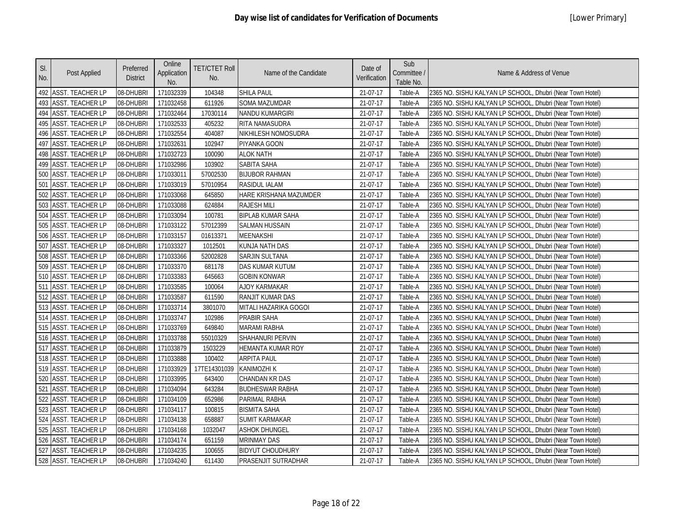| SI.<br>No.      | Post Applied            | Preferred<br><b>District</b> | Online<br>Application<br>No. | <b>TET/CTET Roll</b><br>No. | Name of the Candidate    | Date of<br>Verification | Sub<br>Committee /<br>Table No. | Name & Address of Venue                                   |
|-----------------|-------------------------|------------------------------|------------------------------|-----------------------------|--------------------------|-------------------------|---------------------------------|-----------------------------------------------------------|
|                 | 492 ASST. TEACHER LP    | 08-DHUBRI                    | 171032339                    | 104348                      | <b>SHILA PAUL</b>        | 21-07-17                | Table-A                         | 2365 NO. SISHU KALYAN LP SCHOOL, Dhubri (Near Town Hotel) |
|                 | 493 ASST. TEACHER LP    | 08-DHUBRI                    | 171032458                    | 611926                      | <b>SOMA MAZUMDAR</b>     | 21-07-17                | Table-A                         | 2365 NO. SISHU KALYAN LP SCHOOL, Dhubri (Near Town Hotel) |
| 494             | <b>ASST. TEACHER LP</b> | 08-DHUBRI                    | 171032464                    | 17030114                    | <b>NANDU KUMARGIRI</b>   | 21-07-17                | Table-A                         | 2365 NO. SISHU KALYAN LP SCHOOL, Dhubri (Near Town Hotel) |
| 495             | <b>ASST. TEACHER LP</b> | 08-DHUBRI                    | 171032533                    | 405232                      | <b>RITA NAMASUDRA</b>    | 21-07-17                | Table-A                         | 2365 NO. SISHU KALYAN LP SCHOOL, Dhubri (Near Town Hotel) |
|                 | 496 ASST. TEACHER LP    | 08-DHUBRI                    | 171032554                    | 404087                      | NIKHILESH NOMOSUDRA      | 21-07-17                | Table-A                         | 2365 NO. SISHU KALYAN LP SCHOOL, Dhubri (Near Town Hotel) |
| 497             | <b>ASST. TEACHER LP</b> | 08-DHUBRI                    | 171032631                    | 102947                      | PIYANKA GOON             | 21-07-17                | Table-A                         | 2365 NO. SISHU KALYAN LP SCHOOL, Dhubri (Near Town Hotel) |
|                 | 498 ASST. TEACHER LP    | 08-DHUBRI                    | 171032723                    | 100090                      | <b>ALOK NATH</b>         | 21-07-17                | Table-A                         | 2365 NO. SISHU KALYAN LP SCHOOL, Dhubri (Near Town Hotel) |
|                 | 499 ASST. TEACHER LP    | 08-DHUBRI                    | 171032986                    | 103902                      | SABITA SAHA              | 21-07-17                | Table-A                         | 2365 NO. SISHU KALYAN LP SCHOOL, Dhubri (Near Town Hotel) |
| 500             | <b>ASST. TEACHER LP</b> | 08-DHUBRI                    | 171033011                    | 57002530                    | <b>BIJUBOR RAHMAN</b>    | 21-07-17                | Table-A                         | 2365 NO. SISHU KALYAN LP SCHOOL, Dhubri (Near Town Hotel) |
| 50 <sup>°</sup> | <b>ASST. TEACHER LP</b> | 08-DHUBRI                    | 171033019                    | 57010954                    | <b>RASIDUL IALAM</b>     | 21-07-17                | Table-A                         | 2365 NO. SISHU KALYAN LP SCHOOL, Dhubri (Near Town Hotel) |
| 502             | <b>ASST. TEACHER LP</b> | 08-DHUBRI                    | 171033068                    | 645850                      | HARE KRISHANA MAZUMDER   | 21-07-17                | Table-A                         | 2365 NO. SISHU KALYAN LP SCHOOL, Dhubri (Near Town Hotel) |
| 503             | <b>ASST. TEACHER LP</b> | 08-DHUBRI                    | 171033088                    | 624884                      | <b>RAJESH MILI</b>       | 21-07-17                | Table-A                         | 2365 NO. SISHU KALYAN LP SCHOOL, Dhubri (Near Town Hotel) |
| 504             | <b>ASST. TEACHER LP</b> | 08-DHUBRI                    | 171033094                    | 100781                      | <b>BIPLAB KUMAR SAHA</b> | 21-07-17                | Table-A                         | 2365 NO. SISHU KALYAN LP SCHOOL, Dhubri (Near Town Hotel) |
|                 | 505 ASST. TEACHER LP    | 08-DHUBRI                    | 171033122                    | 57012399                    | <b>SALMAN HUSSAIN</b>    | 21-07-17                | Table-A                         | 2365 NO. SISHU KALYAN LP SCHOOL, Dhubri (Near Town Hotel) |
|                 | 506 ASST. TEACHER LP    | 08-DHUBRI                    | 171033157                    | 01613371                    | <b>MEENAKSHI</b>         | 21-07-17                | Table-A                         | 2365 NO. SISHU KALYAN LP SCHOOL, Dhubri (Near Town Hotel) |
| 507             | ASST. TEACHER LP        | 08-DHUBRI                    | 171033327                    | 1012501                     | KUNJA NATH DAS           | 21-07-17                | Table-A                         | 2365 NO. SISHU KALYAN LP SCHOOL, Dhubri (Near Town Hotel) |
| 508             | <b>ASST. TEACHER LP</b> | 08-DHUBRI                    | 171033366                    | 52002828                    | <b>SARJIN SULTANA</b>    | 21-07-17                | Table-A                         | 2365 NO. SISHU KALYAN LP SCHOOL, Dhubri (Near Town Hotel) |
| 509             | <b>ASST. TEACHER LP</b> | 08-DHUBRI                    | 171033370                    | 681178                      | <b>DAS KUMAR KUTUM</b>   | 21-07-17                | Table-A                         | 2365 NO. SISHU KALYAN LP SCHOOL, Dhubri (Near Town Hotel) |
| 510             | <b>ASST. TEACHER LP</b> | 08-DHUBRI                    | 171033383                    | 645663                      | <b>GOBIN KONWAR</b>      | 21-07-17                | Table-A                         | 2365 NO. SISHU KALYAN LP SCHOOL, Dhubri (Near Town Hotel) |
|                 | 511 ASST. TEACHER LP    | 08-DHUBRI                    | 171033585                    | 100064                      | AJOY KARMAKAR            | 21-07-17                | Table-A                         | 2365 NO. SISHU KALYAN LP SCHOOL, Dhubri (Near Town Hotel) |
|                 | 512 ASST. TEACHER LP    | 08-DHUBRI                    | 171033587                    | 611590                      | RANJIT KUMAR DAS         | 21-07-17                | Table-A                         | 2365 NO. SISHU KALYAN LP SCHOOL, Dhubri (Near Town Hotel) |
|                 | 513 ASST. TEACHER LP    | 08-DHUBRI                    | 171033714                    | 3801070                     | MITALI HAZARIKA GOGOI    | 21-07-17                | Table-A                         | 2365 NO. SISHU KALYAN LP SCHOOL, Dhubri (Near Town Hotel) |
|                 | 514 ASST. TEACHER LP    | 08-DHUBRI                    | 171033747                    | 102986                      | PRABIR SAHA              | 21-07-17                | Table-A                         | 2365 NO. SISHU KALYAN LP SCHOOL, Dhubri (Near Town Hotel) |
|                 | 515 ASST. TEACHER LP    | 08-DHUBRI                    | 171033769                    | 649840                      | <b>MARAMI RABHA</b>      | 21-07-17                | Table-A                         | 2365 NO. SISHU KALYAN LP SCHOOL, Dhubri (Near Town Hotel) |
|                 | 516 ASST. TEACHER LP    | 08-DHUBRI                    | 171033788                    | 55010329                    | <b>SHAHANURI PERVIN</b>  | 21-07-17                | Table-A                         | 2365 NO. SISHU KALYAN LP SCHOOL, Dhubri (Near Town Hotel) |
| 517             | <b>ASST. TEACHER LP</b> | 08-DHUBRI                    | 171033879                    | 1503229                     | HEMANTA KUMAR ROY        | 21-07-17                | Table-A                         | 2365 NO. SISHU KALYAN LP SCHOOL, Dhubri (Near Town Hotel) |
|                 | 518 ASST. TEACHER LP    | 08-DHUBRI                    | 171033888                    | 100402                      | ARPITA PAUL              | 21-07-17                | Table-A                         | 2365 NO. SISHU KALYAN LP SCHOOL, Dhubri (Near Town Hotel) |
|                 | 519 ASST. TEACHER LP    | 08-DHUBRI                    | 171033929                    | 17TE14301039                | <b>KANIMOZHI K</b>       | 21-07-17                | Table-A                         | 2365 NO. SISHU KALYAN LP SCHOOL, Dhubri (Near Town Hotel) |
|                 | 520 ASST. TEACHER LP    | 08-DHUBRI                    | 171033995                    | 643400                      | <b>CHANDAN KR DAS</b>    | 21-07-17                | Table-A                         | 2365 NO. SISHU KALYAN LP SCHOOL, Dhubri (Near Town Hotel) |
| 521             | <b>ASST. TEACHER LP</b> | 08-DHUBRI                    | 171034094                    | 643284                      | <b>BUDHESWAR RABHA</b>   | 21-07-17                | Table-A                         | 2365 NO. SISHU KALYAN LP SCHOOL, Dhubri (Near Town Hotel) |
| 522             | <b>ASST. TEACHER LP</b> | 08-DHUBRI                    | 171034109                    | 652986                      | PARIMAL RABHA            | 21-07-17                | Table-A                         | 2365 NO. SISHU KALYAN LP SCHOOL, Dhubri (Near Town Hotel) |
| 523             | <b>ASST. TEACHER LP</b> | 08-DHUBRI                    | 171034117                    | 100815                      | <b>BISMITA SAHA</b>      | 21-07-17                | Table-A                         | 2365 NO. SISHU KALYAN LP SCHOOL, Dhubri (Near Town Hotel) |
| 524             | <b>ASST. TEACHER LP</b> | 08-DHUBRI                    | 171034138                    | 658887                      | <b>SUMIT KARMAKAR</b>    | 21-07-17                | Table-A                         | 2365 NO. SISHU KALYAN LP SCHOOL, Dhubri (Near Town Hotel) |
|                 | 525 ASST. TEACHER LP    | 08-DHUBRI                    | 171034168                    | 1032047                     | <b>ASHOK DHUNGEL</b>     | 21-07-17                | Table-A                         | 2365 NO. SISHU KALYAN LP SCHOOL, Dhubri (Near Town Hotel) |
|                 | 526 ASST. TEACHER LP    | 08-DHUBRI                    | 171034174                    | 651159                      | <b>MRINMAY DAS</b>       | 21-07-17                | Table-A                         | 2365 NO. SISHU KALYAN LP SCHOOL, Dhubri (Near Town Hotel) |
|                 | 527 ASST. TEACHER LP    | 08-DHUBRI                    | 171034235                    | 100655                      | <b>BIDYUT CHOUDHURY</b>  | 21-07-17                | Table-A                         | 2365 NO. SISHU KALYAN LP SCHOOL, Dhubri (Near Town Hotel) |
|                 | 528 ASST. TEACHER LP    | 08-DHUBRI                    | 171034240                    | 611430                      | PRASENJIT SUTRADHAR      | 21-07-17                | Table-A                         | 2365 NO. SISHU KALYAN LP SCHOOL, Dhubri (Near Town Hotel) |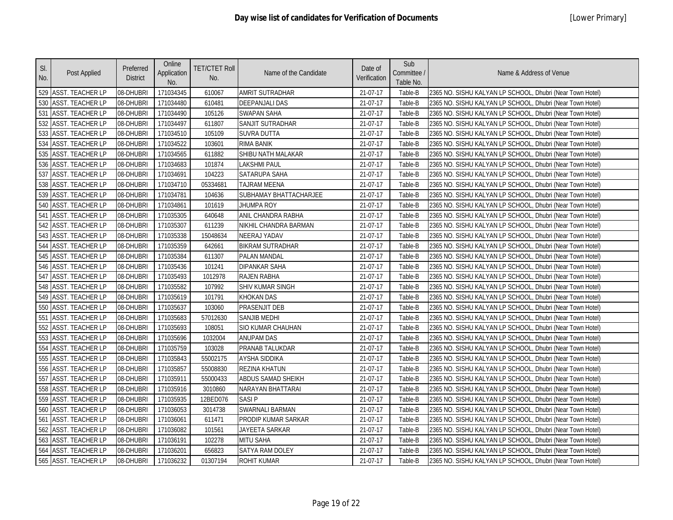| SI.<br>No. | Post Applied            | Preferred<br><b>District</b> | Online<br>Application<br>No. | <b>TET/CTET Roll</b><br>No. | Name of the Candidate   | Date of<br>Verification | Sub<br>Committee /<br>Table No. | Name & Address of Venue                                   |
|------------|-------------------------|------------------------------|------------------------------|-----------------------------|-------------------------|-------------------------|---------------------------------|-----------------------------------------------------------|
|            | 529 ASST. TEACHER LP    | 08-DHUBRI                    | 171034345                    | 610067                      | AMRIT SUTRADHAR         | 21-07-17                | Table-B                         | 2365 NO. SISHU KALYAN LP SCHOOL, Dhubri (Near Town Hotel) |
| 530        | <b>ASST. TEACHER LP</b> | 08-DHUBRI                    | 171034480                    | 610481                      | <b>DEEPANJALI DAS</b>   | 21-07-17                | Table-B                         | 2365 NO. SISHU KALYAN LP SCHOOL, Dhubri (Near Town Hotel) |
| 531        | <b>ASST. TEACHER LP</b> | 08-DHUBRI                    | 171034490                    | 105126                      | <b>SWAPAN SAHA</b>      | 21-07-17                | Table-B                         | 2365 NO. SISHU KALYAN LP SCHOOL, Dhubri (Near Town Hotel) |
| 532        | <b>ASST. TEACHER LP</b> | 08-DHUBRI                    | 171034497                    | 611807                      | SANJIT SUTRADHAR        | 21-07-17                | Table-B                         | 2365 NO. SISHU KALYAN LP SCHOOL, Dhubri (Near Town Hotel) |
|            | 533 ASST. TEACHER LP    | 08-DHUBRI                    | 171034510                    | 105109                      | <b>SUVRA DUTTA</b>      | 21-07-17                | Table-B                         | 2365 NO. SISHU KALYAN LP SCHOOL, Dhubri (Near Town Hotel) |
| 534        | <b>ASST. TEACHER LP</b> | 08-DHUBRI                    | 171034522                    | 103601                      | RIMA BANIK              | 21-07-17                | Table-B                         | 2365 NO. SISHU KALYAN LP SCHOOL, Dhubri (Near Town Hotel) |
|            | 535 ASST. TEACHER LP    | 08-DHUBRI                    | 171034565                    | 611882                      | SHIBU NATH MALAKAR      | 21-07-17                | Table-B                         | 2365 NO. SISHU KALYAN LP SCHOOL, Dhubri (Near Town Hotel) |
|            | 536 ASST. TEACHER LP    | 08-DHUBRI                    | 171034683                    | 101874                      | <b>LAKSHMI PAUL</b>     | 21-07-17                | Table-B                         | 2365 NO. SISHU KALYAN LP SCHOOL, Dhubri (Near Town Hotel) |
| 537        | <b>ASST. TEACHER LP</b> | 08-DHUBRI                    | 171034691                    | 104223                      | SATARUPA SAHA           | 21-07-17                | Table-B                         | 2365 NO. SISHU KALYAN LP SCHOOL, Dhubri (Near Town Hotel) |
|            | 538 ASST. TEACHER LP    | 08-DHUBRI                    | 171034710                    | 05334681                    | <b>TAJRAM MEENA</b>     | 21-07-17                | Table-B                         | 2365 NO. SISHU KALYAN LP SCHOOL, Dhubri (Near Town Hotel) |
| 539        | ASST. TEACHER LP        | 08-DHUBRI                    | 171034781                    | 104636                      | SUBHAMAY BHATTACHARJEE  | 21-07-17                | Table-B                         | 2365 NO. SISHU KALYAN LP SCHOOL, Dhubri (Near Town Hotel) |
| 540        | <b>ASST. TEACHER LP</b> | 08-DHUBRI                    | 171034861                    | 101619                      | JHUMPA ROY              | 21-07-17                | Table-B                         | 2365 NO. SISHU KALYAN LP SCHOOL, Dhubri (Near Town Hotel) |
| 541        | <b>ASST. TEACHER LP</b> | 08-DHUBRI                    | 171035305                    | 640648                      | ANIL CHANDRA RABHA      | 21-07-17                | Table-B                         | 2365 NO. SISHU KALYAN LP SCHOOL, Dhubri (Near Town Hotel) |
|            | 542 ASST. TEACHER LP    | 08-DHUBRI                    | 171035307                    | 611239                      | NIKHIL CHANDRA BARMAN   | 21-07-17                | Table-B                         | 2365 NO. SISHU KALYAN LP SCHOOL, Dhubri (Near Town Hotel) |
|            | 543 ASST. TEACHER LP    | 08-DHUBRI                    | 171035338                    | 15048634                    | <b>NEERAJ YADAV</b>     | 21-07-17                | Table-B                         | 2365 NO. SISHU KALYAN LP SCHOOL, Dhubri (Near Town Hotel) |
|            | 544 ASST. TEACHER LP    | 08-DHUBRI                    | 171035359                    | 642661                      | <b>BIKRAM SUTRADHAR</b> | 21-07-17                | Table-B                         | 2365 NO. SISHU KALYAN LP SCHOOL, Dhubri (Near Town Hotel) |
|            | 545 ASST. TEACHER LP    | 08-DHUBRI                    | 171035384                    | 611307                      | <b>PALAN MANDAL</b>     | 21-07-17                | Table-B                         | 2365 NO. SISHU KALYAN LP SCHOOL, Dhubri (Near Town Hotel) |
|            | 546 ASST. TEACHER LP    | 08-DHUBRI                    | 171035436                    | 101241                      | <b>DIPANKAR SAHA</b>    | 21-07-17                | Table-B                         | 2365 NO. SISHU KALYAN LP SCHOOL, Dhubri (Near Town Hotel) |
|            | 547 ASST. TEACHER LP    | 08-DHUBRI                    | 171035493                    | 1012978                     | <b>RAJEN RABHA</b>      | 21-07-17                | Table-B                         | 2365 NO. SISHU KALYAN LP SCHOOL, Dhubri (Near Town Hotel) |
|            | 548 ASST. TEACHER LP    | 08-DHUBRI                    | 171035582                    | 107992                      | SHIV KUMAR SINGH        | 21-07-17                | Table-B                         | 2365 NO. SISHU KALYAN LP SCHOOL, Dhubri (Near Town Hotel) |
|            | 549 ASST. TEACHER LP    | 08-DHUBRI                    | 171035619                    | 101791                      | <b>KHOKAN DAS</b>       | 21-07-17                | Table-B                         | 2365 NO. SISHU KALYAN LP SCHOOL, Dhubri (Near Town Hotel) |
|            | 550 ASST. TEACHER LP    | 08-DHUBRI                    | 171035637                    | 103060                      | PRASENJIT DEB           | 21-07-17                | Table-B                         | 2365 NO. SISHU KALYAN LP SCHOOL, Dhubri (Near Town Hotel) |
|            | 551 ASST. TEACHER LP    | 08-DHUBRI                    | 171035683                    | 57012630                    | <b>SANJIB MEDHI</b>     | 21-07-17                | Table-B                         | 2365 NO. SISHU KALYAN LP SCHOOL, Dhubri (Near Town Hotel) |
| 552        | ASST. TEACHER LP        | 08-DHUBRI                    | 171035693                    | 108051                      | SIO KUMAR CHAUHAN       | 21-07-17                | Table-B                         | 2365 NO. SISHU KALYAN LP SCHOOL, Dhubri (Near Town Hotel) |
| 553        | <b>ASST. TEACHER LP</b> | 08-DHUBRI                    | 171035696                    | 1032004                     | <b>ANUPAM DAS</b>       | 21-07-17                | Table-B                         | 2365 NO. SISHU KALYAN LP SCHOOL, Dhubri (Near Town Hotel) |
| 554        | <b>ASST. TEACHER LP</b> | 08-DHUBRI                    | 171035759                    | 103028                      | PRANAB TALUKDAR         | 21-07-17                | Table-B                         | 2365 NO. SISHU KALYAN LP SCHOOL, Dhubri (Near Town Hotel) |
|            | 555 ASST. TEACHER LP    | 08-DHUBRI                    | 171035843                    | 55002175                    | AYSHA SIDDIKA           | 21-07-17                | Table-B                         | 2365 NO. SISHU KALYAN LP SCHOOL, Dhubri (Near Town Hotel) |
| 556        | <b>ASST. TEACHER LP</b> | 08-DHUBRI                    | 171035857                    | 55008830                    | <b>REZINA KHATUN</b>    | 21-07-17                | Table-B                         | 2365 NO. SISHU KALYAN LP SCHOOL, Dhubri (Near Town Hotel) |
| 557        | <b>ASST. TEACHER LP</b> | 08-DHUBRI                    | 171035911                    | 55000433                    | ABDUS SAMAD SHEIKH      | 21-07-17                | Table-B                         | 2365 NO. SISHU KALYAN LP SCHOOL, Dhubri (Near Town Hotel) |
|            | 558 ASST. TEACHER LP    | 08-DHUBRI                    | 171035916                    | 3010860                     | NARAYAN BHATTARAI       | 21-07-17                | Table-B                         | 2365 NO. SISHU KALYAN LP SCHOOL, Dhubri (Near Town Hotel) |
| 559        | <b>ASST. TEACHER LP</b> | 08-DHUBRI                    | 171035935                    | 12BED076                    | <b>SASIP</b>            | 21-07-17                | Table-B                         | 2365 NO. SISHU KALYAN LP SCHOOL, Dhubri (Near Town Hotel) |
| 560        | <b>ASST. TEACHER LP</b> | 08-DHUBRI                    | 171036053                    | 3014738                     | SWARNALI BARMAN         | 21-07-17                | Table-B                         | 2365 NO. SISHU KALYAN LP SCHOOL, Dhubri (Near Town Hotel) |
| 561        | <b>ASST. TEACHER LP</b> | 08-DHUBRI                    | 171036061                    | 611471                      | PRODIP KUMAR SARKAR     | 21-07-17                | Table-B                         | 2365 NO. SISHU KALYAN LP SCHOOL, Dhubri (Near Town Hotel) |
|            | 562 ASST. TEACHER LP    | 08-DHUBRI                    | 171036082                    | 101561                      | JAYEETA SARKAR          | 21-07-17                | Table-B                         | 2365 NO. SISHU KALYAN LP SCHOOL, Dhubri (Near Town Hotel) |
|            | 563 ASST. TEACHER LP    | 08-DHUBRI                    | 171036191                    | 102278                      | MITU SAHA               | 21-07-17                | Table-B                         | 2365 NO. SISHU KALYAN LP SCHOOL, Dhubri (Near Town Hotel) |
|            | 564 ASST. TEACHER LP    | 08-DHUBRI                    | 171036201                    | 656823                      | <b>SATYA RAM DOLEY</b>  | 21-07-17                | Table-B                         | 2365 NO. SISHU KALYAN LP SCHOOL, Dhubri (Near Town Hotel) |
|            | 565 ASST. TEACHER LP    | 08-DHUBRI                    | 171036232                    | 01307194                    | <b>ROHIT KUMAR</b>      | 21-07-17                | Table-B                         | 2365 NO. SISHU KALYAN LP SCHOOL, Dhubri (Near Town Hotel) |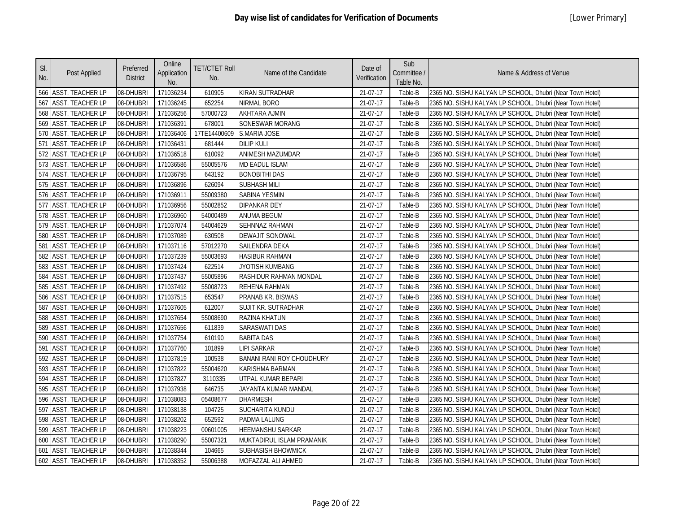| SI.<br>No. | Post Applied            | Preferred<br><b>District</b> | Online<br>Application<br>No. | <b>TET/CTET Roll</b><br>No. | Name of the Candidate            | Date of<br>Verification | Sub<br>Committee /<br>Table No. | Name & Address of Venue                                   |
|------------|-------------------------|------------------------------|------------------------------|-----------------------------|----------------------------------|-------------------------|---------------------------------|-----------------------------------------------------------|
|            | 566 ASST. TEACHER LP    | 08-DHUBRI                    | 171036234                    | 610905                      | KIRAN SUTRADHAR                  | 21-07-17                | Table-B                         | 2365 NO. SISHU KALYAN LP SCHOOL, Dhubri (Near Town Hotel) |
| 567        | <b>ASST. TEACHER LP</b> | 08-DHUBRI                    | 171036245                    | 652254                      | <b>NIRMAL BORO</b>               | 21-07-17                | Table-B                         | 2365 NO. SISHU KALYAN LP SCHOOL, Dhubri (Near Town Hotel) |
|            | 568 ASST. TEACHER LP    | 08-DHUBRI                    | 171036256                    | 57000723                    | <b>AKHTARA AJMIN</b>             | 21-07-17                | Table-B                         | 2365 NO. SISHU KALYAN LP SCHOOL, Dhubri (Near Town Hotel) |
| 569        | <b>ASST. TEACHER LP</b> | 08-DHUBRI                    | 171036391                    | 678001                      | <b>SONESWAR MORANG</b>           | 21-07-17                | Table-B                         | 2365 NO. SISHU KALYAN LP SCHOOL, Dhubri (Near Town Hotel) |
| 570        | <b>ASST. TEACHER LP</b> | 08-DHUBRI                    | 171036406                    | 17TE14400609                | <b>S.MARIA JOSE</b>              | 21-07-17                | Table-B                         | 2365 NO. SISHU KALYAN LP SCHOOL, Dhubri (Near Town Hotel) |
| 571        | <b>ASST. TEACHER LP</b> | 08-DHUBRI                    | 171036431                    | 681444                      | <b>DILIP KULI</b>                | 21-07-17                | Table-B                         | 2365 NO. SISHU KALYAN LP SCHOOL, Dhubri (Near Town Hotel) |
| 572        | <b>ASST. TEACHER LP</b> | 08-DHUBRI                    | 171036518                    | 610092                      | ANIMESH MAZUMDAR                 | 21-07-17                | Table-B                         | 2365 NO. SISHU KALYAN LP SCHOOL, Dhubri (Near Town Hotel) |
|            | 573 ASST. TEACHER LP    | 08-DHUBRI                    | 171036586                    | 55005576                    | <b>MD EADUL ISLAM</b>            | 21-07-17                | Table-B                         | 2365 NO. SISHU KALYAN LP SCHOOL, Dhubri (Near Town Hotel) |
|            | 574 ASST. TEACHER LP    | 08-DHUBRI                    | 171036795                    | 643192                      | <b>BONOBITHI DAS</b>             | 21-07-17                | Table-B                         | 2365 NO. SISHU KALYAN LP SCHOOL, Dhubri (Near Town Hotel) |
|            | 575 ASST. TEACHER LP    | 08-DHUBRI                    | 171036896                    | 626094                      | <b>SUBHASH MILI</b>              | 21-07-17                | Table-B                         | 2365 NO. SISHU KALYAN LP SCHOOL, Dhubri (Near Town Hotel) |
|            | 576 ASST. TEACHER LP    | 08-DHUBRI                    | 171036911                    | 55009380                    | SABINA YESMIN                    | 21-07-17                | Table-B                         | 2365 NO. SISHU KALYAN LP SCHOOL, Dhubri (Near Town Hotel) |
| 577        | <b>ASST. TEACHER LP</b> | 08-DHUBRI                    | 171036956                    | 55002852                    | DIPANKAR DEY                     | 21-07-17                | Table-B                         | 2365 NO. SISHU KALYAN LP SCHOOL, Dhubri (Near Town Hotel) |
|            | 578 ASST. TEACHER LP    | 08-DHUBRI                    | 171036960                    | 54000489                    | ANUMA BEGUM                      | 21-07-17                | Table-B                         | 2365 NO. SISHU KALYAN LP SCHOOL, Dhubri (Near Town Hotel) |
|            | 579 ASST. TEACHER LP    | 08-DHUBRI                    | 171037074                    | 54004629                    | SEHNNAZ RAHMAN                   | 21-07-17                | Table-B                         | 2365 NO. SISHU KALYAN LP SCHOOL, Dhubri (Near Town Hotel) |
|            | 580 ASST. TEACHER LP    | 08-DHUBRI                    | 171037089                    | 630508                      | <b>DEWAJIT SONOWAL</b>           | 21-07-17                | Table-B                         | 2365 NO. SISHU KALYAN LP SCHOOL, Dhubri (Near Town Hotel) |
|            | 581 ASST. TEACHER LP    | 08-DHUBRI                    | 171037116                    | 57012270                    | SAILENDRA DEKA                   | 21-07-17                | Table-B                         | 2365 NO. SISHU KALYAN LP SCHOOL, Dhubri (Near Town Hotel) |
| 582        | <b>ASST. TEACHER LP</b> | 08-DHUBRI                    | 171037239                    | 55003693                    | <b>HASIBUR RAHMAN</b>            | 21-07-17                | Table-B                         | 2365 NO. SISHU KALYAN LP SCHOOL, Dhubri (Near Town Hotel) |
| 583        | ASST. TEACHER LP        | 08-DHUBRI                    | 171037424                    | 622514                      | JYOTISH KUMBANG                  | 21-07-17                | Table-B                         | 2365 NO. SISHU KALYAN LP SCHOOL, Dhubri (Near Town Hotel) |
| 584        | <b>ASST. TEACHER LP</b> | 08-DHUBRI                    | 171037437                    | 55005896                    | RASHIDUR RAHMAN MONDAL           | 21-07-17                | Table-B                         | 2365 NO. SISHU KALYAN LP SCHOOL, Dhubri (Near Town Hotel) |
| 585        | <b>ASST. TEACHER LP</b> | 08-DHUBRI                    | 171037492                    | 55008723                    | REHENA RAHMAN                    | 21-07-17                | Table-B                         | 2365 NO. SISHU KALYAN LP SCHOOL, Dhubri (Near Town Hotel) |
|            | 586 ASST. TEACHER LP    | 08-DHUBRI                    | 171037515                    | 653547                      | PRANAB KR. BISWAS                | 21-07-17                | Table-B                         | 2365 NO. SISHU KALYAN LP SCHOOL, Dhubri (Near Town Hotel) |
| 587        | <b>ASST. TEACHER LP</b> | 08-DHUBRI                    | 171037605                    | 612007                      | SUJIT KR. SUTRADHAR              | 21-07-17                | Table-B                         | 2365 NO. SISHU KALYAN LP SCHOOL, Dhubri (Near Town Hotel) |
|            | 588 ASST. TEACHER LP    | 08-DHUBRI                    | 171037654                    | 55008690                    | <b>RAZINA KHATUN</b>             | 21-07-17                | Table-B                         | 2365 NO. SISHU KALYAN LP SCHOOL, Dhubri (Near Town Hotel) |
| 589        | <b>ASST. TEACHER LP</b> | 08-DHUBRI                    | 171037656                    | 611839                      | <b>SARASWATI DAS</b>             | 21-07-17                | Table-B                         | 2365 NO. SISHU KALYAN LP SCHOOL, Dhubri (Near Town Hotel) |
| 590        | <b>ASST. TEACHER LP</b> | 08-DHUBRI                    | 171037754                    | 610190                      | <b>BABITA DAS</b>                | 21-07-17                | Table-B                         | 2365 NO. SISHU KALYAN LP SCHOOL, Dhubri (Near Town Hotel) |
| 591        | <b>ASST. TEACHER LP</b> | 08-DHUBRI                    | 171037760                    | 101899                      | <b>LIPI SARKAR</b>               | 21-07-17                | Table-B                         | 2365 NO. SISHU KALYAN LP SCHOOL, Dhubri (Near Town Hotel) |
| 592        | <b>ASST. TEACHER LP</b> | 08-DHUBRI                    | 171037819                    | 100538                      | <b>BANANI RANI ROY CHOUDHURY</b> | 21-07-17                | Table-B                         | 2365 NO. SISHU KALYAN LP SCHOOL, Dhubri (Near Town Hotel) |
|            | 593 ASST. TEACHER LP    | 08-DHUBRI                    | 171037822                    | 55004620                    | KARISHMA BARMAN                  | 21-07-17                | Table-B                         | 2365 NO. SISHU KALYAN LP SCHOOL, Dhubri (Near Town Hotel) |
|            | 594 ASST. TEACHER LP    | 08-DHUBRI                    | 171037827                    | 3110335                     | UTPAL KUMAR BEPARI               | 21-07-17                | Table-B                         | 2365 NO. SISHU KALYAN LP SCHOOL, Dhubri (Near Town Hotel) |
|            | 595 ASST. TEACHER LP    | 08-DHUBRI                    | 171037938                    | 646735                      | JAYANTA KUMAR MANDAL             | 21-07-17                | Table-B                         | 2365 NO. SISHU KALYAN LP SCHOOL, Dhubri (Near Town Hotel) |
|            | 596 ASST. TEACHER LP    | 08-DHUBRI                    | 171038083                    | 05408677                    | <b>DHARMESH</b>                  | 21-07-17                | Table-B                         | 2365 NO. SISHU KALYAN LP SCHOOL, Dhubri (Near Town Hotel) |
| 597        | <b>ASST. TEACHER LP</b> | 08-DHUBRI                    | 171038138                    | 104725                      | SUCHARITA KUNDU                  | 21-07-17                | Table-B                         | 2365 NO. SISHU KALYAN LP SCHOOL, Dhubri (Near Town Hotel) |
|            | 598 ASST. TEACHER LP    | 08-DHUBRI                    | 171038202                    | 652592                      | PADMA LALUNG                     | 21-07-17                | Table-B                         | 2365 NO. SISHU KALYAN LP SCHOOL, Dhubri (Near Town Hotel) |
|            | 599 ASST. TEACHER LP    | 08-DHUBRI                    | 171038223                    | 00601005                    | HEEMANSHU SARKAR                 | 21-07-17                | Table-B                         | 2365 NO. SISHU KALYAN LP SCHOOL, Dhubri (Near Town Hotel) |
|            | 600 ASST. TEACHER LP    | 08-DHUBRI                    | 171038290                    | 55007321                    | MUKTADIRUL ISLAM PRAMANIK        | 21-07-17                | Table-B                         | 2365 NO. SISHU KALYAN LP SCHOOL, Dhubri (Near Town Hotel) |
|            | 601 ASST. TEACHER LP    | 08-DHUBRI                    | 171038344                    | 104665                      | <b>SUBHASISH BHOWMICK</b>        | 21-07-17                | Table-B                         | 2365 NO. SISHU KALYAN LP SCHOOL, Dhubri (Near Town Hotel) |
|            | 602 ASST. TEACHER LP    | 08-DHUBRI                    | 171038352                    | 55006388                    | MOFAZZAL ALI AHMED               | 21-07-17                | Table-B                         | 2365 NO. SISHU KALYAN LP SCHOOL, Dhubri (Near Town Hotel) |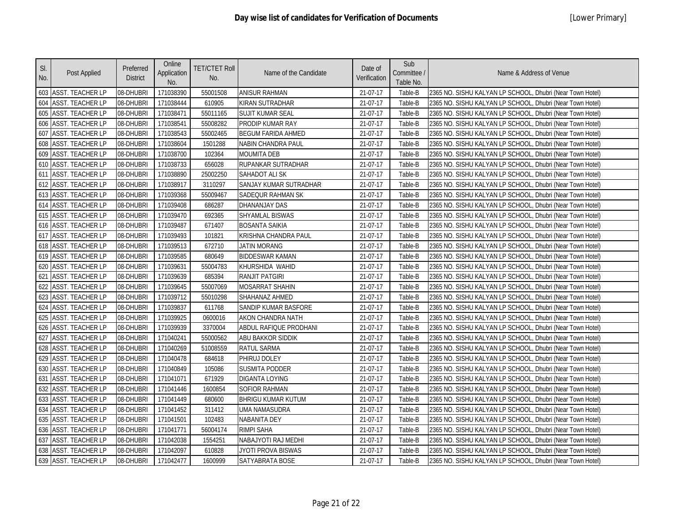| SI.<br>No. | Post Applied            | Preferred<br><b>District</b> | Online<br>Application<br>No. | <b>TET/CTET Roll</b><br>No. | Name of the Candidate     | Date of<br>Verification | Sub<br>Committee /<br>Table No. | Name & Address of Venue                                   |
|------------|-------------------------|------------------------------|------------------------------|-----------------------------|---------------------------|-------------------------|---------------------------------|-----------------------------------------------------------|
|            | 603 ASST. TEACHER LP    | 08-DHUBRI                    | 171038390                    | 55001508                    | <b>ANISUR RAHMAN</b>      | 21-07-17                | Table-B                         | 2365 NO. SISHU KALYAN LP SCHOOL, Dhubri (Near Town Hotel) |
|            | 604 ASST. TEACHER LP    | 08-DHUBRI                    | 171038444                    | 610905                      | KIRAN SUTRADHAR           | 21-07-17                | Table-B                         | 2365 NO. SISHU KALYAN LP SCHOOL, Dhubri (Near Town Hotel) |
| 605        | <b>ASST. TEACHER LP</b> | 08-DHUBRI                    | 171038471                    | 55011165                    | <b>SUJIT KUMAR SEAL</b>   | 21-07-17                | Table-B                         | 2365 NO. SISHU KALYAN LP SCHOOL, Dhubri (Near Town Hotel) |
| 606        | <b>ASST. TEACHER LP</b> | 08-DHUBRI                    | 171038541                    | 55008282                    | PRODIP KUMAR RAY          | 21-07-17                | Table-B                         | 2365 NO. SISHU KALYAN LP SCHOOL, Dhubri (Near Town Hotel) |
| 607        | <b>ASST. TEACHER LP</b> | 08-DHUBRI                    | 171038543                    | 55002465                    | <b>BEGUM FARIDA AHMED</b> | 21-07-17                | Table-B                         | 2365 NO. SISHU KALYAN LP SCHOOL, Dhubri (Near Town Hotel) |
| 608        | <b>ASST. TEACHER LP</b> | 08-DHUBRI                    | 171038604                    | 1501288                     | NABIN CHANDRA PAUL        | 21-07-17                | Table-B                         | 2365 NO. SISHU KALYAN LP SCHOOL, Dhubri (Near Town Hotel) |
| 609        | <b>ASST. TEACHER LP</b> | 08-DHUBRI                    | 171038700                    | 102364                      | <b>MOUMITA DEB</b>        | 21-07-17                | Table-B                         | 2365 NO. SISHU KALYAN LP SCHOOL, Dhubri (Near Town Hotel) |
|            | 610 ASST. TEACHER LP    | 08-DHUBRI                    | 171038733                    | 656028                      | RUPANKAR SUTRADHAR        | 21-07-17                | Table-B                         | 2365 NO. SISHU KALYAN LP SCHOOL, Dhubri (Near Town Hotel) |
|            | 611 ASST. TEACHER LP    | 08-DHUBRI                    | 171038890                    | 25002250                    | <b>SAHADOT ALI SK</b>     | 21-07-17                | Table-B                         | 2365 NO. SISHU KALYAN LP SCHOOL, Dhubri (Near Town Hotel) |
|            | 612 ASST. TEACHER LP    | 08-DHUBRI                    | 171038917                    | 3110297                     | SANJAY KUMAR SUTRADHAR    | 21-07-17                | Table-B                         | 2365 NO. SISHU KALYAN LP SCHOOL, Dhubri (Near Town Hotel) |
|            | 613 ASST. TEACHER LP    | 08-DHUBRI                    | 171039368                    | 55009467                    | SADEQUR RAHMAN SK         | 21-07-17                | Table-B                         | 2365 NO. SISHU KALYAN LP SCHOOL, Dhubri (Near Town Hotel) |
|            | 614 ASST. TEACHER LP    | 08-DHUBRI                    | 171039408                    | 686287                      | DHANANJAY DAS             | 21-07-17                | Table-B                         | 2365 NO. SISHU KALYAN LP SCHOOL, Dhubri (Near Town Hotel) |
|            | 615 ASST. TEACHER LP    | 08-DHUBRI                    | 171039470                    | 692365                      | SHYAMLAL BISWAS           | 21-07-17                | Table-B                         | 2365 NO. SISHU KALYAN LP SCHOOL, Dhubri (Near Town Hotel) |
|            | 616 ASST. TEACHER LP    | 08-DHUBRI                    | 171039487                    | 671407                      | <b>BOSANTA SAIKIA</b>     | 21-07-17                | Table-B                         | 2365 NO. SISHU KALYAN LP SCHOOL, Dhubri (Near Town Hotel) |
|            | 617 ASST. TEACHER LP    | 08-DHUBRI                    | 171039493                    | 101821                      | KRISHNA CHANDRA PAUL      | 21-07-17                | Table-B                         | 2365 NO. SISHU KALYAN LP SCHOOL, Dhubri (Near Town Hotel) |
|            | 618 ASST. TEACHER LP    | 08-DHUBRI                    | 171039513                    | 672710                      | <b>JATIN MORANG</b>       | 21-07-17                | Table-B                         | 2365 NO. SISHU KALYAN LP SCHOOL, Dhubri (Near Town Hotel) |
| 619        | <b>ASST. TEACHER LP</b> | 08-DHUBRI                    | 171039585                    | 680649                      | <b>BIDDESWAR KAMAN</b>    | 21-07-17                | Table-B                         | 2365 NO. SISHU KALYAN LP SCHOOL, Dhubri (Near Town Hotel) |
| 620        | <b>ASST. TEACHER LP</b> | 08-DHUBRI                    | 171039631                    | 55004783                    | KHURSHIDA WAHID           | 21-07-17                | Table-B                         | 2365 NO. SISHU KALYAN LP SCHOOL, Dhubri (Near Town Hotel) |
| 621        | <b>ASST. TEACHER LP</b> | 08-DHUBRI                    | 171039639                    | 685394                      | RANJIT PATGIRI            | 21-07-17                | Table-B                         | 2365 NO. SISHU KALYAN LP SCHOOL, Dhubri (Near Town Hotel) |
| 622        | <b>ASST. TEACHER LP</b> | 08-DHUBRI                    | 171039645                    | 55007069                    | <b>MOSARRAT SHAHIN</b>    | 21-07-17                | Table-B                         | 2365 NO. SISHU KALYAN LP SCHOOL, Dhubri (Near Town Hotel) |
| 623        | <b>ASST. TEACHER LP</b> | 08-DHUBRI                    | 171039712                    | 55010298                    | SHAHANAZ AHMED            | 21-07-17                | Table-B                         | 2365 NO. SISHU KALYAN LP SCHOOL, Dhubri (Near Town Hotel) |
|            | 624 ASST. TEACHER LP    | 08-DHUBRI                    | 171039837                    | 611768                      | SANDIP KUMAR BASFORE      | 21-07-17                | Table-B                         | 2365 NO. SISHU KALYAN LP SCHOOL, Dhubri (Near Town Hotel) |
|            | 625 ASST. TEACHER LP    | 08-DHUBRI                    | 171039925                    | 0600016                     | AKON CHANDRA NATH         | 21-07-17                | Table-B                         | 2365 NO. SISHU KALYAN LP SCHOOL, Dhubri (Near Town Hotel) |
| 626        | <b>ASST. TEACHER LP</b> | 08-DHUBRI                    | 171039939                    | 3370004                     | ABDUL RAFIQUE PRODHANI    | 21-07-17                | Table-B                         | 2365 NO. SISHU KALYAN LP SCHOOL, Dhubri (Near Town Hotel) |
| 627        | <b>ASST. TEACHER LP</b> | 08-DHUBRI                    | 171040241                    | 55000562                    | ABU BAKKOR SIDDIK         | 21-07-17                | Table-B                         | 2365 NO. SISHU KALYAN LP SCHOOL, Dhubri (Near Town Hotel) |
|            | 628 ASST. TEACHER LP    | 08-DHUBRI                    | 171040269                    | 51008559                    | <b>RATUL SARMA</b>        | 21-07-17                | Table-B                         | 2365 NO. SISHU KALYAN LP SCHOOL, Dhubri (Near Town Hotel) |
| 629        | <b>ASST. TEACHER LP</b> | 08-DHUBRI                    | 171040478                    | 684618                      | PHIRUJ DOLEY              | 21-07-17                | Table-B                         | 2365 NO. SISHU KALYAN LP SCHOOL, Dhubri (Near Town Hotel) |
| 630        | <b>ASST. TEACHER LP</b> | 08-DHUBRI                    | 171040849                    | 105086                      | SUSMITA PODDER            | 21-07-17                | Table-B                         | 2365 NO. SISHU KALYAN LP SCHOOL, Dhubri (Near Town Hotel) |
|            | 631 ASST. TEACHER LP    | 08-DHUBRI                    | 171041071                    | 671929                      | <b>DIGANTA LOYING</b>     | 21-07-17                | Table-B                         | 2365 NO. SISHU KALYAN LP SCHOOL, Dhubri (Near Town Hotel) |
| 632        | <b>ASST. TEACHER LP</b> | 08-DHUBRI                    | 171041446                    | 1600854                     | <b>SOFIOR RAHMAN</b>      | 21-07-17                | Table-B                         | 2365 NO. SISHU KALYAN LP SCHOOL, Dhubri (Near Town Hotel) |
| 633        | <b>ASST. TEACHER LP</b> | 08-DHUBRI                    | 171041449                    | 680600                      | <b>BHRIGU KUMAR KUTUM</b> | 21-07-17                | Table-B                         | 2365 NO. SISHU KALYAN LP SCHOOL, Dhubri (Near Town Hotel) |
| 634        | <b>ASST. TEACHER LP</b> | 08-DHUBRI                    | 171041452                    | 311412                      | UMA NAMASUDRA             | 21-07-17                | Table-B                         | 2365 NO. SISHU KALYAN LP SCHOOL, Dhubri (Near Town Hotel) |
| 635        | <b>ASST. TEACHER LP</b> | 08-DHUBRI                    | 171041501                    | 102483                      | NABANITA DEY              | 21-07-17                | Table-B                         | 2365 NO. SISHU KALYAN LP SCHOOL, Dhubri (Near Town Hotel) |
|            | 636 ASST. TEACHER LP    | 08-DHUBRI                    | 171041771                    | 56004174                    | <b>RIMPI SAHA</b>         | 21-07-17                | Table-B                         | 2365 NO. SISHU KALYAN LP SCHOOL, Dhubri (Near Town Hotel) |
| 637        | <b>ASST. TEACHER LP</b> | 08-DHUBRI                    | 171042038                    | 1554251                     | NABAJYOTI RAJ MEDHI       | 21-07-17                | Table-B                         | 2365 NO. SISHU KALYAN LP SCHOOL, Dhubri (Near Town Hotel) |
|            | 638 ASST. TEACHER LP    | 08-DHUBRI                    | 171042097                    | 610828                      | JYOTI PROVA BISWAS        | 21-07-17                | Table-B                         | 2365 NO. SISHU KALYAN LP SCHOOL, Dhubri (Near Town Hotel) |
|            | 639 ASST. TEACHER LP    | 08-DHUBRI                    | 171042477                    | 1600999                     | SATYABRATA BOSE           | 21-07-17                | Table-B                         | 2365 NO. SISHU KALYAN LP SCHOOL, Dhubri (Near Town Hotel) |